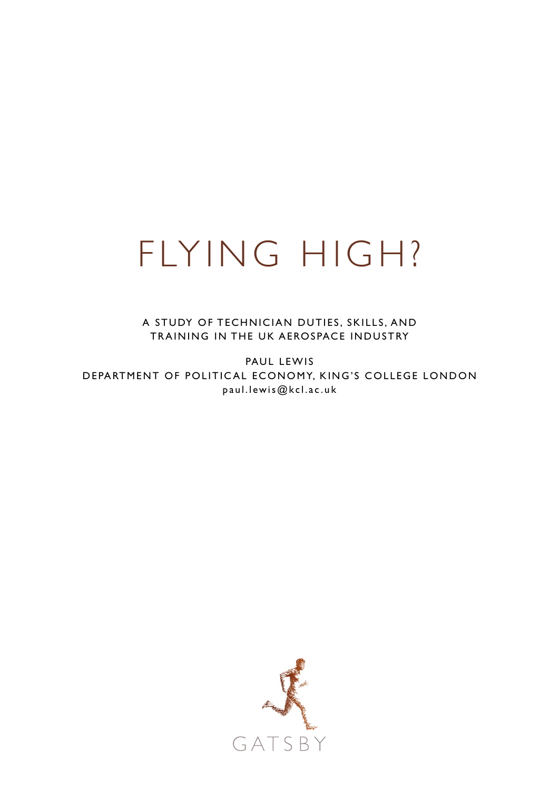# FLYING HIGH?

A STUDY OF TECHNICIAN DUTIES, SKILLS, AND TRAINING IN THE UK AEROSPACE INDUSTRY

PAUL LEWIS DEPARTMENT OF POLITICAL ECONOMY, KING'S COLLEGE LONDON p a u l . l ew is @ k c l . a c . u k

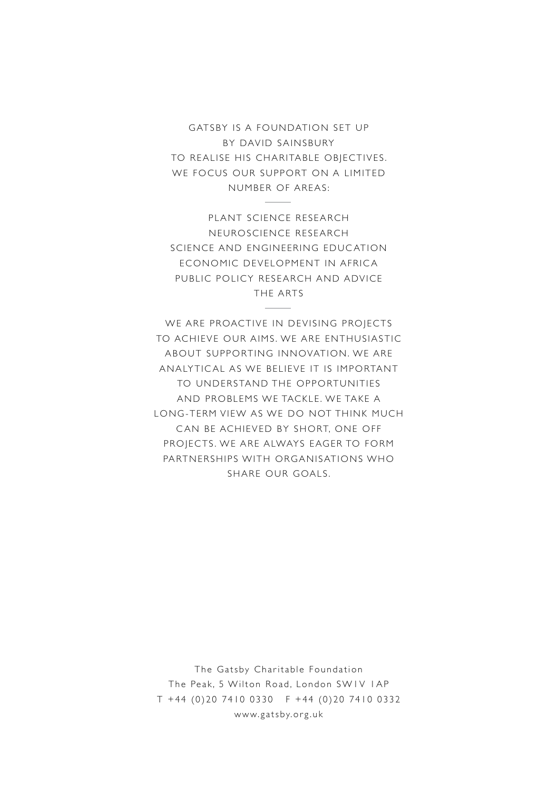GATSBY IS A FOUNDATION SET UP BY DAVID SAINSBURY TO REALISE HIS CHARITABLE OBJECTIVES. WE FOCUS OUR SUPPORT ON A LIMITED NUMBER OF AREAS:

PLANT SCIENCE RESEARCH NEUROSCIENCE RESEARCH SCIENCE AND ENGINEERING EDUCATION E CONOMIC DEVELOPMENT IN AFRICA PUBLIC POLICY RESEARCH AND ADVICE THE ARTS

WE ARE PROACTIVE IN DEVISING PROJECTS TO ACHIEVE OUR AIMS. WE ARE ENTHUSIASTIC A BOUT SUPPORTING INNOVATION. WE ARE AN ALYTICAL AS WE BELIEVE IT IS IMPORTANT TO UNDERSTAND THE OPPORTUNITIES AND PROBLEMS WE TACKLE. WE TAKE A LONG-TERM VIEW AS WE DO NOT THINK MUCH CAN BE ACHIEVED BY SHORT, ONE OFF PROJECTS. WE ARE ALWAYS EAGER TO FORM PARTNERSHIPS WITH ORGANISATIONS WHO SHARE OUR GOALS.

The Gatsby Charitable Foundation The Peak, 5 Wilton Road, London SWIV IAP  $T + 44 (0)20 7410 0330 F + 44 (0)20 7410 0332$ www.gatsby.org.uk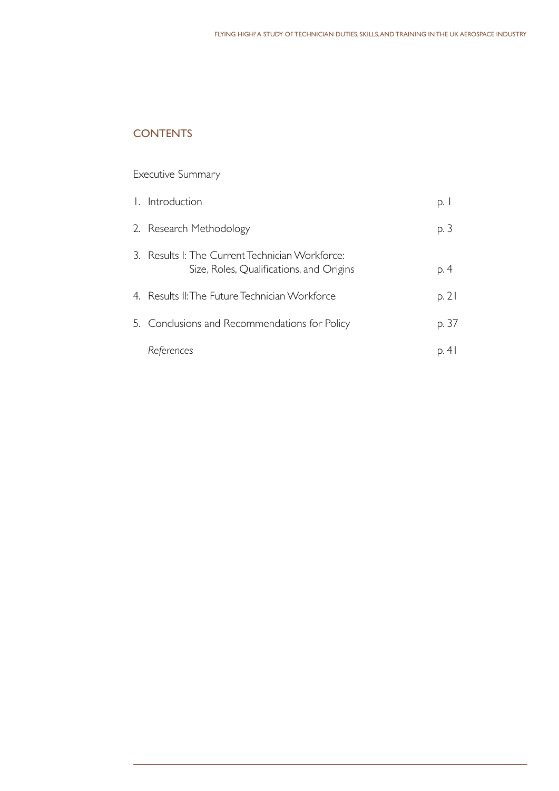# **CONTENTS**

# Executive Summary

| I. Introduction                                                                             | p. I    |
|---------------------------------------------------------------------------------------------|---------|
| 2. Research Methodology                                                                     | p. 3    |
| 3. Results I: The Current Technician Workforce:<br>Size, Roles, Qualifications, and Origins | p. 4    |
| 4. Results II: The Future Technician Workforce                                              | p. $21$ |
| 5. Conclusions and Recommendations for Policy                                               | p. 37   |
| References                                                                                  | p. $41$ |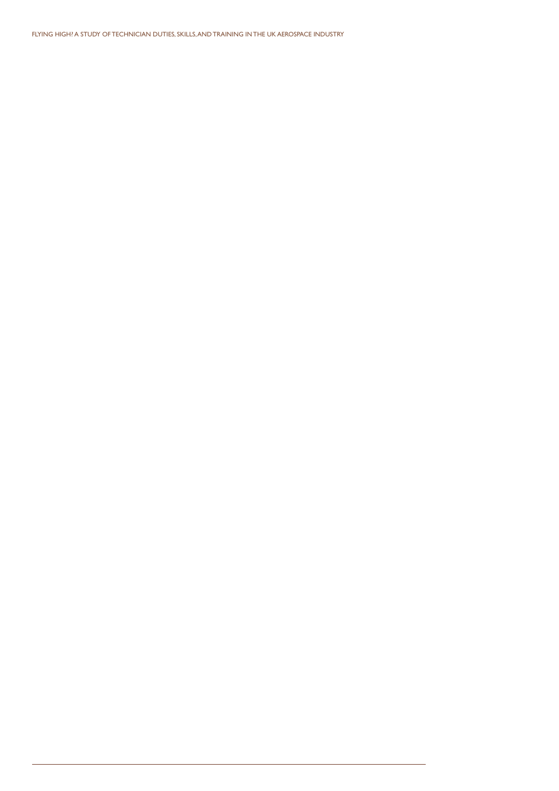FLYING HIGH? A STUDY OF TECHNICIAN DUTIES, SKILLS, AND TRAINING IN THE UK AEROSPACE INDUSTRY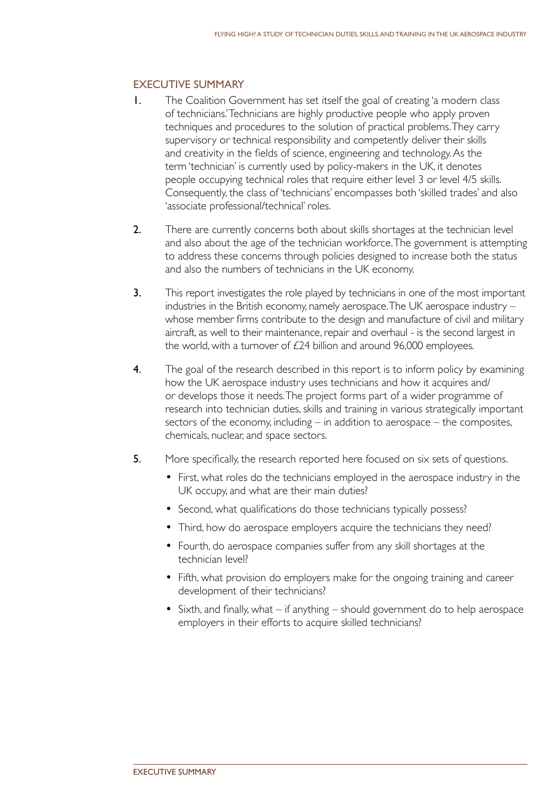## EXECUTIVE SUMMARY

- 1. The Coalition Government has set itself the goal of creating 'a modern class of technicians.' Technicians are highly productive people who apply proven techniques and procedures to the solution of practical problems. They carry supervisory or technical responsibility and competently deliver their skills and creativity in the fields of science, engineering and technology. As the term 'technician' is currently used by policy-makers in the UK, it denotes people occupying technical roles that require either level 3 or level 4/5 skills. Consequently, the class of 'technicians' encompasses both 'skilled trades' and also 'associate professional/technical' roles.
- 2. There are currently concerns both about skills shortages at the technician level and also about the age of the technician workforce. The government is attempting to address these concerns through policies designed to increase both the status and also the numbers of technicians in the UK economy.
- 3. This report investigates the role played by technicians in one of the most important industries in the British economy, namely aerospace. The UK aerospace industry – whose member firms contribute to the design and manufacture of civil and military aircraft, as well to their maintenance, repair and overhaul - is the second largest in the world, with a turnover of £24 billion and around 96,000 employees.
- 4. The goal of the research described in this report is to inform policy by examining how the UK aerospace industry uses technicians and how it acquires and/ or develops those it needs. The project forms part of a wider programme of research into technician duties, skills and training in various strategically important sectors of the economy, including – in addition to aerospace – the composites, chemicals, nuclear, and space sectors.
- 5. More specifically, the research reported here focused on six sets of questions.
	- First, what roles do the technicians employed in the aerospace industry in the UK occupy, and what are their main duties?
	- Second, what qualifications do those technicians typically possess?
	- Third, how do aerospace employers acquire the technicians they need?
	- Fourth, do aerospace companies suffer from any skill shortages at the technician level?
	- Fifth, what provision do employers make for the ongoing training and career development of their technicians?
	- Sixth, and finally, what if anything should government do to help aerospace employers in their efforts to acquire skilled technicians?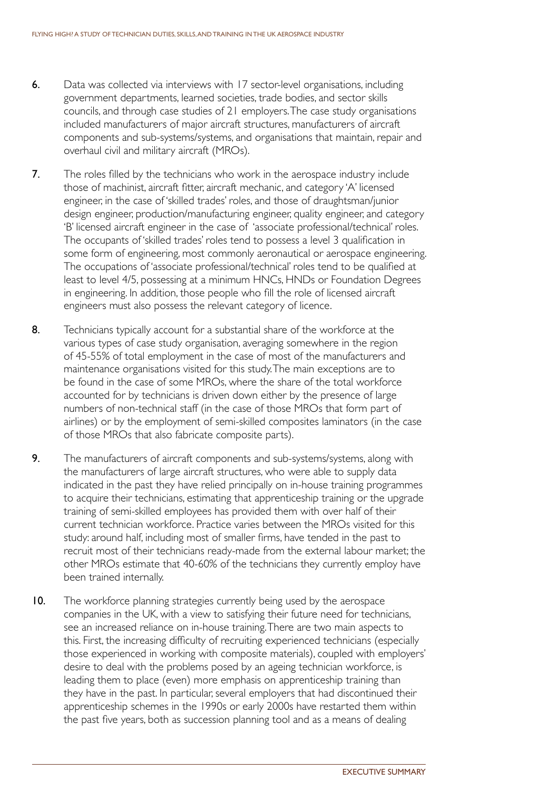- 6. Data was collected via interviews with 17 sector-level organisations, including government departments, learned societies, trade bodies, and sector skills councils, and through case studies of 21 employers. The case study organisations included manufacturers of major aircraft structures, manufacturers of aircraft components and sub-systems/systems, and organisations that maintain, repair and overhaul civil and military aircraft (MROs).
- 7. The roles filled by the technicians who work in the aerospace industry include those of machinist, aircraft fitter, aircraft mechanic, and category 'A' licensed engineer, in the case of 'skilled trades' roles, and those of draughtsman/junior design engineer, production/manufacturing engineer, quality engineer, and category 'B' licensed aircraft engineer in the case of 'associate professional/technical' roles. The occupants of 'skilled trades' roles tend to possess a level 3 qualification in some form of engineering, most commonly aeronautical or aerospace engineering. The occupations of 'associate professional/technical' roles tend to be qualified at least to level 4/5, possessing at a minimum HNCs, HNDs or Foundation Degrees in engineering. In addition, those people who fill the role of licensed aircraft engineers must also possess the relevant category of licence.
- 8. Technicians typically account for a substantial share of the workforce at the various types of case study organisation, averaging somewhere in the region of 45-55% of total employment in the case of most of the manufacturers and maintenance organisations visited for this study. The main exceptions are to be found in the case of some MROs, where the share of the total workforce accounted for by technicians is driven down either by the presence of large numbers of non-technical staff (in the case of those MROs that form part of airlines) or by the employment of semi-skilled composites laminators (in the case of those MROs that also fabricate composite parts).
- 9. The manufacturers of aircraft components and sub-systems/systems, along with the manufacturers of large aircraft structures, who were able to supply data indicated in the past they have relied principally on in-house training programmes to acquire their technicians, estimating that apprenticeship training or the upgrade training of semi-skilled employees has provided them with over half of their current technician workforce. Practice varies between the MROs visited for this study: around half, including most of smaller firms, have tended in the past to recruit most of their technicians ready-made from the external labour market; the other MROs estimate that 40-60% of the technicians they currently employ have been trained internally.
- 10. The workforce planning strategies currently being used by the aerospace companies in the UK, with a view to satisfying their future need for technicians, see an increased reliance on in-house training. There are two main aspects to this. First, the increasing difficulty of recruiting experienced technicians (especially those experienced in working with composite materials), coupled with employers' desire to deal with the problems posed by an ageing technician workforce, is leading them to place (even) more emphasis on apprenticeship training than they have in the past. In particular, several employers that had discontinued their apprenticeship schemes in the 1990s or early 2000s have restarted them within the past five years, both as succession planning tool and as a means of dealing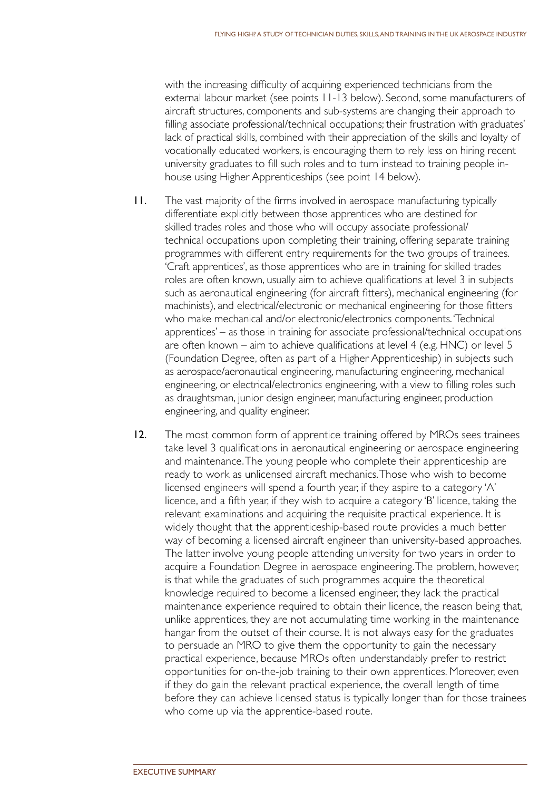with the increasing difficulty of acquiring experienced technicians from the external labour market (see points 11-13 below). Second, some manufacturers of aircraft structures, components and sub-systems are changing their approach to filling associate professional/technical occupations; their frustration with graduates' lack of practical skills, combined with their appreciation of the skills and loyalty of vocationally educated workers, is encouraging them to rely less on hiring recent university graduates to fill such roles and to turn instead to training people inhouse using Higher Apprenticeships (see point 14 below).

- 11. The vast majority of the firms involved in aerospace manufacturing typically differentiate explicitly between those apprentices who are destined for skilled trades roles and those who will occupy associate professional/ technical occupations upon completing their training, offering separate training programmes with different entry requirements for the two groups of trainees. 'Craft apprentices', as those apprentices who are in training for skilled trades roles are often known, usually aim to achieve qualifications at level 3 in subjects such as aeronautical engineering (for aircraft fitters), mechanical engineering (for machinists), and electrical/electronic or mechanical engineering for those fitters who make mechanical and/or electronic/electronics components. 'Technical apprentices' – as those in training for associate professional/technical occupations are often known – aim to achieve qualifications at level 4 (e.g. HNC) or level 5 (Foundation Degree, often as part of a Higher Apprenticeship) in subjects such as aerospace/aeronautical engineering, manufacturing engineering, mechanical engineering, or electrical/electronics engineering, with a view to filling roles such as draughtsman, junior design engineer, manufacturing engineer, production engineering, and quality engineer.
- 12. The most common form of apprentice training offered by MROs sees trainees take level 3 qualifications in aeronautical engineering or aerospace engineering and maintenance. The young people who complete their apprenticeship are ready to work as unlicensed aircraft mechanics. Those who wish to become licensed engineers will spend a fourth year, if they aspire to a category 'A' licence, and a fifth year, if they wish to acquire a category 'B' licence, taking the relevant examinations and acquiring the requisite practical experience. It is widely thought that the apprenticeship-based route provides a much better way of becoming a licensed aircraft engineer than university-based approaches. The latter involve young people attending university for two years in order to acquire a Foundation Degree in aerospace engineering. The problem, however, is that while the graduates of such programmes acquire the theoretical knowledge required to become a licensed engineer, they lack the practical maintenance experience required to obtain their licence, the reason being that, unlike apprentices, they are not accumulating time working in the maintenance hangar from the outset of their course. It is not always easy for the graduates to persuade an MRO to give them the opportunity to gain the necessary practical experience, because MROs often understandably prefer to restrict opportunities for on-the-job training to their own apprentices. Moreover, even if they do gain the relevant practical experience, the overall length of time before they can achieve licensed status is typically longer than for those trainees who come up via the apprentice-based route.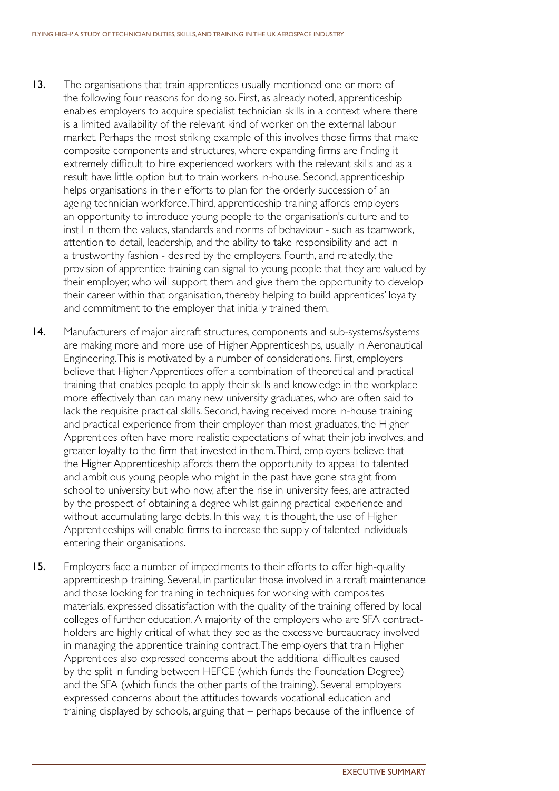- 13. The organisations that train apprentices usually mentioned one or more of the following four reasons for doing so. First, as already noted, apprenticeship enables employers to acquire specialist technician skills in a context where there is a limited availability of the relevant kind of worker on the external labour market. Perhaps the most striking example of this involves those firms that make composite components and structures, where expanding firms are finding it extremely difficult to hire experienced workers with the relevant skills and as a result have little option but to train workers in-house. Second, apprenticeship helps organisations in their efforts to plan for the orderly succession of an ageing technician workforce. Third, apprenticeship training affords employers an opportunity to introduce young people to the organisation's culture and to instil in them the values, standards and norms of behaviour - such as teamwork, attention to detail, leadership, and the ability to take responsibility and act in a trustworthy fashion - desired by the employers. Fourth, and relatedly, the provision of apprentice training can signal to young people that they are valued by their employer, who will support them and give them the opportunity to develop their career within that organisation, thereby helping to build apprentices' loyalty and commitment to the employer that initially trained them.
- 14. Manufacturers of major aircraft structures, components and sub-systems/systems are making more and more use of Higher Apprenticeships, usually in Aeronautical Engineering. This is motivated by a number of considerations. First, employers believe that Higher Apprentices offer a combination of theoretical and practical training that enables people to apply their skills and knowledge in the workplace more effectively than can many new university graduates, who are often said to lack the requisite practical skills. Second, having received more in-house training and practical experience from their employer than most graduates, the Higher Apprentices often have more realistic expectations of what their job involves, and greater loyalty to the firm that invested in them. Third, employers believe that the Higher Apprenticeship affords them the opportunity to appeal to talented and ambitious young people who might in the past have gone straight from school to university but who now, after the rise in university fees, are attracted by the prospect of obtaining a degree whilst gaining practical experience and without accumulating large debts. In this way, it is thought, the use of Higher Apprenticeships will enable firms to increase the supply of talented individuals entering their organisations.
- 15. Employers face a number of impediments to their efforts to offer high-quality apprenticeship training. Several, in particular those involved in aircraft maintenance and those looking for training in techniques for working with composites materials, expressed dissatisfaction with the quality of the training offered by local colleges of further education. A majority of the employers who are SFA contractholders are highly critical of what they see as the excessive bureaucracy involved in managing the apprentice training contract. The employers that train Higher Apprentices also expressed concerns about the additional difficulties caused by the split in funding between HEFCE (which funds the Foundation Degree) and the SFA (which funds the other parts of the training). Several employers expressed concerns about the attitudes towards vocational education and training displayed by schools, arguing that – perhaps because of the influence of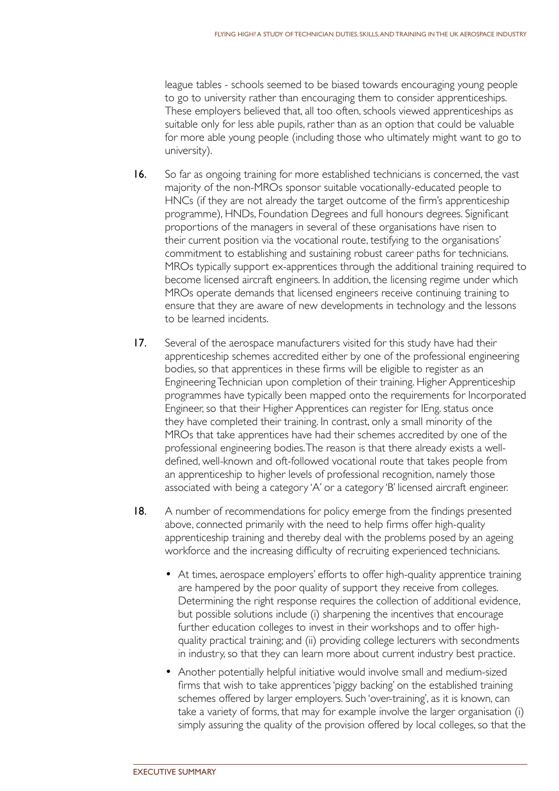league tables - schools seemed to be biased towards encouraging young people to go to university rather than encouraging them to consider apprenticeships. These employers believed that, all too often, schools viewed apprenticeships as suitable only for less able pupils, rather than as an option that could be valuable for more able young people (including those who ultimately might want to go to university).

- 16. So far as ongoing training for more established technicians is concerned, the vast majority of the non-MROs sponsor suitable vocationally-educated people to HNCs (if they are not already the target outcome of the firm's apprenticeship programme), HNDs, Foundation Degrees and full honours degrees. Significant proportions of the managers in several of these organisations have risen to their current position via the vocational route, testifying to the organisations' commitment to establishing and sustaining robust career paths for technicians. MROs typically support ex-apprentices through the additional training required to become licensed aircraft engineers. In addition, the licensing regime under which MROs operate demands that licensed engineers receive continuing training to ensure that they are aware of new developments in technology and the lessons to be learned incidents.
- 17. Several of the aerospace manufacturers visited for this study have had their apprenticeship schemes accredited either by one of the professional engineering bodies, so that apprentices in these firms will be eligible to register as an Engineering Technician upon completion of their training. Higher Apprenticeship programmes have typically been mapped onto the requirements for Incorporated Engineer, so that their Higher Apprentices can register for IEng. status once they have completed their training. In contrast, only a small minority of the MROs that take apprentices have had their schemes accredited by one of the professional engineering bodies. The reason is that there already exists a welldefined, well-known and oft-followed vocational route that takes people from an apprenticeship to higher levels of professional recognition, namely those associated with being a category 'A' or a category 'B' licensed aircraft engineer.
- 18. A number of recommendations for policy emerge from the findings presented above, connected primarily with the need to help firms offer high-quality apprenticeship training and thereby deal with the problems posed by an ageing workforce and the increasing difficulty of recruiting experienced technicians.
	- At times, aerospace employers' efforts to offer high-quality apprentice training are hampered by the poor quality of support they receive from colleges. Determining the right response requires the collection of additional evidence, but possible solutions include (i) sharpening the incentives that encourage further education colleges to invest in their workshops and to offer highquality practical training; and (ii) providing college lecturers with secondments in industry, so that they can learn more about current industry best practice.
	- Another potentially helpful initiative would involve small and medium-sized firms that wish to take apprentices 'piggy backing' on the established training schemes offered by larger employers. Such 'over-training', as it is known, can take a variety of forms, that may for example involve the larger organisation (i) simply assuring the quality of the provision offered by local colleges, so that the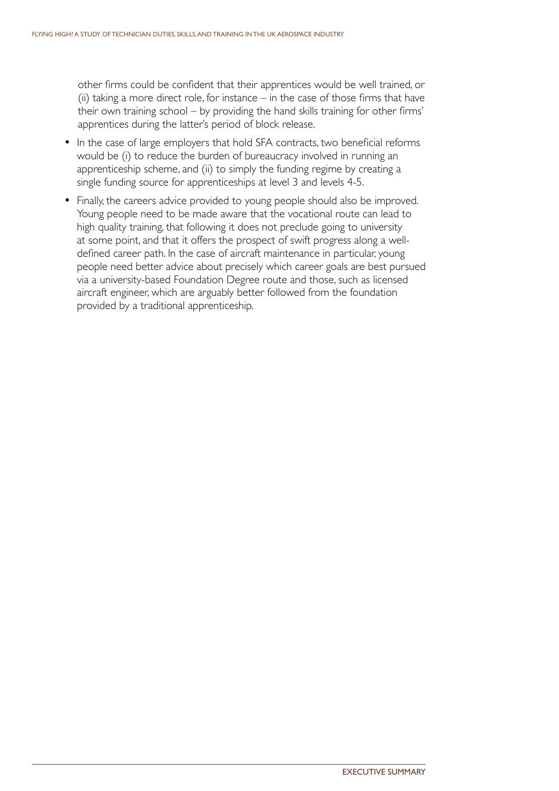other firms could be confident that their apprentices would be well trained, or (ii) taking a more direct role, for instance – in the case of those firms that have their own training school – by providing the hand skills training for other firms' apprentices during the latter's period of block release.

- In the case of large employers that hold SFA contracts, two beneficial reforms would be (i) to reduce the burden of bureaucracy involved in running an apprenticeship scheme, and (ii) to simply the funding regime by creating a single funding source for apprenticeships at level 3 and levels 4-5.
- Finally, the careers advice provided to young people should also be improved. Young people need to be made aware that the vocational route can lead to high quality training, that following it does not preclude going to university at some point, and that it offers the prospect of swift progress along a welldefined career path. In the case of aircraft maintenance in particular, young people need better advice about precisely which career goals are best pursued via a university-based Foundation Degree route and those, such as licensed aircraft engineer, which are arguably better followed from the foundation provided by a traditional apprenticeship.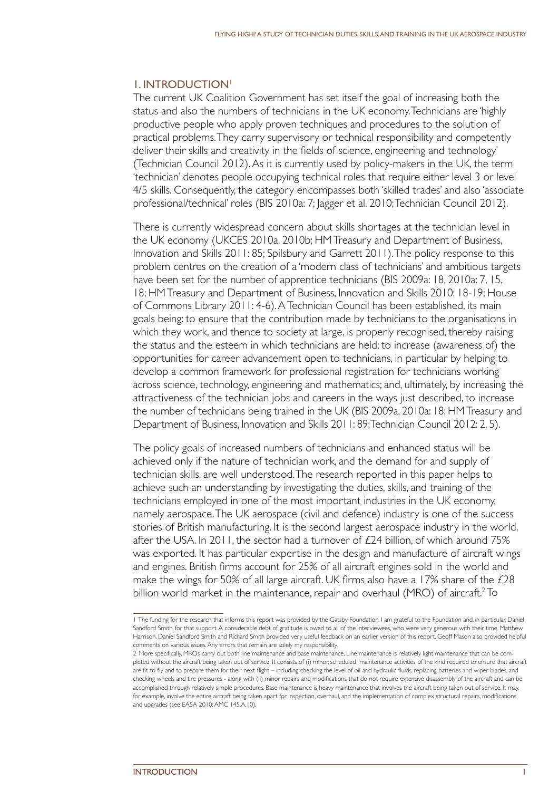#### 1. INTRODUCTION1

The current UK Coalition Government has set itself the goal of increasing both the status and also the numbers of technicians in the UK economy. Technicians are 'highly productive people who apply proven techniques and procedures to the solution of practical problems. They carry supervisory or technical responsibility and competently deliver their skills and creativity in the fields of science, engineering and technology' (Technician Council 2012). As it is currently used by policy-makers in the UK, the term 'technician' denotes people occupying technical roles that require either level 3 or level 4/5 skills. Consequently, the category encompasses both 'skilled trades' and also 'associate professional/technical' roles (BIS 2010a: 7; Jagger et al. 2010; Technician Council 2012).

There is currently widespread concern about skills shortages at the technician level in the UK economy (UKCES 2010a, 2010b; HM Treasury and Department of Business, Innovation and Skills 2011: 85; Spilsbury and Garrett 2011). The policy response to this problem centres on the creation of a 'modern class of technicians' and ambitious targets have been set for the number of apprentice technicians (BIS 2009a: 18, 2010a: 7, 15, 18; HM Treasury and Department of Business, Innovation and Skills 2010: 18-19; House of Commons Library 2011: 4-6). A Technician Council has been established, its main goals being: to ensure that the contribution made by technicians to the organisations in which they work, and thence to society at large, is properly recognised, thereby raising the status and the esteem in which technicians are held; to increase (awareness of) the opportunities for career advancement open to technicians, in particular by helping to develop a common framework for professional registration for technicians working across science, technology, engineering and mathematics; and, ultimately, by increasing the attractiveness of the technician jobs and careers in the ways just described, to increase the number of technicians being trained in the UK (BIS 2009a, 2010a: 18; HM Treasury and Department of Business, Innovation and Skills 2011: 89; Technician Council 2012: 2, 5).

The policy goals of increased numbers of technicians and enhanced status will be achieved only if the nature of technician work, and the demand for and supply of technician skills, are well understood. The research reported in this paper helps to achieve such an understanding by investigating the duties, skills, and training of the technicians employed in one of the most important industries in the UK economy, namely aerospace. The UK aerospace (civil and defence) industry is one of the success stories of British manufacturing. It is the second largest aerospace industry in the world, after the USA. In 2011, the sector had a turnover of £24 billion, of which around 75% was exported. It has particular expertise in the design and manufacture of aircraft wings and engines. British firms account for 25% of all aircraft engines sold in the world and make the wings for 50% of all large aircraft. UK firms also have a 17% share of the £28 billion world market in the maintenance, repair and overhaul (MRO) of aircraft.<sup>2</sup>To

<sup>1</sup> The funding for the research that informs this report was provided by the Gatsby Foundation. I am grateful to the Foundation and, in particular, Daniel Sandford Smith, for that support. A considerable debt of gratitude is owed to all of the interviewees, who were very generous with their time. Matthew Harrison, Daniel Sandford Smith and Richard Smith provided very useful feedback on an earlier version of this report. Geoff Mason also provided helpful comments on various issues. Any errors that remain are solely my responsibility.

<sup>2</sup> More specifically, MROs carry out both line maintenance and base maintenance. Line maintenance is relatively light maintenance that can be completed without the aircraft being taken out of service. It consists of (i) minor, scheduled maintenance activities of the kind required to ensure that aircraft are fit to fly and to prepare them for their next flight – including checking the level of oil and hydraulic fluids, replacing batteries and wiper blades, and checking wheels and tire pressures - along with (ii) minor repairs and modifications that do not require extensive disassembly of the aircraft and can be accomplished through relatively simple procedures. Base maintenance is heavy maintenance that involves the aircraft being taken out of service. It may, for example, involve the entire aircraft being taken apart for inspection, overhaul, and the implementation of complex structural repairs, modifications and upgrades (see EASA 2010: AMC 145.A.10).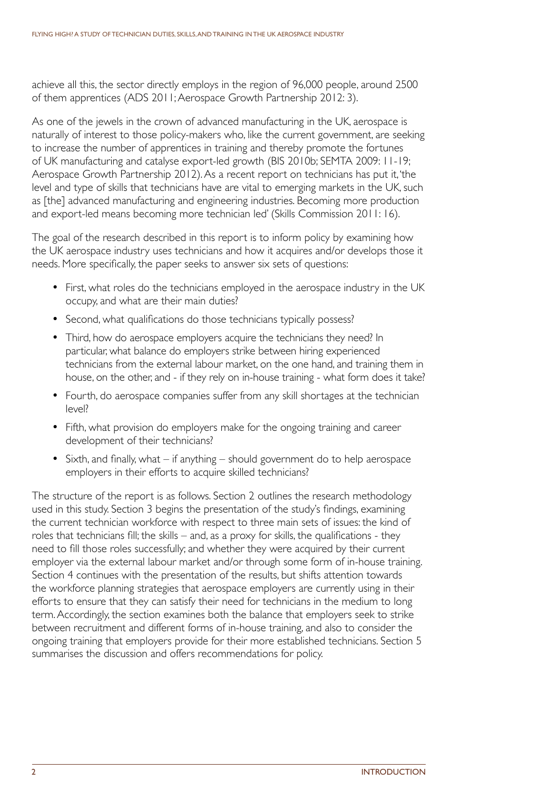achieve all this, the sector directly employs in the region of 96,000 people, around 2500 of them apprentices (ADS 2011; Aerospace Growth Partnership 2012: 3).

As one of the jewels in the crown of advanced manufacturing in the UK, aerospace is naturally of interest to those policy-makers who, like the current government, are seeking to increase the number of apprentices in training and thereby promote the fortunes of UK manufacturing and catalyse export-led growth (BIS 2010b; SEMTA 2009: 11-19; Aerospace Growth Partnership 2012). As a recent report on technicians has put it, 'the level and type of skills that technicians have are vital to emerging markets in the UK, such as [the] advanced manufacturing and engineering industries. Becoming more production and export-led means becoming more technician led' (Skills Commission 2011: 16).

The goal of the research described in this report is to inform policy by examining how the UK aerospace industry uses technicians and how it acquires and/or develops those it needs. More specifically, the paper seeks to answer six sets of questions:

- First, what roles do the technicians employed in the aerospace industry in the UK occupy, and what are their main duties?
- Second, what qualifications do those technicians typically possess?
- Third, how do aerospace employers acquire the technicians they need? In particular, what balance do employers strike between hiring experienced technicians from the external labour market, on the one hand, and training them in house, on the other, and - if they rely on in-house training - what form does it take?
- Fourth, do aerospace companies suffer from any skill shortages at the technician level?
- Fifth, what provision do employers make for the ongoing training and career development of their technicians?
- Sixth, and finally, what  $-$  if anything  $-$  should government do to help aerospace employers in their efforts to acquire skilled technicians?

The structure of the report is as follows. Section 2 outlines the research methodology used in this study. Section 3 begins the presentation of the study's findings, examining the current technician workforce with respect to three main sets of issues: the kind of roles that technicians fill; the skills – and, as a proxy for skills, the qualifications - they need to fill those roles successfully; and whether they were acquired by their current employer via the external labour market and/or through some form of in-house training. Section 4 continues with the presentation of the results, but shifts attention towards the workforce planning strategies that aerospace employers are currently using in their efforts to ensure that they can satisfy their need for technicians in the medium to long term. Accordingly, the section examines both the balance that employers seek to strike between recruitment and different forms of in-house training, and also to consider the ongoing training that employers provide for their more established technicians. Section 5 summarises the discussion and offers recommendations for policy.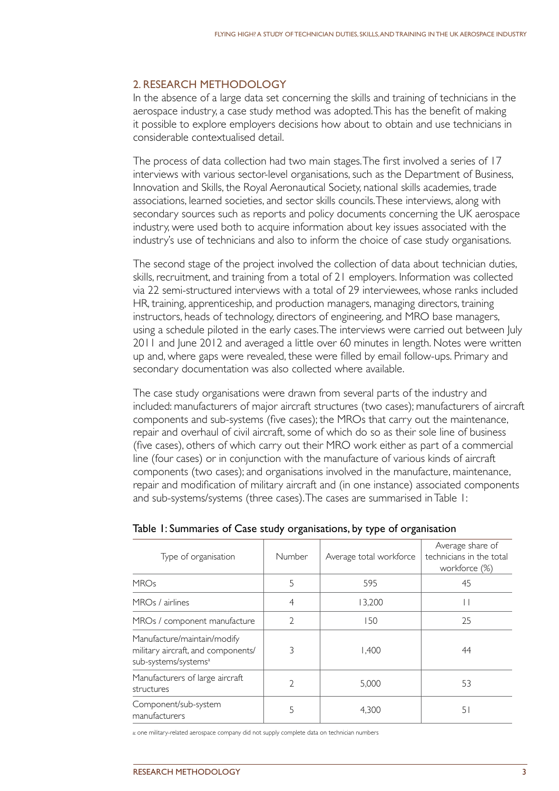# 2. RESEARCH METHODOLOGY

In the absence of a large data set concerning the skills and training of technicians in the aerospace industry, a case study method was adopted. This has the benefit of making it possible to explore employers decisions how about to obtain and use technicians in considerable contextualised detail.

The process of data collection had two main stages. The first involved a series of 17 interviews with various sector-level organisations, such as the Department of Business, Innovation and Skills, the Royal Aeronautical Society, national skills academies, trade associations, learned societies, and sector skills councils. These interviews, along with secondary sources such as reports and policy documents concerning the UK aerospace industry, were used both to acquire information about key issues associated with the industry's use of technicians and also to inform the choice of case study organisations.

The second stage of the project involved the collection of data about technician duties, skills, recruitment, and training from a total of 21 employers. Information was collected via 22 semi-structured interviews with a total of 29 interviewees, whose ranks included HR, training, apprenticeship, and production managers, managing directors, training instructors, heads of technology, directors of engineering, and MRO base managers, using a schedule piloted in the early cases. The interviews were carried out between July 2011 and June 2012 and averaged a little over 60 minutes in length. Notes were written up and, where gaps were revealed, these were filled by email follow-ups. Primary and secondary documentation was also collected where available.

The case study organisations were drawn from several parts of the industry and included: manufacturers of major aircraft structures (two cases); manufacturers of aircraft components and sub-systems (five cases); the MROs that carry out the maintenance, repair and overhaul of civil aircraft, some of which do so as their sole line of business (five cases), others of which carry out their MRO work either as part of a commercial line (four cases) or in conjunction with the manufacture of various kinds of aircraft components (two cases); and organisations involved in the manufacture, maintenance, repair and modification of military aircraft and (in one instance) associated components and sub-systems/systems (three cases). The cases are summarised in Table 1:

| Type of organisation                                                                                  | Number | Average total workforce | Average share of<br>technicians in the total<br>workforce (%) |
|-------------------------------------------------------------------------------------------------------|--------|-------------------------|---------------------------------------------------------------|
| <b>MROs</b>                                                                                           | 5      | 595                     | 45                                                            |
| MROs / airlines                                                                                       | 4      | 13,200                  |                                                               |
| MROs / component manufacture                                                                          | V      | -50                     | 25                                                            |
| Manufacture/maintain/modify<br>military aircraft, and components/<br>sub-systems/systems <sup>a</sup> | 3      | 1.400                   | 44                                                            |
| Manufacturers of large aircraft<br>structures                                                         | V      | 5,000                   | 53                                                            |
| Component/sub-system<br>manufacturers                                                                 | 5      | 4,300                   | 51                                                            |

#### Table 1: Summaries of Case study organisations, by type of organisation

a: one military-related aerospace company did not supply complete data on technician numbers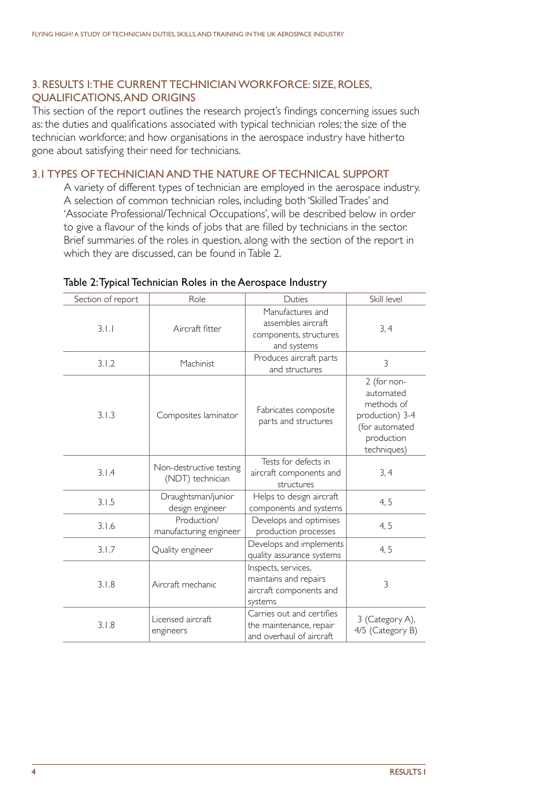# 3. RESULTS I: THE CURRENT TECHNICIAN WORKFORCE: SIZE, ROLES, QUALIFICATIONS, AND ORIGINS

This section of the report outlines the research project's findings concerning issues such as: the duties and qualifications associated with typical technician roles; the size of the technician workforce; and how organisations in the aerospace industry have hitherto gone about satisfying their need for technicians.

# 3.1 TYPES OF TECHNICIAN AND THE NATURE OF TECHNICAL SUPPORT

A variety of different types of technician are employed in the aerospace industry. A selection of common technician roles, including both 'Skilled Trades' and 'Associate Professional/Technical Occupations', will be described below in order to give a flavour of the kinds of jobs that are filled by technicians in the sector. Brief summaries of the roles in question, along with the section of the report in which they are discussed, can be found in Table 2.

| Section of report | Role                                        | Duties                                                                             | Skill level                                                                                              |
|-------------------|---------------------------------------------|------------------------------------------------------------------------------------|----------------------------------------------------------------------------------------------------------|
| 3.1.1             | Aircraft fitter                             | Manufactures and<br>assembles aircraft<br>components, structures<br>and systems    | 3, 4                                                                                                     |
| 3.1.2             | Machinist                                   | Produces aircraft parts<br>and structures                                          | $\mathcal{E}$                                                                                            |
| 3.1.3             | Composites laminator                        | Fabricates composite<br>parts and structures                                       | 2 (for non-<br>automated<br>methods of<br>production) 3-4<br>(for automated<br>production<br>techniques) |
| 3.1.4             | Non-destructive testing<br>(NDT) technician | Tests for defects in<br>aircraft components and<br>structures                      | 3, 4                                                                                                     |
| 3.1.5             | Draughtsman/junior<br>design engineer       | Helps to design aircraft<br>components and systems                                 | 4, 5                                                                                                     |
| 3.1.6             | Production/<br>manufacturing engineer       | Develops and optimises<br>production processes                                     | 4,5                                                                                                      |
| 3.1.7             | Quality engineer                            | Develops and implements<br>quality assurance systems                               | 4, 5                                                                                                     |
| 3.1.8             | Aircraft mechanic                           | Inspects, services,<br>maintains and repairs<br>aircraft components and<br>systems | 3                                                                                                        |
| 3.1.8             | Licensed aircraft<br>engineers              | Carries out and certifies<br>the maintenance, repair<br>and overhaul of aircraft   | 3 (Category A),<br>4/5 (Category B)                                                                      |

# Table 2: Typical Technician Roles in the Aerospace Industry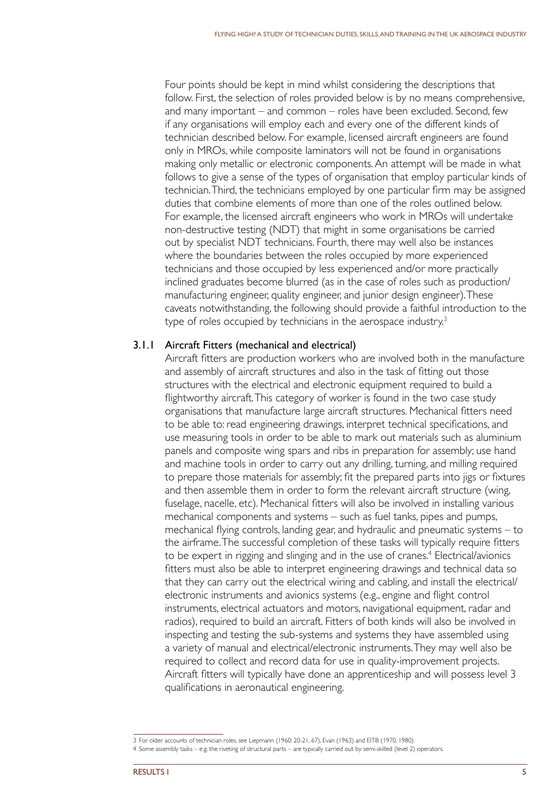Four points should be kept in mind whilst considering the descriptions that follow. First, the selection of roles provided below is by no means comprehensive, and many important – and common – roles have been excluded. Second, few if any organisations will employ each and every one of the different kinds of technician described below. For example, licensed aircraft engineers are found only in MROs, while composite laminators will not be found in organisations making only metallic or electronic components. An attempt will be made in what follows to give a sense of the types of organisation that employ particular kinds of technician. Third, the technicians employed by one particular firm may be assigned duties that combine elements of more than one of the roles outlined below. For example, the licensed aircraft engineers who work in MROs will undertake non-destructive testing (NDT) that might in some organisations be carried out by specialist NDT technicians. Fourth, there may well also be instances where the boundaries between the roles occupied by more experienced technicians and those occupied by less experienced and/or more practically inclined graduates become blurred (as in the case of roles such as production/ manufacturing engineer, quality engineer, and junior design engineer). These caveats notwithstanding, the following should provide a faithful introduction to the type of roles occupied by technicians in the aerospace industry.<sup>3</sup>

#### 3.1.1 Aircraft Fitters (mechanical and electrical)

Aircraft fitters are production workers who are involved both in the manufacture and assembly of aircraft structures and also in the task of fitting out those structures with the electrical and electronic equipment required to build a flightworthy aircraft. This category of worker is found in the two case study organisations that manufacture large aircraft structures. Mechanical fitters need to be able to: read engineering drawings, interpret technical specifications, and use measuring tools in order to be able to mark out materials such as aluminium panels and composite wing spars and ribs in preparation for assembly; use hand and machine tools in order to carry out any drilling, turning, and milling required to prepare those materials for assembly; fit the prepared parts into jigs or fixtures and then assemble them in order to form the relevant aircraft structure (wing, fuselage, nacelle, etc). Mechanical fitters will also be involved in installing various mechanical components and systems – such as fuel tanks, pipes and pumps, mechanical flying controls, landing gear, and hydraulic and pneumatic systems – to the airframe. The successful completion of these tasks will typically require fitters to be expert in rigging and slinging and in the use of cranes.<sup>4</sup> Electrical/avionics fitters must also be able to interpret engineering drawings and technical data so that they can carry out the electrical wiring and cabling, and install the electrical/ electronic instruments and avionics systems (e.g., engine and flight control instruments, electrical actuators and motors, navigational equipment, radar and radios), required to build an aircraft. Fitters of both kinds will also be involved in inspecting and testing the sub-systems and systems they have assembled using a variety of manual and electrical/electronic instruments. They may well also be required to collect and record data for use in quality-improvement projects. Aircraft fitters will typically have done an apprenticeship and will possess level 3 qualifications in aeronautical engineering.

<sup>3</sup> For older accounts of technician roles, see Liepmann (1960: 20-21, 67), Evan (1963) and EITB (1970, 1980).

<sup>4</sup> Some assembly tasks – e.g. the riveting of structural parts – are typically carried out by semi-skilled (level 2) operators.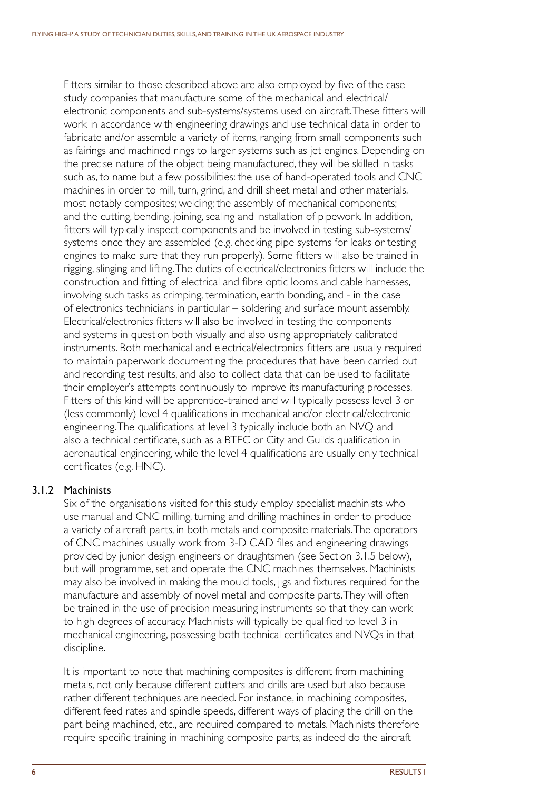Fitters similar to those described above are also employed by five of the case study companies that manufacture some of the mechanical and electrical/ electronic components and sub-systems/systems used on aircraft. These fitters will work in accordance with engineering drawings and use technical data in order to fabricate and/or assemble a variety of items, ranging from small components such as fairings and machined rings to larger systems such as jet engines. Depending on the precise nature of the object being manufactured, they will be skilled in tasks such as, to name but a few possibilities: the use of hand-operated tools and CNC machines in order to mill, turn, grind, and drill sheet metal and other materials, most notably composites; welding; the assembly of mechanical components; and the cutting, bending, joining, sealing and installation of pipework. In addition, fitters will typically inspect components and be involved in testing sub-systems/ systems once they are assembled (e.g. checking pipe systems for leaks or testing engines to make sure that they run properly). Some fitters will also be trained in rigging, slinging and lifting. The duties of electrical/electronics fitters will include the construction and fitting of electrical and fibre optic looms and cable harnesses, involving such tasks as crimping, termination, earth bonding, and - in the case of electronics technicians in particular – soldering and surface mount assembly. Electrical/electronics fitters will also be involved in testing the components and systems in question both visually and also using appropriately calibrated instruments. Both mechanical and electrical/electronics fitters are usually required to maintain paperwork documenting the procedures that have been carried out and recording test results, and also to collect data that can be used to facilitate their employer's attempts continuously to improve its manufacturing processes. Fitters of this kind will be apprentice-trained and will typically possess level 3 or (less commonly) level 4 qualifications in mechanical and/or electrical/electronic engineering. The qualifications at level 3 typically include both an NVQ and also a technical certificate, such as a BTEC or City and Guilds qualification in aeronautical engineering, while the level 4 qualifications are usually only technical certificates (e.g. HNC).

#### 3.1.2 Machinists

Six of the organisations visited for this study employ specialist machinists who use manual and CNC milling, turning and drilling machines in order to produce a variety of aircraft parts, in both metals and composite materials. The operators of CNC machines usually work from 3-D CAD files and engineering drawings provided by junior design engineers or draughtsmen (see Section 3.1.5 below), but will programme, set and operate the CNC machines themselves. Machinists may also be involved in making the mould tools, jigs and fixtures required for the manufacture and assembly of novel metal and composite parts. They will often be trained in the use of precision measuring instruments so that they can work to high degrees of accuracy. Machinists will typically be qualified to level 3 in mechanical engineering, possessing both technical certificates and NVQs in that discipline.

It is important to note that machining composites is different from machining metals, not only because different cutters and drills are used but also because rather different techniques are needed. For instance, in machining composites, different feed rates and spindle speeds, different ways of placing the drill on the part being machined, etc., are required compared to metals. Machinists therefore require specific training in machining composite parts, as indeed do the aircraft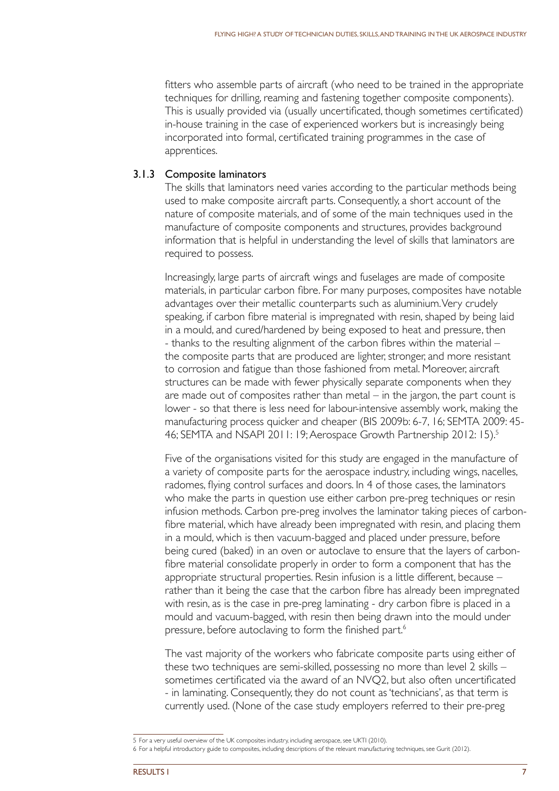fitters who assemble parts of aircraft (who need to be trained in the appropriate techniques for drilling, reaming and fastening together composite components). This is usually provided via (usually uncertificated, though sometimes certificated) in-house training in the case of experienced workers but is increasingly being incorporated into formal, certificated training programmes in the case of apprentices.

#### 3.1.3 Composite laminators

The skills that laminators need varies according to the particular methods being used to make composite aircraft parts. Consequently, a short account of the nature of composite materials, and of some of the main techniques used in the manufacture of composite components and structures, provides background information that is helpful in understanding the level of skills that laminators are required to possess.

Increasingly, large parts of aircraft wings and fuselages are made of composite materials, in particular carbon fibre. For many purposes, composites have notable advantages over their metallic counterparts such as aluminium. Very crudely speaking, if carbon fibre material is impregnated with resin, shaped by being laid in a mould, and cured/hardened by being exposed to heat and pressure, then - thanks to the resulting alignment of the carbon fibres within the material – the composite parts that are produced are lighter, stronger, and more resistant to corrosion and fatigue than those fashioned from metal. Moreover, aircraft structures can be made with fewer physically separate components when they are made out of composites rather than metal – in the jargon, the part count is lower - so that there is less need for labour-intensive assembly work, making the manufacturing process quicker and cheaper (BIS 2009b: 6-7, 16; SEMTA 2009: 45- 46; SEMTA and NSAPI 2011: 19; Aerospace Growth Partnership 2012: 15).5

Five of the organisations visited for this study are engaged in the manufacture of a variety of composite parts for the aerospace industry, including wings, nacelles, radomes, flying control surfaces and doors. In 4 of those cases, the laminators who make the parts in question use either carbon pre-preg techniques or resin infusion methods. Carbon pre-preg involves the laminator taking pieces of carbonfibre material, which have already been impregnated with resin, and placing them in a mould, which is then vacuum-bagged and placed under pressure, before being cured (baked) in an oven or autoclave to ensure that the layers of carbonfibre material consolidate properly in order to form a component that has the appropriate structural properties. Resin infusion is a little different, because – rather than it being the case that the carbon fibre has already been impregnated with resin, as is the case in pre-preg laminating - dry carbon fibre is placed in a mould and vacuum-bagged, with resin then being drawn into the mould under pressure, before autoclaving to form the finished part.<sup>6</sup>

The vast majority of the workers who fabricate composite parts using either of these two techniques are semi-skilled, possessing no more than level 2 skills – sometimes certificated via the award of an NVQ2, but also often uncertificated - in laminating. Consequently, they do not count as 'technicians', as that term is currently used. (None of the case study employers referred to their pre-preg

<sup>5</sup> For a very useful overview of the UK composites industry, including aerospace, see UKTI (2010).

<sup>6</sup> For a helpful introductory guide to composites, including descriptions of the relevant manufacturing techniques, see Gurit (2012).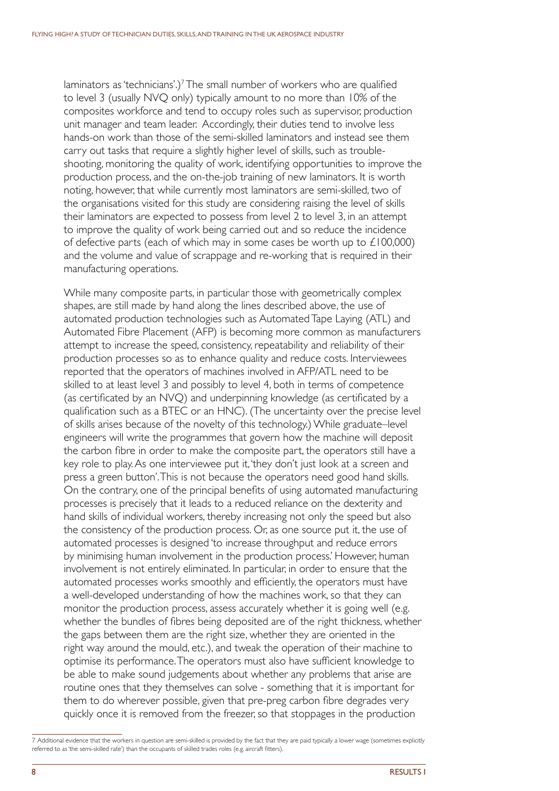laminators as 'technicians'.)<sup>7</sup> The small number of workers who are qualified to level 3 (usually NVQ only) typically amount to no more than 10% of the composites workforce and tend to occupy roles such as supervisor, production unit manager and team leader. Accordingly, their duties tend to involve less hands-on work than those of the semi-skilled laminators and instead see them carry out tasks that require a slightly higher level of skills, such as troubleshooting, monitoring the quality of work, identifying opportunities to improve the production process, and the on-the-job training of new laminators. It is worth noting, however, that while currently most laminators are semi-skilled, two of the organisations visited for this study are considering raising the level of skills their laminators are expected to possess from level 2 to level 3, in an attempt to improve the quality of work being carried out and so reduce the incidence of defective parts (each of which may in some cases be worth up to  $£100,000$ ) and the volume and value of scrappage and re-working that is required in their manufacturing operations.

While many composite parts, in particular those with geometrically complex shapes, are still made by hand along the lines described above, the use of automated production technologies such as Automated Tape Laying (ATL) and Automated Fibre Placement (AFP) is becoming more common as manufacturers attempt to increase the speed, consistency, repeatability and reliability of their production processes so as to enhance quality and reduce costs. Interviewees reported that the operators of machines involved in AFP/ATL need to be skilled to at least level 3 and possibly to level 4, both in terms of competence (as certificated by an NVQ) and underpinning knowledge (as certificated by a qualification such as a BTEC or an HNC). (The uncertainty over the precise level of skills arises because of the novelty of this technology.) While graduate–level engineers will write the programmes that govern how the machine will deposit the carbon fibre in order to make the composite part, the operators still have a key role to play. As one interviewee put it, 'they don't just look at a screen and press a green button'. This is not because the operators need good hand skills. On the contrary, one of the principal benefits of using automated manufacturing processes is precisely that it leads to a reduced reliance on the dexterity and hand skills of individual workers, thereby increasing not only the speed but also the consistency of the production process. Or, as one source put it, the use of automated processes is designed 'to increase throughput and reduce errors by minimising human involvement in the production process.' However, human involvement is not entirely eliminated. In particular, in order to ensure that the automated processes works smoothly and efficiently, the operators must have a well-developed understanding of how the machines work, so that they can monitor the production process, assess accurately whether it is going well (e.g. whether the bundles of fibres being deposited are of the right thickness, whether the gaps between them are the right size, whether they are oriented in the right way around the mould, etc.), and tweak the operation of their machine to optimise its performance. The operators must also have sufficient knowledge to be able to make sound judgements about whether any problems that arise are routine ones that they themselves can solve - something that it is important for them to do wherever possible, given that pre-preg carbon fibre degrades very quickly once it is removed from the freezer, so that stoppages in the production

<sup>7</sup> Additional evidence that the workers in question are semi-skilled is provided by the fact that they are paid typically a lower wage (sometimes explicitly referred to as 'the semi-skilled rate') than the occupants of skilled trades roles (e.g. aircraft fitters).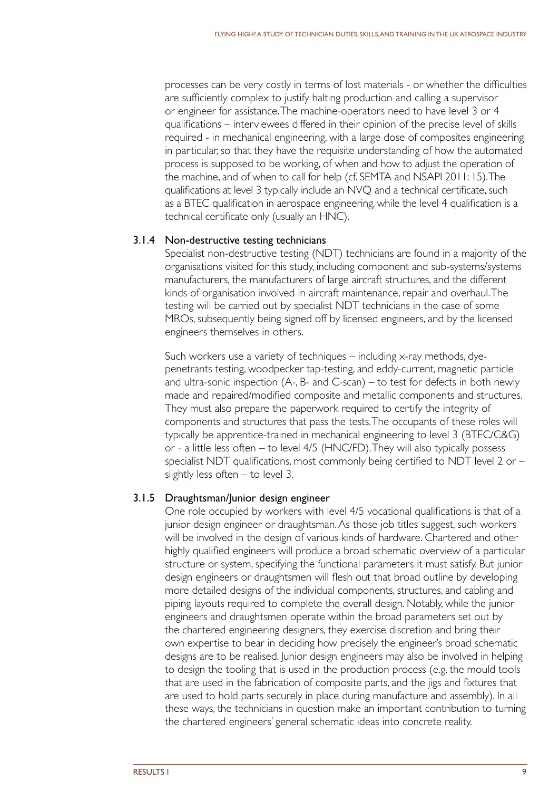processes can be very costly in terms of lost materials - or whether the difficulties are sufficiently complex to justify halting production and calling a supervisor or engineer for assistance. The machine-operators need to have level 3 or 4 qualifications – interviewees differed in their opinion of the precise level of skills required - in mechanical engineering, with a large dose of composites engineering in particular, so that they have the requisite understanding of how the automated process is supposed to be working, of when and how to adjust the operation of the machine, and of when to call for help (cf. SEMTA and NSAPI 2011: 15). The qualifications at level 3 typically include an NVQ and a technical certificate, such as a BTEC qualification in aerospace engineering, while the level 4 qualification is a technical certificate only (usually an HNC).

#### 3.1.4 Non-destructive testing technicians

Specialist non-destructive testing (NDT) technicians are found in a majority of the organisations visited for this study, including component and sub-systems/systems manufacturers, the manufacturers of large aircraft structures, and the different kinds of organisation involved in aircraft maintenance, repair and overhaul. The testing will be carried out by specialist NDT technicians in the case of some MROs, subsequently being signed off by licensed engineers, and by the licensed engineers themselves in others.

Such workers use a variety of techniques – including x-ray methods, dyepenetrants testing, woodpecker tap-testing, and eddy-current, magnetic particle and ultra-sonic inspection  $(A-, B-$  and  $C$ -scan) – to test for defects in both newly made and repaired/modified composite and metallic components and structures. They must also prepare the paperwork required to certify the integrity of components and structures that pass the tests. The occupants of these roles will typically be apprentice-trained in mechanical engineering to level 3 (BTEC/C&G) or - a little less often – to level 4/5 (HNC/FD). They will also typically possess specialist NDT qualifications, most commonly being certified to NDT level 2 or – slightly less often – to level 3.

# 3.1.5 Draughtsman/Junior design engineer

One role occupied by workers with level 4/5 vocational qualifications is that of a junior design engineer or draughtsman. As those job titles suggest, such workers will be involved in the design of various kinds of hardware. Chartered and other highly qualified engineers will produce a broad schematic overview of a particular structure or system, specifying the functional parameters it must satisfy. But junior design engineers or draughtsmen will flesh out that broad outline by developing more detailed designs of the individual components, structures, and cabling and piping layouts required to complete the overall design. Notably, while the junior engineers and draughtsmen operate within the broad parameters set out by the chartered engineering designers, they exercise discretion and bring their own expertise to bear in deciding how precisely the engineer's broad schematic designs are to be realised. Junior design engineers may also be involved in helping to design the tooling that is used in the production process (e.g. the mould tools that are used in the fabrication of composite parts, and the jigs and fixtures that are used to hold parts securely in place during manufacture and assembly). In all these ways, the technicians in question make an important contribution to turning the chartered engineers' general schematic ideas into concrete reality.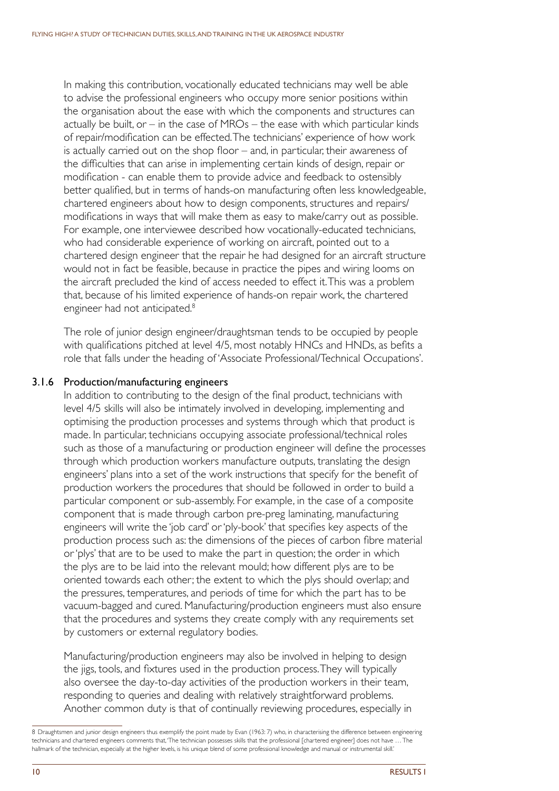In making this contribution, vocationally educated technicians may well be able to advise the professional engineers who occupy more senior positions within the organisation about the ease with which the components and structures can actually be built, or  $-$  in the case of MROs  $-$  the ease with which particular kinds of repair/modification can be effected. The technicians' experience of how work is actually carried out on the shop floor – and, in particular, their awareness of the difficulties that can arise in implementing certain kinds of design, repair or modification - can enable them to provide advice and feedback to ostensibly better qualified, but in terms of hands-on manufacturing often less knowledgeable, chartered engineers about how to design components, structures and repairs/ modifications in ways that will make them as easy to make/carry out as possible. For example, one interviewee described how vocationally-educated technicians, who had considerable experience of working on aircraft, pointed out to a chartered design engineer that the repair he had designed for an aircraft structure would not in fact be feasible, because in practice the pipes and wiring looms on the aircraft precluded the kind of access needed to effect it. This was a problem that, because of his limited experience of hands-on repair work, the chartered engineer had not anticipated.<sup>8</sup>

The role of junior design engineer/draughtsman tends to be occupied by people with qualifications pitched at level 4/5, most notably HNCs and HNDs, as befits a role that falls under the heading of 'Associate Professional/Technical Occupations'.

#### 3.1.6 Production/manufacturing engineers

In addition to contributing to the design of the final product, technicians with level 4/5 skills will also be intimately involved in developing, implementing and optimising the production processes and systems through which that product is made. In particular, technicians occupying associate professional/technical roles such as those of a manufacturing or production engineer will define the processes through which production workers manufacture outputs, translating the design engineers' plans into a set of the work instructions that specify for the benefit of production workers the procedures that should be followed in order to build a particular component or sub-assembly. For example, in the case of a composite component that is made through carbon pre-preg laminating, manufacturing engineers will write the 'job card' or 'ply-book' that specifies key aspects of the production process such as: the dimensions of the pieces of carbon fibre material or 'plys' that are to be used to make the part in question; the order in which the plys are to be laid into the relevant mould; how different plys are to be oriented towards each other; the extent to which the plys should overlap; and the pressures, temperatures, and periods of time for which the part has to be vacuum-bagged and cured. Manufacturing/production engineers must also ensure that the procedures and systems they create comply with any requirements set by customers or external regulatory bodies.

Manufacturing/production engineers may also be involved in helping to design the jigs, tools, and fixtures used in the production process. They will typically also oversee the day-to-day activities of the production workers in their team, responding to queries and dealing with relatively straightforward problems. Another common duty is that of continually reviewing procedures, especially in

<sup>8</sup> Draughtsmen and junior design engineers thus exemplify the point made by Evan (1963: 7) who, in characterising the difference between engineering technicians and chartered engineers comments that, 'The technician possesses skills that the professional [chartered engineer] does not have … The hallmark of the technician, especially at the higher levels, is his unique blend of some professional knowledge and manual or instrumental skill.'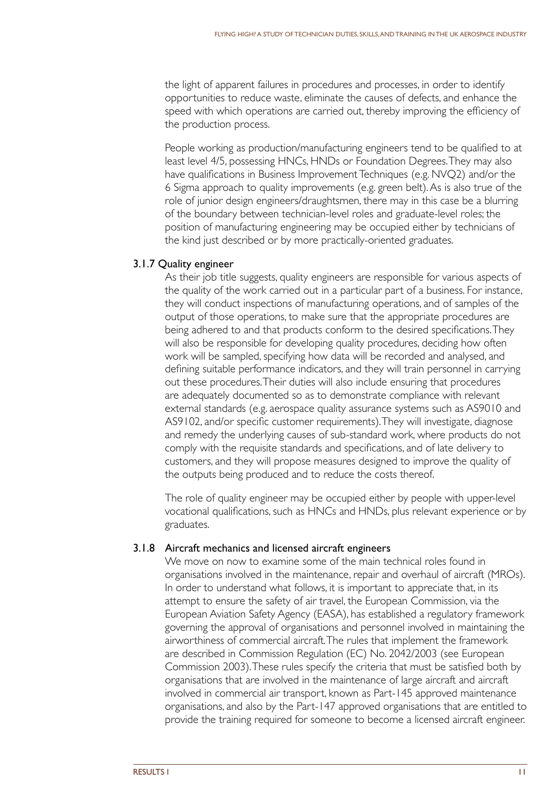the light of apparent failures in procedures and processes, in order to identify opportunities to reduce waste, eliminate the causes of defects, and enhance the speed with which operations are carried out, thereby improving the efficiency of the production process.

People working as production/manufacturing engineers tend to be qualified to at least level 4/5, possessing HNCs, HNDs or Foundation Degrees. They may also have qualifications in Business Improvement Techniques (e.g. NVQ2) and/or the 6 Sigma approach to quality improvements (e.g. green belt). As is also true of the role of junior design engineers/draughtsmen, there may in this case be a blurring of the boundary between technician-level roles and graduate-level roles; the position of manufacturing engineering may be occupied either by technicians of the kind just described or by more practically-oriented graduates.

#### 3.1.7 Quality engineer

As their job title suggests, quality engineers are responsible for various aspects of the quality of the work carried out in a particular part of a business. For instance, they will conduct inspections of manufacturing operations, and of samples of the output of those operations, to make sure that the appropriate procedures are being adhered to and that products conform to the desired specifications. They will also be responsible for developing quality procedures, deciding how often work will be sampled, specifying how data will be recorded and analysed, and defining suitable performance indicators, and they will train personnel in carrying out these procedures. Their duties will also include ensuring that procedures are adequately documented so as to demonstrate compliance with relevant external standards (e.g. aerospace quality assurance systems such as AS9010 and AS9102, and/or specific customer requirements). They will investigate, diagnose and remedy the underlying causes of sub-standard work, where products do not comply with the requisite standards and specifications, and of late delivery to customers, and they will propose measures designed to improve the quality of the outputs being produced and to reduce the costs thereof.

The role of quality engineer may be occupied either by people with upper-level vocational qualifications, such as HNCs and HNDs, plus relevant experience or by graduates.

#### 3.1.8 Aircraft mechanics and licensed aircraft engineers

We move on now to examine some of the main technical roles found in organisations involved in the maintenance, repair and overhaul of aircraft (MROs). In order to understand what follows, it is important to appreciate that, in its attempt to ensure the safety of air travel, the European Commission, via the European Aviation Safety Agency (EASA), has established a regulatory framework governing the approval of organisations and personnel involved in maintaining the airworthiness of commercial aircraft. The rules that implement the framework are described in Commission Regulation (EC) No. 2042/2003 (see European Commission 2003). These rules specify the criteria that must be satisfied both by organisations that are involved in the maintenance of large aircraft and aircraft involved in commercial air transport, known as Part-145 approved maintenance organisations, and also by the Part-147 approved organisations that are entitled to provide the training required for someone to become a licensed aircraft engineer.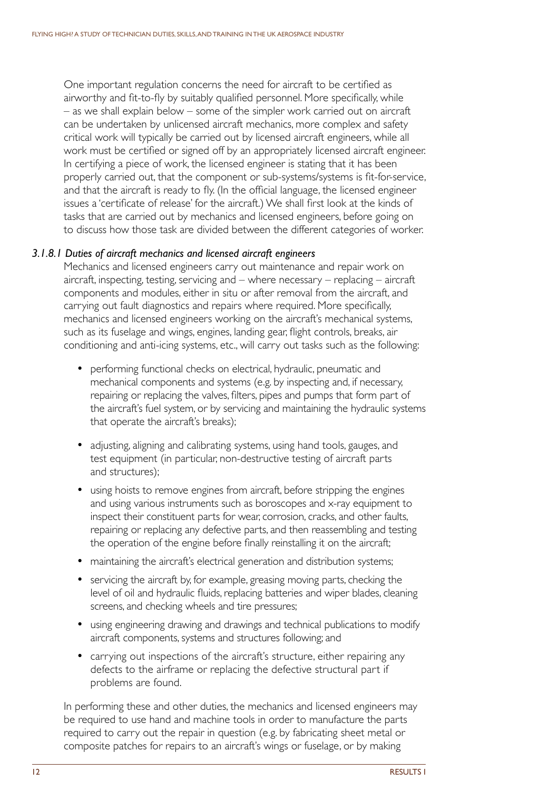One important regulation concerns the need for aircraft to be certified as airworthy and fit-to-fly by suitably qualified personnel. More specifically, while – as we shall explain below – some of the simpler work carried out on aircraft can be undertaken by unlicensed aircraft mechanics, more complex and safety critical work will typically be carried out by licensed aircraft engineers, while all work must be certified or signed off by an appropriately licensed aircraft engineer. In certifying a piece of work, the licensed engineer is stating that it has been properly carried out, that the component or sub-systems/systems is fit-for-service, and that the aircraft is ready to fly. (In the official language, the licensed engineer issues a 'certificate of release' for the aircraft.) We shall first look at the kinds of tasks that are carried out by mechanics and licensed engineers, before going on to discuss how those task are divided between the different categories of worker.

#### *3.1.8.1 Duties of aircraft mechanics and licensed aircraft engineers*

Mechanics and licensed engineers carry out maintenance and repair work on aircraft, inspecting, testing, servicing and – where necessary – replacing – aircraft components and modules, either in situ or after removal from the aircraft, and carrying out fault diagnostics and repairs where required. More specifically, mechanics and licensed engineers working on the aircraft's mechanical systems, such as its fuselage and wings, engines, landing gear, flight controls, breaks, air conditioning and anti-icing systems, etc., will carry out tasks such as the following:

- performing functional checks on electrical, hydraulic, pneumatic and mechanical components and systems (e.g. by inspecting and, if necessary, repairing or replacing the valves, filters, pipes and pumps that form part of the aircraft's fuel system, or by servicing and maintaining the hydraulic systems that operate the aircraft's breaks);
- adjusting, aligning and calibrating systems, using hand tools, gauges, and test equipment (in particular, non-destructive testing of aircraft parts and structures);
- using hoists to remove engines from aircraft, before stripping the engines and using various instruments such as boroscopes and x-ray equipment to inspect their constituent parts for wear, corrosion, cracks, and other faults, repairing or replacing any defective parts, and then reassembling and testing the operation of the engine before finally reinstalling it on the aircraft;
- maintaining the aircraft's electrical generation and distribution systems;
- servicing the aircraft by, for example, greasing moving parts, checking the level of oil and hydraulic fluids, replacing batteries and wiper blades, cleaning screens, and checking wheels and tire pressures;
- using engineering drawing and drawings and technical publications to modify aircraft components, systems and structures following; and
- carrying out inspections of the aircraft's structure, either repairing any defects to the airframe or replacing the defective structural part if problems are found.

In performing these and other duties, the mechanics and licensed engineers may be required to use hand and machine tools in order to manufacture the parts required to carry out the repair in question (e.g. by fabricating sheet metal or composite patches for repairs to an aircraft's wings or fuselage, or by making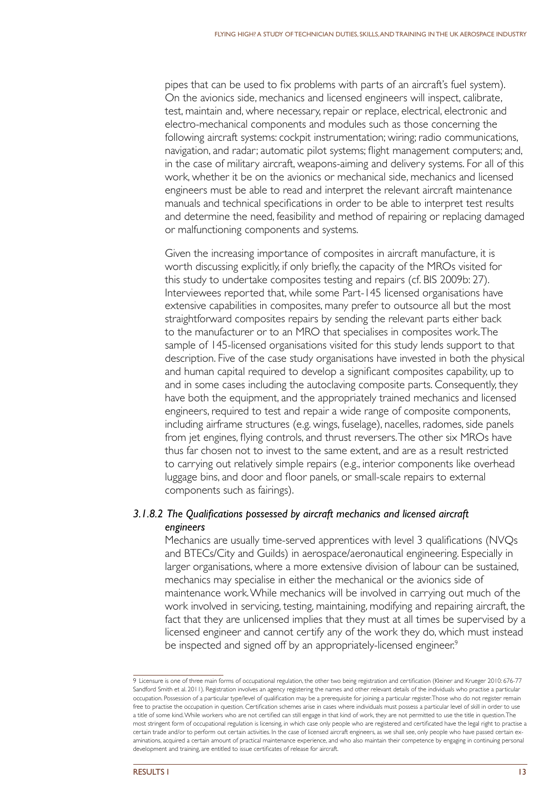pipes that can be used to fix problems with parts of an aircraft's fuel system). On the avionics side, mechanics and licensed engineers will inspect, calibrate, test, maintain and, where necessary, repair or replace, electrical, electronic and electro-mechanical components and modules such as those concerning the following aircraft systems: cockpit instrumentation; wiring; radio communications, navigation, and radar; automatic pilot systems; flight management computers; and, in the case of military aircraft, weapons-aiming and delivery systems. For all of this work, whether it be on the avionics or mechanical side, mechanics and licensed engineers must be able to read and interpret the relevant aircraft maintenance manuals and technical specifications in order to be able to interpret test results and determine the need, feasibility and method of repairing or replacing damaged or malfunctioning components and systems.

Given the increasing importance of composites in aircraft manufacture, it is worth discussing explicitly, if only briefly, the capacity of the MROs visited for this study to undertake composites testing and repairs (cf. BIS 2009b: 27). Interviewees reported that, while some Part-145 licensed organisations have extensive capabilities in composites, many prefer to outsource all but the most straightforward composites repairs by sending the relevant parts either back to the manufacturer or to an MRO that specialises in composites work. The sample of 145-licensed organisations visited for this study lends support to that description. Five of the case study organisations have invested in both the physical and human capital required to develop a significant composites capability, up to and in some cases including the autoclaving composite parts. Consequently, they have both the equipment, and the appropriately trained mechanics and licensed engineers, required to test and repair a wide range of composite components, including airframe structures (e.g. wings, fuselage), nacelles, radomes, side panels from jet engines, flying controls, and thrust reversers. The other six MROs have thus far chosen not to invest to the same extent, and are as a result restricted to carrying out relatively simple repairs (e.g., interior components like overhead luggage bins, and door and floor panels, or small-scale repairs to external components such as fairings).

# *3.1.8.2 The Qualifications possessed by aircraft mechanics and licensed aircraft engineers*

Mechanics are usually time-served apprentices with level 3 qualifications (NVQs and BTECs/City and Guilds) in aerospace/aeronautical engineering. Especially in larger organisations, where a more extensive division of labour can be sustained, mechanics may specialise in either the mechanical or the avionics side of maintenance work. While mechanics will be involved in carrying out much of the work involved in servicing, testing, maintaining, modifying and repairing aircraft, the fact that they are unlicensed implies that they must at all times be supervised by a licensed engineer and cannot certify any of the work they do, which must instead be inspected and signed off by an appropriately-licensed engineer.<sup>9</sup>

<sup>9</sup> Licensure is one of three main forms of occupational regulation, the other two being registration and certification (Kleiner and Krueger 2010: 676-77 Sandford Smith et al. 2011). Registration involves an agency registering the names and other relevant details of the individuals who practise a particular occupation. Possession of a particular type/level of qualification may be a prerequisite for joining a particular register. Those who do not register remain free to practise the occupation in question. Certification schemes arise in cases where individuals must possess a particular level of skill in order to use a title of some kind. While workers who are not certified can still engage in that kind of work, they are not permitted to use the title in question. The most stringent form of occupational regulation is licensing, in which case only people who are registered and certificated have the legal right to practise a certain trade and/or to perform out certain activities. In the case of licensed aircraft engineers, as we shall see, only people who have passed certain examinations, acquired a certain amount of practical maintenance experience, and who also maintain their competence by engaging in continuing personal development and training, are entitled to issue certificates of release for aircraft.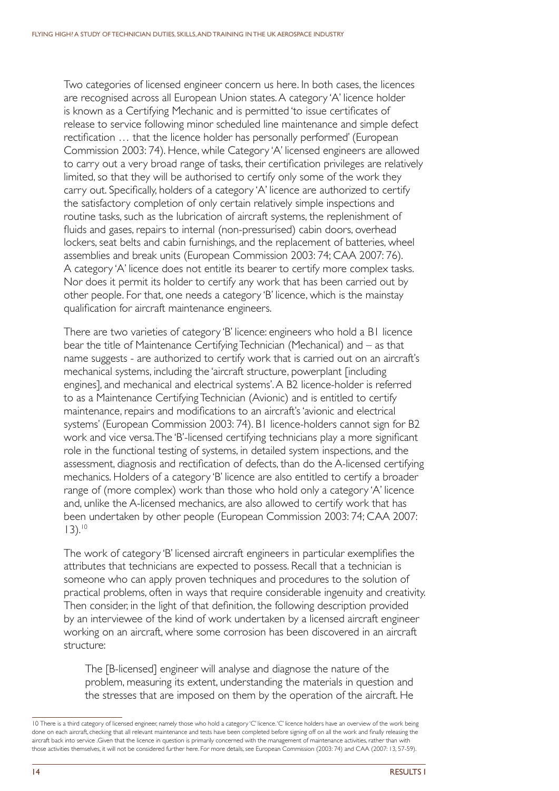Two categories of licensed engineer concern us here. In both cases, the licences are recognised across all European Union states. A category 'A' licence holder is known as a Certifying Mechanic and is permitted 'to issue certificates of release to service following minor scheduled line maintenance and simple defect rectification … that the licence holder has personally performed' (European Commission 2003: 74). Hence, while Category 'A' licensed engineers are allowed to carry out a very broad range of tasks, their certification privileges are relatively limited, so that they will be authorised to certify only some of the work they carry out. Specifically, holders of a category 'A' licence are authorized to certify the satisfactory completion of only certain relatively simple inspections and routine tasks, such as the lubrication of aircraft systems, the replenishment of fluids and gases, repairs to internal (non-pressurised) cabin doors, overhead lockers, seat belts and cabin furnishings, and the replacement of batteries, wheel assemblies and break units (European Commission 2003: 74; CAA 2007: 76). A category 'A' licence does not entitle its bearer to certify more complex tasks. Nor does it permit its holder to certify any work that has been carried out by other people. For that, one needs a category 'B' licence, which is the mainstay qualification for aircraft maintenance engineers.

There are two varieties of category 'B' licence: engineers who hold a B1 licence bear the title of Maintenance Certifying Technician (Mechanical) and – as that name suggests - are authorized to certify work that is carried out on an aircraft's mechanical systems, including the 'aircraft structure, powerplant [including engines], and mechanical and electrical systems'. A B2 licence-holder is referred to as a Maintenance Certifying Technician (Avionic) and is entitled to certify maintenance, repairs and modifications to an aircraft's 'avionic and electrical systems' (European Commission 2003: 74). B1 licence-holders cannot sign for B2 work and vice versa. The 'B'-licensed certifying technicians play a more significant role in the functional testing of systems, in detailed system inspections, and the assessment, diagnosis and rectification of defects, than do the A-licensed certifying mechanics. Holders of a category 'B' licence are also entitled to certify a broader range of (more complex) work than those who hold only a category 'A' licence and, unlike the A-licensed mechanics, are also allowed to certify work that has been undertaken by other people (European Commission 2003: 74; CAA 2007:  $13$ ).<sup>10</sup>

The work of category 'B' licensed aircraft engineers in particular exemplifies the attributes that technicians are expected to possess. Recall that a technician is someone who can apply proven techniques and procedures to the solution of practical problems, often in ways that require considerable ingenuity and creativity. Then consider, in the light of that definition, the following description provided by an interviewee of the kind of work undertaken by a licensed aircraft engineer working on an aircraft, where some corrosion has been discovered in an aircraft structure:

The [B-licensed] engineer will analyse and diagnose the nature of the problem, measuring its extent, understanding the materials in question and the stresses that are imposed on them by the operation of the aircraft. He

<sup>10</sup> There is a third category of licensed engineer, namely those who hold a category 'C' licence. 'C' licence holders have an overview of the work being done on each aircraft, checking that all relevant maintenance and tests have been completed before signing off on all the work and finally releasing the aircraft back into service .Given that the licence in question is primarily concerned with the management of maintenance activities, rather than with those activities themselves, it will not be considered further here. For more details, see European Commission (2003: 74) and CAA (2007: 13, 57-59).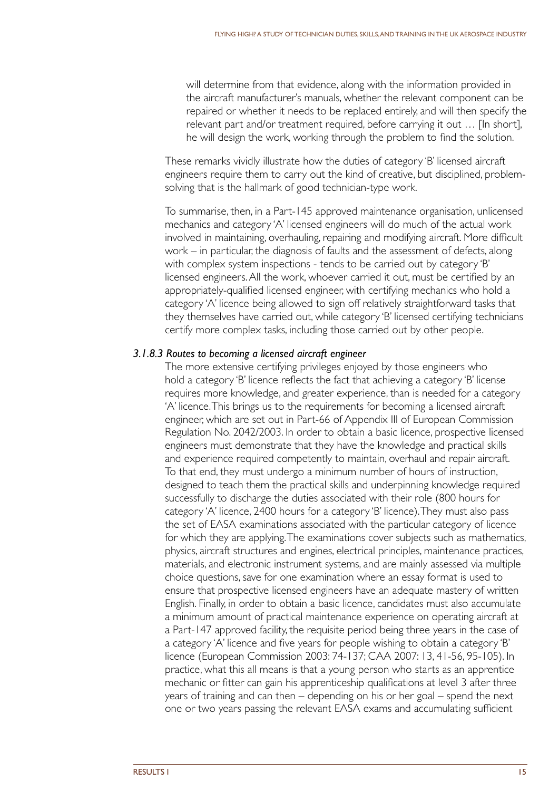will determine from that evidence, along with the information provided in the aircraft manufacturer's manuals, whether the relevant component can be repaired or whether it needs to be replaced entirely, and will then specify the relevant part and/or treatment required, before carrying it out … [In short], he will design the work, working through the problem to find the solution.

These remarks vividly illustrate how the duties of category 'B' licensed aircraft engineers require them to carry out the kind of creative, but disciplined, problemsolving that is the hallmark of good technician-type work.

To summarise, then, in a Part-145 approved maintenance organisation, unlicensed mechanics and category 'A' licensed engineers will do much of the actual work involved in maintaining, overhauling, repairing and modifying aircraft. More difficult work – in particular, the diagnosis of faults and the assessment of defects, along with complex system inspections - tends to be carried out by category 'B' licensed engineers. All the work, whoever carried it out, must be certified by an appropriately-qualified licensed engineer, with certifying mechanics who hold a category 'A' licence being allowed to sign off relatively straightforward tasks that they themselves have carried out, while category 'B' licensed certifying technicians certify more complex tasks, including those carried out by other people.

#### *3.1.8.3 Routes to becoming a licensed aircraft engineer*

The more extensive certifying privileges enjoyed by those engineers who hold a category 'B' licence reflects the fact that achieving a category 'B' license requires more knowledge, and greater experience, than is needed for a category 'A' licence. This brings us to the requirements for becoming a licensed aircraft engineer, which are set out in Part-66 of Appendix III of European Commission Regulation No. 2042/2003. In order to obtain a basic licence, prospective licensed engineers must demonstrate that they have the knowledge and practical skills and experience required competently to maintain, overhaul and repair aircraft. To that end, they must undergo a minimum number of hours of instruction, designed to teach them the practical skills and underpinning knowledge required successfully to discharge the duties associated with their role (800 hours for category 'A' licence, 2400 hours for a category 'B' licence). They must also pass the set of EASA examinations associated with the particular category of licence for which they are applying. The examinations cover subjects such as mathematics, physics, aircraft structures and engines, electrical principles, maintenance practices, materials, and electronic instrument systems, and are mainly assessed via multiple choice questions, save for one examination where an essay format is used to ensure that prospective licensed engineers have an adequate mastery of written English. Finally, in order to obtain a basic licence, candidates must also accumulate a minimum amount of practical maintenance experience on operating aircraft at a Part-147 approved facility, the requisite period being three years in the case of a category 'A' licence and five years for people wishing to obtain a category 'B' licence (European Commission 2003: 74-137; CAA 2007: 13, 41-56, 95-105). In practice, what this all means is that a young person who starts as an apprentice mechanic or fitter can gain his apprenticeship qualifications at level 3 after three years of training and can then – depending on his or her goal – spend the next one or two years passing the relevant EASA exams and accumulating sufficient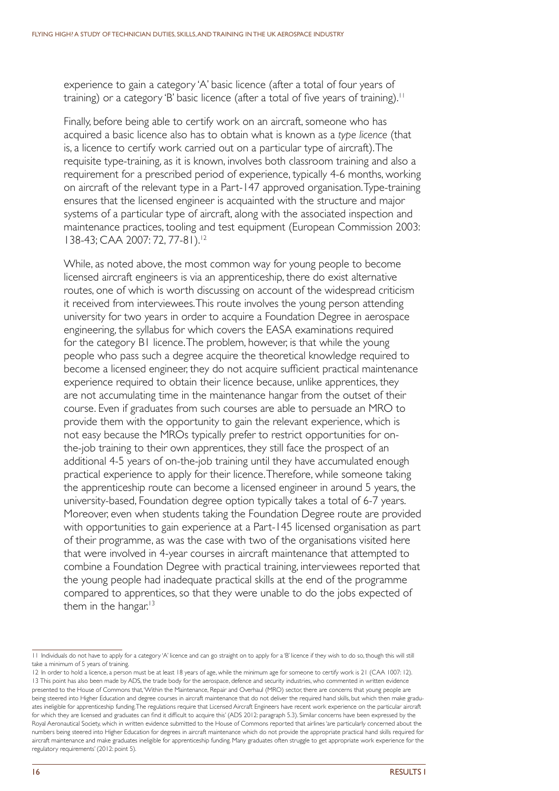experience to gain a category 'A' basic licence (after a total of four years of training) or a category 'B' basic licence (after a total of five years of training).<sup>11</sup>

Finally, before being able to certify work on an aircraft, someone who has acquired a basic licence also has to obtain what is known as a *type licence* (that is, a licence to certify work carried out on a particular type of aircraft). The requisite type-training, as it is known, involves both classroom training and also a requirement for a prescribed period of experience, typically 4-6 months, working on aircraft of the relevant type in a Part-147 approved organisation. Type-training ensures that the licensed engineer is acquainted with the structure and major systems of a particular type of aircraft, along with the associated inspection and maintenance practices, tooling and test equipment (European Commission 2003: 138-43; CAA 2007: 72, 77-81).<sup>12</sup>

While, as noted above, the most common way for young people to become licensed aircraft engineers is via an apprenticeship, there do exist alternative routes, one of which is worth discussing on account of the widespread criticism it received from interviewees. This route involves the young person attending university for two years in order to acquire a Foundation Degree in aerospace engineering, the syllabus for which covers the EASA examinations required for the category B1 licence. The problem, however, is that while the young people who pass such a degree acquire the theoretical knowledge required to become a licensed engineer, they do not acquire sufficient practical maintenance experience required to obtain their licence because, unlike apprentices, they are not accumulating time in the maintenance hangar from the outset of their course. Even if graduates from such courses are able to persuade an MRO to provide them with the opportunity to gain the relevant experience, which is not easy because the MROs typically prefer to restrict opportunities for onthe-job training to their own apprentices, they still face the prospect of an additional 4-5 years of on-the-job training until they have accumulated enough practical experience to apply for their licence. Therefore, while someone taking the apprenticeship route can become a licensed engineer in around 5 years, the university-based, Foundation degree option typically takes a total of 6-7 years. Moreover, even when students taking the Foundation Degree route are provided with opportunities to gain experience at a Part-145 licensed organisation as part of their programme, as was the case with two of the organisations visited here that were involved in 4-year courses in aircraft maintenance that attempted to combine a Foundation Degree with practical training, interviewees reported that the young people had inadequate practical skills at the end of the programme compared to apprentices, so that they were unable to do the jobs expected of them in the hangar. $13$ 

<sup>11</sup> Individuals do not have to apply for a category 'A' licence and can go straight on to apply for a 'B' licence if they wish to do so, though this will still take a minimum of 5 years of training.

<sup>12</sup> In order to hold a licence, a person must be at least 18 years of age, while the minimum age for someone to certify work is 21 (CAA 1007: 12). 13 This point has also been made by ADS, the trade body for the aerospace, defence and security industries, who commented in written evidence presented to the House of Commons that, 'Within the Maintenance, Repair and Overhaul (MRO) sector, there are concerns that young people are being steered into Higher Education and degree courses in aircraft maintenance that do not deliver the required hand skills, but which then make graduates ineligible for apprenticeship funding. The regulations require that Licensed Aircraft Engineers have recent work experience on the particular aircraft for which they are licensed and graduates can find it difficult to acquire this' (ADS 2012: paragraph 5.3). Similar concerns have been expressed by the Royal Aeronautical Society, which in written evidence submitted to the House of Commons reported that airlines 'are particularly concerned about the numbers being steered into Higher Education for degrees in aircraft maintenance which do not provide the appropriate practical hand skills required for aircraft maintenance and make graduates ineligible for apprenticeship funding. Many graduates often struggle to get appropriate work experience for the regulatory requirements' (2012: point 5).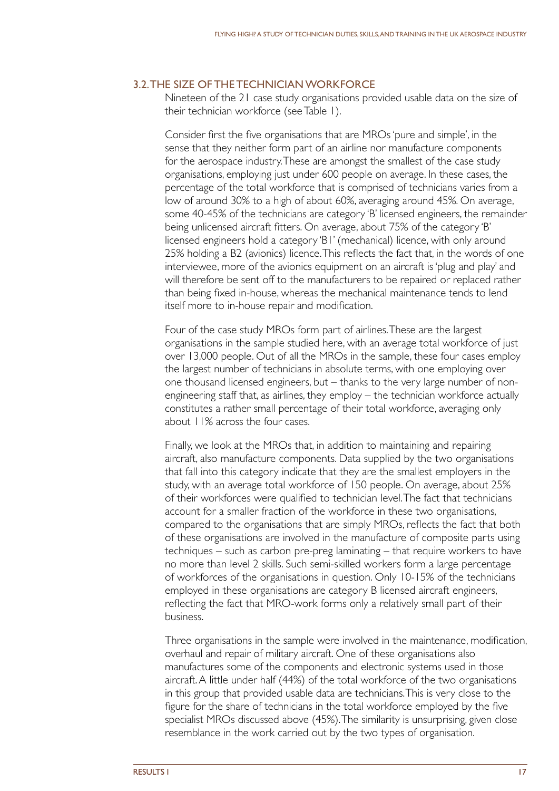#### 3.2. THE SIZE OF THE TECHNICIAN WORKFORCE

Nineteen of the 21 case study organisations provided usable data on the size of their technician workforce (see Table 1).

Consider first the five organisations that are MROs 'pure and simple', in the sense that they neither form part of an airline nor manufacture components for the aerospace industry. These are amongst the smallest of the case study organisations, employing just under 600 people on average. In these cases, the percentage of the total workforce that is comprised of technicians varies from a low of around 30% to a high of about 60%, averaging around 45%. On average, some 40-45% of the technicians are category 'B' licensed engineers, the remainder being unlicensed aircraft fitters. On average, about 75% of the category 'B' licensed engineers hold a category 'B1' (mechanical) licence, with only around 25% holding a B2 (avionics) licence. This reflects the fact that, in the words of one interviewee, more of the avionics equipment on an aircraft is 'plug and play' and will therefore be sent off to the manufacturers to be repaired or replaced rather than being fixed in-house, whereas the mechanical maintenance tends to lend itself more to in-house repair and modification.

Four of the case study MROs form part of airlines. These are the largest organisations in the sample studied here, with an average total workforce of just over 13,000 people. Out of all the MROs in the sample, these four cases employ the largest number of technicians in absolute terms, with one employing over one thousand licensed engineers, but – thanks to the very large number of nonengineering staff that, as airlines, they employ – the technician workforce actually constitutes a rather small percentage of their total workforce, averaging only about 11% across the four cases.

Finally, we look at the MROs that, in addition to maintaining and repairing aircraft, also manufacture components. Data supplied by the two organisations that fall into this category indicate that they are the smallest employers in the study, with an average total workforce of 150 people. On average, about 25% of their workforces were qualified to technician level. The fact that technicians account for a smaller fraction of the workforce in these two organisations, compared to the organisations that are simply MROs, reflects the fact that both of these organisations are involved in the manufacture of composite parts using techniques – such as carbon pre-preg laminating – that require workers to have no more than level 2 skills. Such semi-skilled workers form a large percentage of workforces of the organisations in question. Only 10-15% of the technicians employed in these organisations are category B licensed aircraft engineers, reflecting the fact that MRO-work forms only a relatively small part of their business.

Three organisations in the sample were involved in the maintenance, modification, overhaul and repair of military aircraft. One of these organisations also manufactures some of the components and electronic systems used in those aircraft. A little under half (44%) of the total workforce of the two organisations in this group that provided usable data are technicians. This is very close to the figure for the share of technicians in the total workforce employed by the five specialist MROs discussed above (45%). The similarity is unsurprising, given close resemblance in the work carried out by the two types of organisation.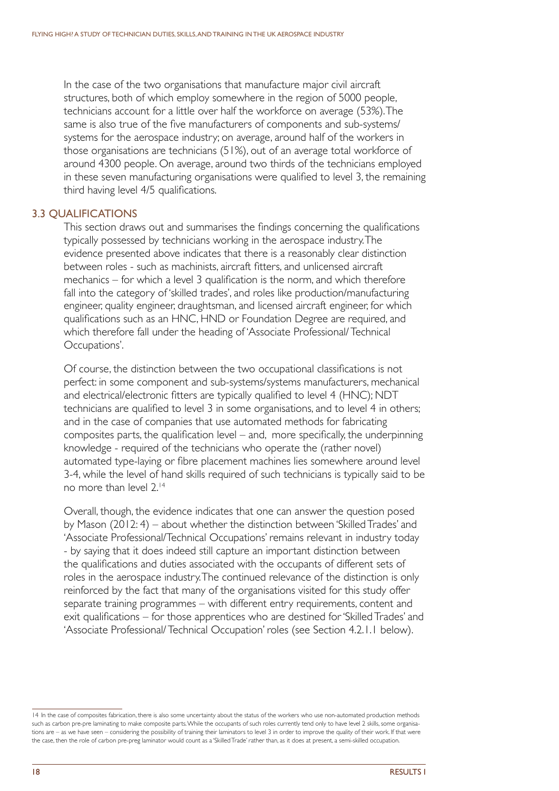In the case of the two organisations that manufacture major civil aircraft structures, both of which employ somewhere in the region of 5000 people, technicians account for a little over half the workforce on average (53%). The same is also true of the five manufacturers of components and sub-systems/ systems for the aerospace industry; on average, around half of the workers in those organisations are technicians (51%), out of an average total workforce of around 4300 people. On average, around two thirds of the technicians employed in these seven manufacturing organisations were qualified to level 3, the remaining third having level 4/5 qualifications.

#### 3.3 QUALIFICATIONS

This section draws out and summarises the findings concerning the qualifications typically possessed by technicians working in the aerospace industry. The evidence presented above indicates that there is a reasonably clear distinction between roles - such as machinists, aircraft fitters, and unlicensed aircraft mechanics – for which a level 3 qualification is the norm, and which therefore fall into the category of 'skilled trades', and roles like production/manufacturing engineer, quality engineer, draughtsman, and licensed aircraft engineer, for which qualifications such as an HNC, HND or Foundation Degree are required, and which therefore fall under the heading of 'Associate Professional/ Technical Occupations'.

Of course, the distinction between the two occupational classifications is not perfect: in some component and sub-systems/systems manufacturers, mechanical and electrical/electronic fitters are typically qualified to level 4 (HNC); NDT technicians are qualified to level 3 in some organisations, and to level 4 in others; and in the case of companies that use automated methods for fabricating composites parts, the qualification level  $-$  and, more specifically, the underpinning knowledge - required of the technicians who operate the (rather novel) automated type-laying or fibre placement machines lies somewhere around level 3-4, while the level of hand skills required of such technicians is typically said to be no more than level 2.14

Overall, though, the evidence indicates that one can answer the question posed by Mason (2012: 4) – about whether the distinction between 'Skilled Trades' and 'Associate Professional/Technical Occupations' remains relevant in industry today - by saying that it does indeed still capture an important distinction between the qualifications and duties associated with the occupants of different sets of roles in the aerospace industry. The continued relevance of the distinction is only reinforced by the fact that many of the organisations visited for this study offer separate training programmes – with different entry requirements, content and exit qualifications – for those apprentices who are destined for 'Skilled Trades' and 'Associate Professional/ Technical Occupation' roles (see Section 4.2.1.1 below).

<sup>14</sup> In the case of composites fabrication, there is also some uncertainty about the status of the workers who use non-automated production methods such as carbon pre-pre laminating to make composite parts. While the occupants of such roles currently tend only to have level 2 skills, some organisations are – as we have seen – considering the possibility of training their laminators to level 3 in order to improve the quality of their work. If that were the case, then the role of carbon pre-preg laminator would count as a 'Skilled Trade' rather than, as it does at present, a semi-skilled occupation.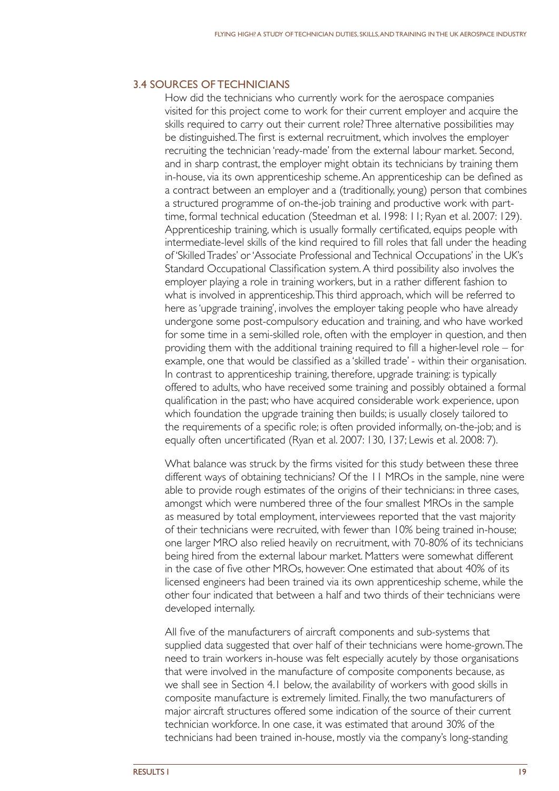#### 3.4 SOURCES OF TECHNICIANS

How did the technicians who currently work for the aerospace companies visited for this project come to work for their current employer and acquire the skills required to carry out their current role? Three alternative possibilities may be distinguished. The first is external recruitment, which involves the employer recruiting the technician 'ready-made' from the external labour market. Second, and in sharp contrast, the employer might obtain its technicians by training them in-house, via its own apprenticeship scheme. An apprenticeship can be defined as a contract between an employer and a (traditionally, young) person that combines a structured programme of on-the-job training and productive work with parttime, formal technical education (Steedman et al. 1998: 11; Ryan et al. 2007: 129). Apprenticeship training, which is usually formally certificated, equips people with intermediate-level skills of the kind required to fill roles that fall under the heading of 'Skilled Trades' or 'Associate Professional and Technical Occupations' in the UK's Standard Occupational Classification system. A third possibility also involves the employer playing a role in training workers, but in a rather different fashion to what is involved in apprenticeship. This third approach, which will be referred to here as 'upgrade training', involves the employer taking people who have already undergone some post-compulsory education and training, and who have worked for some time in a semi-skilled role, often with the employer in question, and then providing them with the additional training required to fill a higher-level role – for example, one that would be classified as a 'skilled trade' - within their organisation. In contrast to apprenticeship training, therefore, upgrade training: is typically offered to adults, who have received some training and possibly obtained a formal qualification in the past; who have acquired considerable work experience, upon which foundation the upgrade training then builds; is usually closely tailored to the requirements of a specific role; is often provided informally, on-the-job; and is equally often uncertificated (Ryan et al. 2007: 130, 137; Lewis et al. 2008: 7).

What balance was struck by the firms visited for this study between these three different ways of obtaining technicians? Of the 11 MROs in the sample, nine were able to provide rough estimates of the origins of their technicians: in three cases, amongst which were numbered three of the four smallest MROs in the sample as measured by total employment, interviewees reported that the vast majority of their technicians were recruited, with fewer than 10% being trained in-house; one larger MRO also relied heavily on recruitment, with 70-80% of its technicians being hired from the external labour market. Matters were somewhat different in the case of five other MROs, however. One estimated that about 40% of its licensed engineers had been trained via its own apprenticeship scheme, while the other four indicated that between a half and two thirds of their technicians were developed internally.

All five of the manufacturers of aircraft components and sub-systems that supplied data suggested that over half of their technicians were home-grown. The need to train workers in-house was felt especially acutely by those organisations that were involved in the manufacture of composite components because, as we shall see in Section 4.1 below, the availability of workers with good skills in composite manufacture is extremely limited. Finally, the two manufacturers of major aircraft structures offered some indication of the source of their current technician workforce. In one case, it was estimated that around 30% of the technicians had been trained in-house, mostly via the company's long-standing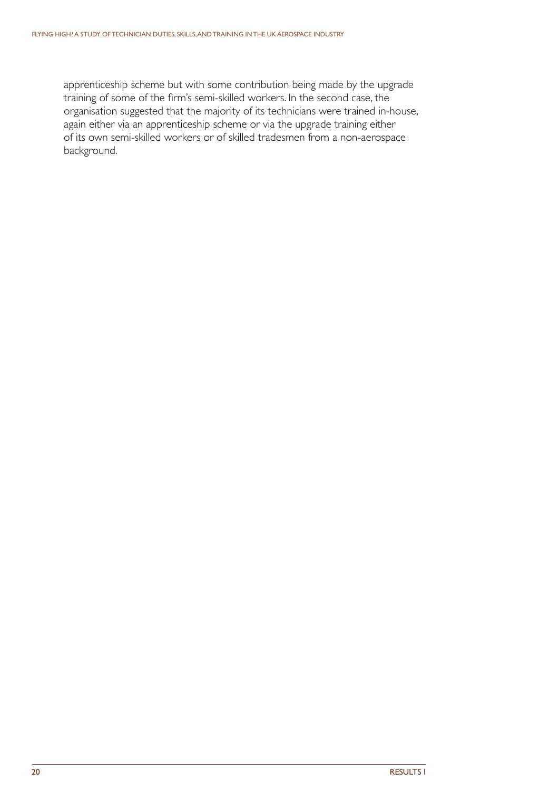apprenticeship scheme but with some contribution being made by the upgrade training of some of the firm's semi-skilled workers. In the second case, the organisation suggested that the majority of its technicians were trained in-house, again either via an apprenticeship scheme or via the upgrade training either of its own semi-skilled workers or of skilled tradesmen from a non-aerospace background.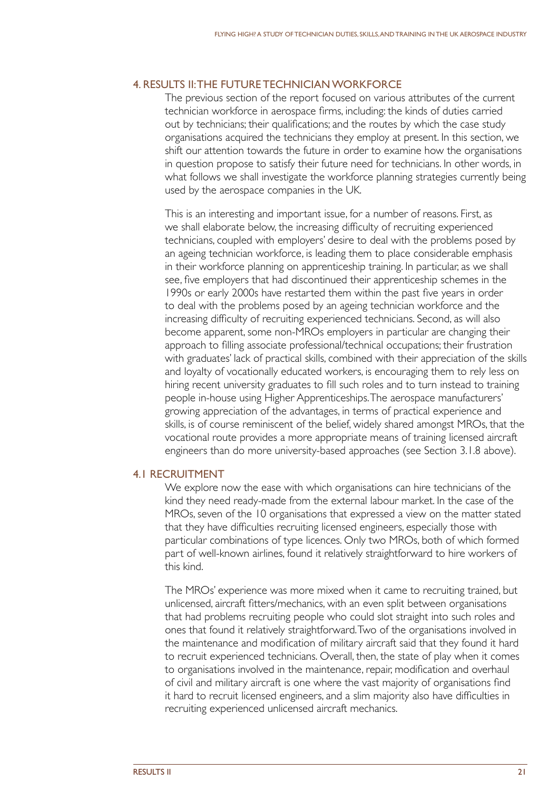#### 4. RESULTS II: THE FUTURE TECHNICIAN WORKFORCE

The previous section of the report focused on various attributes of the current technician workforce in aerospace firms, including: the kinds of duties carried out by technicians; their qualifications; and the routes by which the case study organisations acquired the technicians they employ at present. In this section, we shift our attention towards the future in order to examine how the organisations in question propose to satisfy their future need for technicians. In other words, in what follows we shall investigate the workforce planning strategies currently being used by the aerospace companies in the UK.

This is an interesting and important issue, for a number of reasons. First, as we shall elaborate below, the increasing difficulty of recruiting experienced technicians, coupled with employers' desire to deal with the problems posed by an ageing technician workforce, is leading them to place considerable emphasis in their workforce planning on apprenticeship training. In particular, as we shall see, five employers that had discontinued their apprenticeship schemes in the 1990s or early 2000s have restarted them within the past five years in order to deal with the problems posed by an ageing technician workforce and the increasing difficulty of recruiting experienced technicians. Second, as will also become apparent, some non-MROs employers in particular are changing their approach to filling associate professional/technical occupations; their frustration with graduates' lack of practical skills, combined with their appreciation of the skills and loyalty of vocationally educated workers, is encouraging them to rely less on hiring recent university graduates to fill such roles and to turn instead to training people in-house using Higher Apprenticeships. The aerospace manufacturers' growing appreciation of the advantages, in terms of practical experience and skills, is of course reminiscent of the belief, widely shared amongst MROs, that the vocational route provides a more appropriate means of training licensed aircraft engineers than do more university-based approaches (see Section 3.1.8 above).

#### 4.1 RECRUITMENT

We explore now the ease with which organisations can hire technicians of the kind they need ready-made from the external labour market. In the case of the MROs, seven of the 10 organisations that expressed a view on the matter stated that they have difficulties recruiting licensed engineers, especially those with particular combinations of type licences. Only two MROs, both of which formed part of well-known airlines, found it relatively straightforward to hire workers of this kind.

The MROs' experience was more mixed when it came to recruiting trained, but unlicensed, aircraft fitters/mechanics, with an even split between organisations that had problems recruiting people who could slot straight into such roles and ones that found it relatively straightforward. Two of the organisations involved in the maintenance and modification of military aircraft said that they found it hard to recruit experienced technicians. Overall, then, the state of play when it comes to organisations involved in the maintenance, repair, modification and overhaul of civil and military aircraft is one where the vast majority of organisations find it hard to recruit licensed engineers, and a slim majority also have difficulties in recruiting experienced unlicensed aircraft mechanics.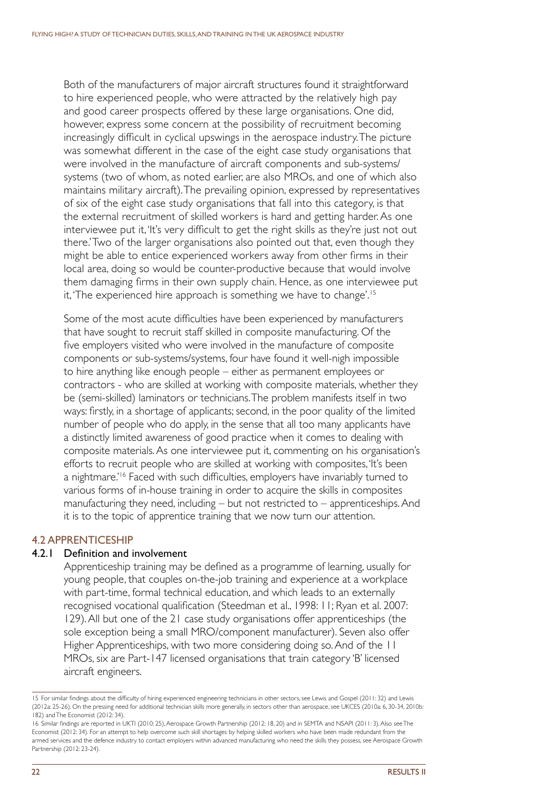Both of the manufacturers of major aircraft structures found it straightforward to hire experienced people, who were attracted by the relatively high pay and good career prospects offered by these large organisations. One did, however, express some concern at the possibility of recruitment becoming increasingly difficult in cyclical upswings in the aerospace industry. The picture was somewhat different in the case of the eight case study organisations that were involved in the manufacture of aircraft components and sub-systems/ systems (two of whom, as noted earlier, are also MROs, and one of which also maintains military aircraft). The prevailing opinion, expressed by representatives of six of the eight case study organisations that fall into this category, is that the external recruitment of skilled workers is hard and getting harder. As one interviewee put it, 'It's very difficult to get the right skills as they're just not out there.' Two of the larger organisations also pointed out that, even though they might be able to entice experienced workers away from other firms in their local area, doing so would be counter-productive because that would involve them damaging firms in their own supply chain. Hence, as one interviewee put it, 'The experienced hire approach is something we have to change'.15

Some of the most acute difficulties have been experienced by manufacturers that have sought to recruit staff skilled in composite manufacturing. Of the five employers visited who were involved in the manufacture of composite components or sub-systems/systems, four have found it well-nigh impossible to hire anything like enough people – either as permanent employees or contractors - who are skilled at working with composite materials, whether they be (semi-skilled) laminators or technicians. The problem manifests itself in two ways: firstly, in a shortage of applicants; second, in the poor quality of the limited number of people who do apply, in the sense that all too many applicants have a distinctly limited awareness of good practice when it comes to dealing with composite materials. As one interviewee put it, commenting on his organisation's efforts to recruit people who are skilled at working with composites, 'It's been a nightmare.<sup>'16</sup> Faced with such difficulties, employers have invariably turned to various forms of in-house training in order to acquire the skills in composites manufacturing they need, including – but not restricted to – apprenticeships. And it is to the topic of apprentice training that we now turn our attention.

#### 4.2 APPRENTICESHIP

#### 4.2.1 Definition and involvement

Apprenticeship training may be defined as a programme of learning, usually for young people, that couples on-the-job training and experience at a workplace with part-time, formal technical education, and which leads to an externally recognised vocational qualification (Steedman et al., 1998: 11; Ryan et al. 2007: 129). All but one of the 21 case study organisations offer apprenticeships (the sole exception being a small MRO/component manufacturer). Seven also offer Higher Apprenticeships, with two more considering doing so. And of the 11 MROs, six are Part-147 licensed organisations that train category 'B' licensed aircraft engineers.

<sup>15</sup> For similar findings about the difficulty of hiring experienced engineering technicians in other sectors, see Lewis and Gospel (2011: 32) and Lewis (2012a: 25-26). On the pressing need for additional technician skills more generally, in sectors other than aerospace, see UKCES (2010a: 6, 30-34, 2010b: 182) and The Economist (2012: 34).

<sup>16</sup> Similar findings are reported in UKTI (2010: 25), Aerospace Growth Partnership (2012: 18, 20) and in SEMTA and NSAPI (2011: 3). Also see The Economist (2012: 34). For an attempt to help overcome such skill shortages by helping skilled workers who have been made redundant from the armed services and the defence industry to contact employers within advanced manufacturing who need the skills they possess, see Aerospace Growth Partnership (2012: 23-24).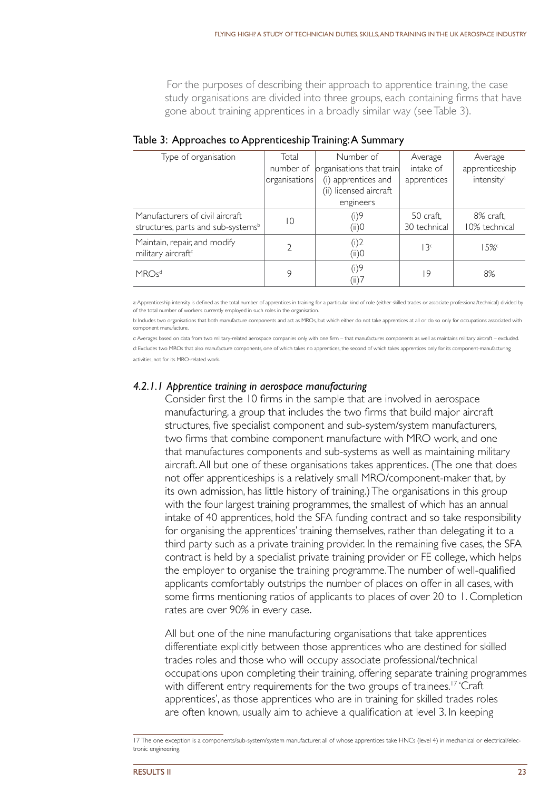For the purposes of describing their approach to apprentice training, the case study organisations are divided into three groups, each containing firms that have gone about training apprentices in a broadly similar way (see Table 3).

| Type of organisation                           | Total         | Number of                | Average         | Average                |
|------------------------------------------------|---------------|--------------------------|-----------------|------------------------|
|                                                | number of     | organisations that train | intake of       | apprenticeship         |
|                                                | organisations | (i) apprentices and      | apprentices     | intensity <sup>a</sup> |
|                                                |               | (ii) licensed aircraft   |                 |                        |
|                                                |               | engineers                |                 |                        |
| Manufacturers of civil aircraft                |               | (i)9                     | 50 craft,       | 8% craft,              |
| structures, parts and sub-systems <sup>b</sup> | 10            | $(ii)$ <sup>O</sup>      | 30 technical    | 10% technical          |
| Maintain, repair, and modify                   |               | (i)2                     |                 |                        |
| military aircraft <sup>c</sup>                 |               | $(ii)$ <sup>O</sup>      | 13 <sup>c</sup> | 15%                    |
|                                                | 9             | (i)9                     | 19              | 8%                     |
| MRO <sub>sd</sub>                              |               | (ii)7                    |                 |                        |
|                                                |               |                          |                 |                        |

#### Table 3: Approaches to Apprenticeship Training: A Summary

a: Apprenticeship intensity is defined as the total number of apprentices in training for a particular kind of role (either skilled trades or associate professional/technical) divided by of the total number of workers currently employed in such roles in the organisation.

b: Includes two organisations that both manufacture components and act as MROs, but which either do not take apprentices at all or do so only for occupations associated with component manufacture.

c: Averages based on data from two military-related aerospace companies only, with one firm – that manufactures components as well as maintains military aircraft – excluded. d: Excludes two MROs that also manufacture components, one of which takes no apprentices, the second of which takes apprentices only for its component-manufacturing activities, not for its MRO-related work.

#### *4.2.1.1 Apprentice training in aerospace manufacturing*

Consider first the 10 firms in the sample that are involved in aerospace manufacturing, a group that includes the two firms that build major aircraft structures, five specialist component and sub-system/system manufacturers, two firms that combine component manufacture with MRO work, and one that manufactures components and sub-systems as well as maintaining military aircraft. All but one of these organisations takes apprentices. (The one that does not offer apprenticeships is a relatively small MRO/component-maker that, by its own admission, has little history of training.) The organisations in this group with the four largest training programmes, the smallest of which has an annual intake of 40 apprentices, hold the SFA funding contract and so take responsibility for organising the apprentices' training themselves, rather than delegating it to a third party such as a private training provider. In the remaining five cases, the SFA contract is held by a specialist private training provider or FE college, which helps the employer to organise the training programme. The number of well-qualified applicants comfortably outstrips the number of places on offer in all cases, with some firms mentioning ratios of applicants to places of over 20 to 1. Completion rates are over 90% in every case.

All but one of the nine manufacturing organisations that take apprentices differentiate explicitly between those apprentices who are destined for skilled trades roles and those who will occupy associate professional/technical occupations upon completing their training, offering separate training programmes with different entry requirements for the two groups of trainees.<sup>17</sup> 'Craft' apprentices', as those apprentices who are in training for skilled trades roles are often known, usually aim to achieve a qualification at level 3. In keeping

<sup>17</sup> The one exception is a components/sub-system/system manufacturer, all of whose apprentices take HNCs (level 4) in mechanical or electrical/electronic engineering.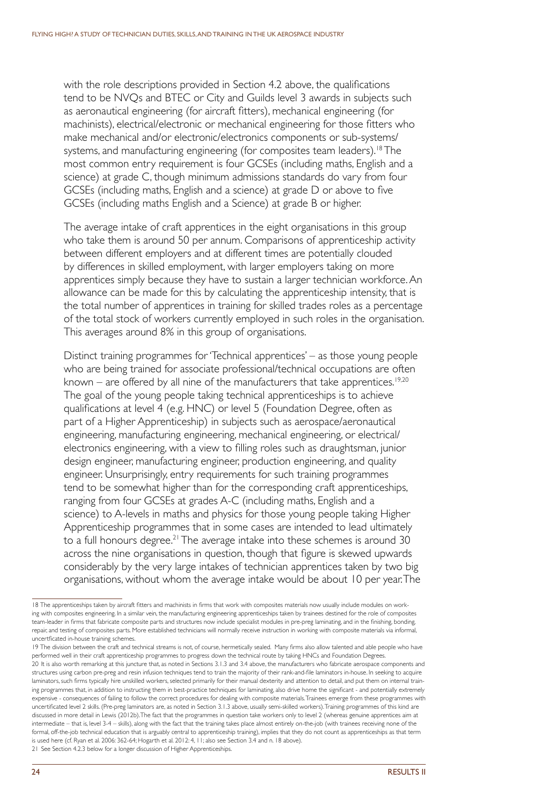with the role descriptions provided in Section 4.2 above, the qualifications tend to be NVQs and BTEC or City and Guilds level 3 awards in subjects such as aeronautical engineering (for aircraft fitters), mechanical engineering (for machinists), electrical/electronic or mechanical engineering for those fitters who make mechanical and/or electronic/electronics components or sub-systems/ systems, and manufacturing engineering (for composites team leaders).<sup>18</sup> The most common entry requirement is four GCSEs (including maths, English and a science) at grade C, though minimum admissions standards do vary from four GCSEs (including maths, English and a science) at grade D or above to five GCSEs (including maths English and a Science) at grade B or higher.

The average intake of craft apprentices in the eight organisations in this group who take them is around 50 per annum. Comparisons of apprenticeship activity between different employers and at different times are potentially clouded by differences in skilled employment, with larger employers taking on more apprentices simply because they have to sustain a larger technician workforce. An allowance can be made for this by calculating the apprenticeship intensity, that is the total number of apprentices in training for skilled trades roles as a percentage of the total stock of workers currently employed in such roles in the organisation. This averages around 8% in this group of organisations.

Distinct training programmes for 'Technical apprentices' – as those young people who are being trained for associate professional/technical occupations are often known – are offered by all nine of the manufacturers that take apprentices.<sup>19,20</sup> The goal of the young people taking technical apprenticeships is to achieve qualifications at level 4 (e.g. HNC) or level 5 (Foundation Degree, often as part of a Higher Apprenticeship) in subjects such as aerospace/aeronautical engineering, manufacturing engineering, mechanical engineering, or electrical/ electronics engineering, with a view to filling roles such as draughtsman, junior design engineer, manufacturing engineer, production engineering, and quality engineer. Unsurprisingly, entry requirements for such training programmes tend to be somewhat higher than for the corresponding craft apprenticeships, ranging from four GCSEs at grades A-C (including maths, English and a science) to A-levels in maths and physics for those young people taking Higher Apprenticeship programmes that in some cases are intended to lead ultimately to a full honours degree.<sup>21</sup> The average intake into these schemes is around 30 across the nine organisations in question, though that figure is skewed upwards considerably by the very large intakes of technician apprentices taken by two big organisations, without whom the average intake would be about 10 per year. The

<sup>18</sup> The apprenticeships taken by aircraft fitters and machinists in firms that work with composites materials now usually include modules on working with composites engineering. In a similar vein, the manufacturing engineering apprenticeships taken by trainees destined for the role of composites team-leader in firms that fabricate composite parts and structures now include specialist modules in pre-preg laminating, and in the finishing, bonding, repair, and testing of composites parts. More established technicians will normally receive instruction in working with composite materials via informal, uncertficated in-house training schemes.

<sup>19</sup> The division between the craft and technical streams is not, of course, hermetically sealed. Many firms also allow talented and able people who have performed well in their craft apprenticeship programmes to progress down the technical route by taking HNCs and Foundation Degrees.

<sup>20</sup> It is also worth remarking at this juncture that, as noted in Sections 3.1.3 and 3.4 above, the manufacturers who fabricate aerospace components and structures using carbon pre-preg and resin infusion techniques tend to train the majority of their rank-and-file laminators in-house. In seeking to acquire laminators, such firms typically hire unskilled workers, selected primarily for their manual dexterity and attention to detail, and put them on internal training programmes that, in addition to instructing them in best-practice techniques for laminating, also drive home the significant - and potentially extremely expensive - consequences of failing to follow the correct procedures for dealing with composite materials. Trainees emerge from these programmes with uncertificated level 2 skills. (Pre-preg laminators are, as noted in Section 3.1.3 above, usually semi-skilled workers). Training programmes of this kind are discussed in more detail in Lewis (2012b). The fact that the programmes in question take workers only to level 2 (whereas genuine apprentices aim at intermediate – that is, level 3-4 – skills), along with the fact that the training takes place almost entirely on-the-job (with trainees receiving none of the formal, off-the-job technical education that is arguably central to apprenticeship training), implies that they do not count as apprenticeships as that term is used here (cf. Ryan et al. 2006: 362-64; Hogarth et al. 2012: 4, 11; also see Section 3.4 and n. 18 above).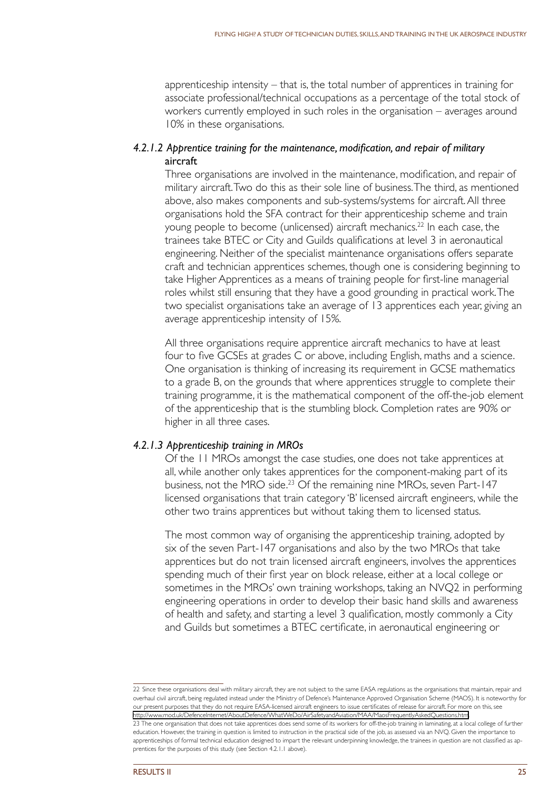apprenticeship intensity – that is, the total number of apprentices in training for associate professional/technical occupations as a percentage of the total stock of workers currently employed in such roles in the organisation – averages around 10% in these organisations.

# *4.2.1.2 Apprentice training for the maintenance, modification, and repair of military*  aircraft

Three organisations are involved in the maintenance, modification, and repair of military aircraft. Two do this as their sole line of business. The third, as mentioned above, also makes components and sub-systems/systems for aircraft. All three organisations hold the SFA contract for their apprenticeship scheme and train young people to become (unlicensed) aircraft mechanics.<sup>22</sup> In each case, the trainees take BTEC or City and Guilds qualifications at level 3 in aeronautical engineering. Neither of the specialist maintenance organisations offers separate craft and technician apprentices schemes, though one is considering beginning to take Higher Apprentices as a means of training people for first-line managerial roles whilst still ensuring that they have a good grounding in practical work. The two specialist organisations take an average of 13 apprentices each year, giving an average apprenticeship intensity of 15%.

All three organisations require apprentice aircraft mechanics to have at least four to five GCSEs at grades C or above, including English, maths and a science. One organisation is thinking of increasing its requirement in GCSE mathematics to a grade B, on the grounds that where apprentices struggle to complete their training programme, it is the mathematical component of the off-the-job element of the apprenticeship that is the stumbling block. Completion rates are 90% or higher in all three cases.

#### *4.2.1.3 Apprenticeship training in MROs*

Of the 11 MROs amongst the case studies, one does not take apprentices at all, while another only takes apprentices for the component-making part of its business, not the MRO side.<sup>23</sup> Of the remaining nine MROs, seven Part-147 licensed organisations that train category 'B' licensed aircraft engineers, while the other two trains apprentices but without taking them to licensed status.

The most common way of organising the apprenticeship training, adopted by six of the seven Part-147 organisations and also by the two MROs that take apprentices but do not train licensed aircraft engineers, involves the apprentices spending much of their first year on block release, either at a local college or sometimes in the MROs' own training workshops, taking an NVQ2 in performing engineering operations in order to develop their basic hand skills and awareness of health and safety, and starting a level 3 qualification, mostly commonly a City and Guilds but sometimes a BTEC certificate, in aeronautical engineering or

<sup>22</sup> Since these organisations deal with military aircraft, they are not subject to the same EASA regulations as the organisations that maintain, repair and overhaul civil aircraft, being regulated instead under the Ministry of Defence's Maintenance Approved Organisation Scheme (MAOS). It is noteworthy for our present purposes that they do not require EASA-licensed aircraft engineers to issue certificates of release for aircraft. For more on this, see <http://www.mod.uk/DefenceInternet/AboutDefence/WhatWeDo/AirSafetyandAviation/MAA/MaosFrequentlyAskedQuestions.htm>. 23 The one organisation that does not take apprentices does send some of its workers for off-the-job training in laminating, at a local college of further education. However, the training in question is limited to instruction in the practical side of the job, as assessed via an NVQ. Given the importance to apprenticeships of formal technical education designed to impart the relevant underpinning knowledge, the trainees in question are not classified as apprentices for the purposes of this study (see Section 4.2.1.1 above).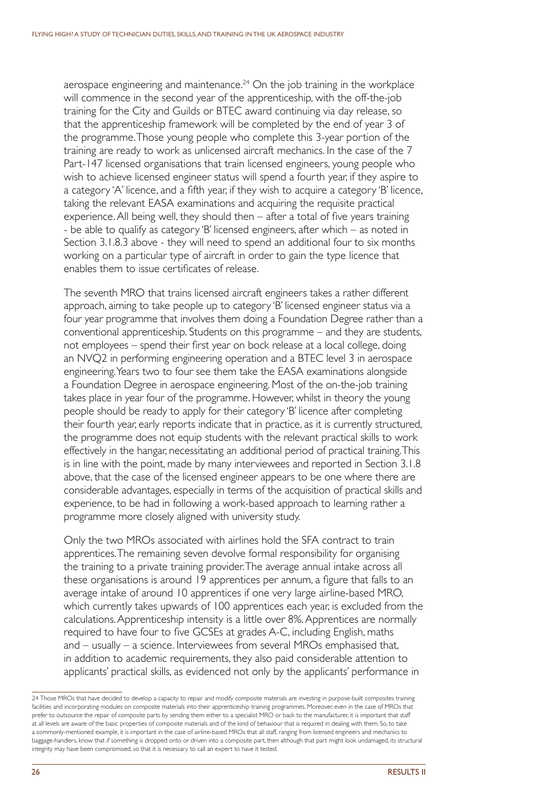aerospace engineering and maintenance.<sup>24</sup> On the job training in the workplace will commence in the second year of the apprenticeship, with the off-the-job training for the City and Guilds or BTEC award continuing via day release, so that the apprenticeship framework will be completed by the end of year 3 of the programme. Those young people who complete this 3-year portion of the training are ready to work as unlicensed aircraft mechanics. In the case of the 7 Part-147 licensed organisations that train licensed engineers, young people who wish to achieve licensed engineer status will spend a fourth year, if they aspire to a category 'A' licence, and a fifth year, if they wish to acquire a category 'B' licence, taking the relevant EASA examinations and acquiring the requisite practical experience. All being well, they should then – after a total of five years training - be able to qualify as category 'B' licensed engineers, after which – as noted in Section 3.1.8.3 above - they will need to spend an additional four to six months working on a particular type of aircraft in order to gain the type licence that enables them to issue certificates of release.

The seventh MRO that trains licensed aircraft engineers takes a rather different approach, aiming to take people up to category 'B' licensed engineer status via a four year programme that involves them doing a Foundation Degree rather than a conventional apprenticeship. Students on this programme – and they are students, not employees – spend their first year on bock release at a local college, doing an NVQ2 in performing engineering operation and a BTEC level 3 in aerospace engineering. Years two to four see them take the EASA examinations alongside a Foundation Degree in aerospace engineering. Most of the on-the-job training takes place in year four of the programme. However, whilst in theory the young people should be ready to apply for their category 'B' licence after completing their fourth year, early reports indicate that in practice, as it is currently structured, the programme does not equip students with the relevant practical skills to work effectively in the hangar, necessitating an additional period of practical training. This is in line with the point, made by many interviewees and reported in Section 3.1.8 above, that the case of the licensed engineer appears to be one where there are considerable advantages, especially in terms of the acquisition of practical skills and experience, to be had in following a work-based approach to learning rather a programme more closely aligned with university study.

Only the two MROs associated with airlines hold the SFA contract to train apprentices. The remaining seven devolve formal responsibility for organising the training to a private training provider. The average annual intake across all these organisations is around 19 apprentices per annum, a figure that falls to an average intake of around 10 apprentices if one very large airline-based MRO, which currently takes upwards of 100 apprentices each year, is excluded from the calculations. Apprenticeship intensity is a little over 8%. Apprentices are normally required to have four to five GCSEs at grades A-C, including English, maths and – usually – a science. Interviewees from several MROs emphasised that, in addition to academic requirements, they also paid considerable attention to applicants' practical skills, as evidenced not only by the applicants' performance in

<sup>24</sup> Those MROs that have decided to develop a capacity to repair and modify composite materials are investing in purpose-built composites training facilities and incorporating modules on composite materials into their apprenticeship training programmes. Moreover, even in the case of MROs that prefer to outsource the repair of composite parts by sending them either to a specialist MRO or back to the manufacturer, it is important that staff at all levels are aware of the basic properties of composite materials and of the kind of behaviour that is required in dealing with them. So, to take a commonly-mentioned example, it is important in the case of airline-based MROs that all staff, ranging from licensed engineers and mechanics to baggage-handlers, know that if something is dropped onto or driven into a composite part, then although that part might look undamaged, its structural integrity may have been compromised, so that it is necessary to call an expert to have it tested.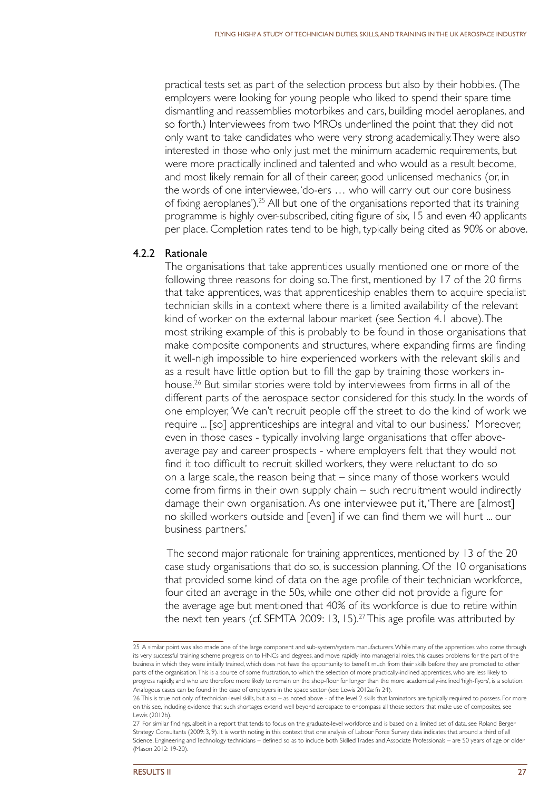practical tests set as part of the selection process but also by their hobbies. (The employers were looking for young people who liked to spend their spare time dismantling and reassemblies motorbikes and cars, building model aeroplanes, and so forth.) Interviewees from two MROs underlined the point that they did not only want to take candidates who were very strong academically. They were also interested in those who only just met the minimum academic requirements, but were more practically inclined and talented and who would as a result become, and most likely remain for all of their career, good unlicensed mechanics (or, in the words of one interviewee, 'do-ers … who will carry out our core business of fixing aeroplanes').<sup>25</sup> All but one of the organisations reported that its training programme is highly over-subscribed, citing figure of six, 15 and even 40 applicants per place. Completion rates tend to be high, typically being cited as 90% or above.

# 4.2.2 Rationale

The organisations that take apprentices usually mentioned one or more of the following three reasons for doing so. The first, mentioned by 17 of the 20 firms that take apprentices, was that apprenticeship enables them to acquire specialist technician skills in a context where there is a limited availability of the relevant kind of worker on the external labour market (see Section 4.1 above). The most striking example of this is probably to be found in those organisations that make composite components and structures, where expanding firms are finding it well-nigh impossible to hire experienced workers with the relevant skills and as a result have little option but to fill the gap by training those workers inhouse.<sup>26</sup> But similar stories were told by interviewees from firms in all of the different parts of the aerospace sector considered for this study. In the words of one employer, 'We can't recruit people off the street to do the kind of work we require ... [so] apprenticeships are integral and vital to our business.' Moreover, even in those cases - typically involving large organisations that offer aboveaverage pay and career prospects - where employers felt that they would not find it too difficult to recruit skilled workers, they were reluctant to do so on a large scale, the reason being that – since many of those workers would come from firms in their own supply chain – such recruitment would indirectly damage their own organisation. As one interviewee put it, 'There are [almost] no skilled workers outside and [even] if we can find them we will hurt ... our business partners.'

The second major rationale for training apprentices, mentioned by 13 of the 20 case study organisations that do so, is succession planning. Of the 10 organisations that provided some kind of data on the age profile of their technician workforce, four cited an average in the 50s, while one other did not provide a figure for the average age but mentioned that 40% of its workforce is due to retire within the next ten years (cf. SEMTA 2009: 13, 15).<sup>27</sup> This age profile was attributed by

<sup>25</sup> A similar point was also made one of the large component and sub-system/system manufacturers. While many of the apprentices who come through its very successful training scheme progress on to HNCs and degrees, and move rapidly into managerial roles, this causes problems for the part of the business in which they were initially trained, which does not have the opportunity to benefit much from their skills before they are promoted to other parts of the organisation. This is a source of some frustration, to which the selection of more practically-inclined apprentices, who are less likely to progress rapidly, and who are therefore more likely to remain on the shop-floor for longer than the more academically-inclined 'high-flyers', is a solution. Analogous cases can be found in the case of employers in the space sector (see Lewis 2012a: fn 24).

<sup>26</sup> This is true not only of technician-level skills, but also – as noted above - of the level 2 skills that laminators are typically required to possess. For more on this see, including evidence that such shortages extend well beyond aerospace to encompass all those sectors that make use of composites, see Lewis (2012b).

<sup>27</sup> For similar findings, albeit in a report that tends to focus on the graduate-level workforce and is based on a limited set of data, see Roland Berger Strategy Consultants (2009: 3, 9). It is worth noting in this context that one analysis of Labour Force Survey data indicates that around a third of all Science, Engineering and Technology technicians – defined so as to include both Skilled Trades and Associate Professionals – are 50 years of age or older (Mason 2012: 19-20).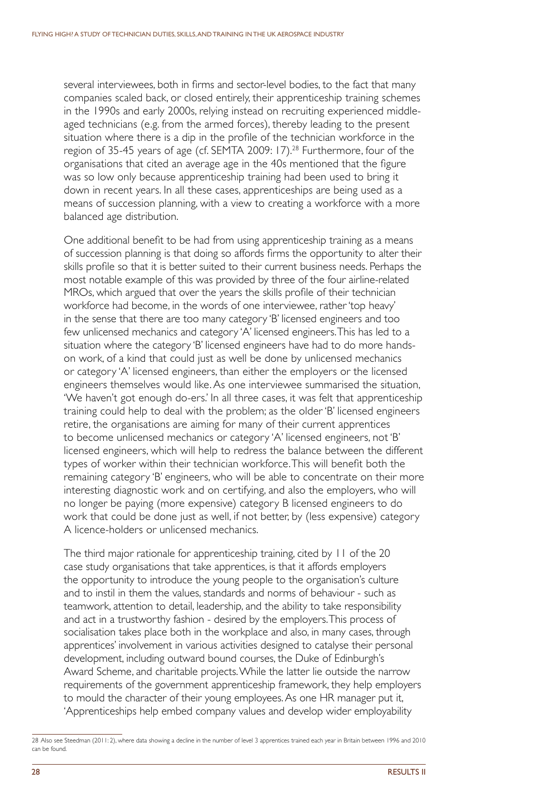several interviewees, both in firms and sector-level bodies, to the fact that many companies scaled back, or closed entirely, their apprenticeship training schemes in the 1990s and early 2000s, relying instead on recruiting experienced middleaged technicians (e.g. from the armed forces), thereby leading to the present situation where there is a dip in the profile of the technician workforce in the region of 35-45 years of age (cf. SEMTA 2009: 17).<sup>28</sup> Furthermore, four of the organisations that cited an average age in the 40s mentioned that the figure was so low only because apprenticeship training had been used to bring it down in recent years. In all these cases, apprenticeships are being used as a means of succession planning, with a view to creating a workforce with a more balanced age distribution.

One additional benefit to be had from using apprenticeship training as a means of succession planning is that doing so affords firms the opportunity to alter their skills profile so that it is better suited to their current business needs. Perhaps the most notable example of this was provided by three of the four airline-related MROs, which argued that over the years the skills profile of their technician workforce had become, in the words of one interviewee, rather 'top heavy' in the sense that there are too many category 'B' licensed engineers and too few unlicensed mechanics and category 'A' licensed engineers. This has led to a situation where the category 'B' licensed engineers have had to do more handson work, of a kind that could just as well be done by unlicensed mechanics or category 'A' licensed engineers, than either the employers or the licensed engineers themselves would like. As one interviewee summarised the situation, 'We haven't got enough do-ers.' In all three cases, it was felt that apprenticeship training could help to deal with the problem; as the older 'B' licensed engineers retire, the organisations are aiming for many of their current apprentices to become unlicensed mechanics or category 'A' licensed engineers, not 'B' licensed engineers, which will help to redress the balance between the different types of worker within their technician workforce. This will benefit both the remaining category 'B' engineers, who will be able to concentrate on their more interesting diagnostic work and on certifying, and also the employers, who will no longer be paying (more expensive) category B licensed engineers to do work that could be done just as well, if not better, by (less expensive) category A licence-holders or unlicensed mechanics.

The third major rationale for apprenticeship training, cited by 11 of the 20 case study organisations that take apprentices, is that it affords employers the opportunity to introduce the young people to the organisation's culture and to instil in them the values, standards and norms of behaviour - such as teamwork, attention to detail, leadership, and the ability to take responsibility and act in a trustworthy fashion - desired by the employers. This process of socialisation takes place both in the workplace and also, in many cases, through apprentices' involvement in various activities designed to catalyse their personal development, including outward bound courses, the Duke of Edinburgh's Award Scheme, and charitable projects. While the latter lie outside the narrow requirements of the government apprenticeship framework, they help employers to mould the character of their young employees. As one HR manager put it, 'Apprenticeships help embed company values and develop wider employability

<sup>28</sup> Also see Steedman (2011: 2), where data showing a decline in the number of level 3 apprentices trained each year in Britain between 1996 and 2010 can be found.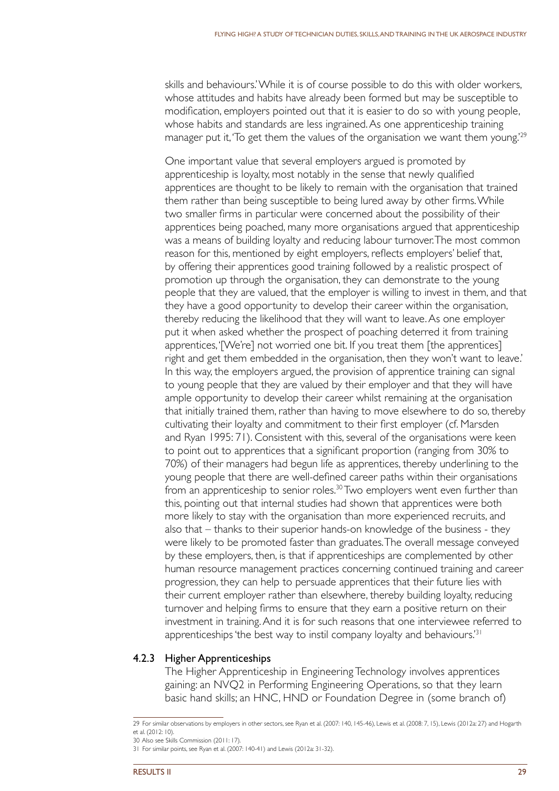skills and behaviours.' While it is of course possible to do this with older workers, whose attitudes and habits have already been formed but may be susceptible to modification, employers pointed out that it is easier to do so with young people, whose habits and standards are less ingrained. As one apprenticeship training manager put it, 'To get them the values of the organisation we want them young.<sup>'29</sup>

One important value that several employers argued is promoted by apprenticeship is loyalty, most notably in the sense that newly qualified apprentices are thought to be likely to remain with the organisation that trained them rather than being susceptible to being lured away by other firms. While two smaller firms in particular were concerned about the possibility of their apprentices being poached, many more organisations argued that apprenticeship was a means of building loyalty and reducing labour turnover. The most common reason for this, mentioned by eight employers, reflects employers' belief that, by offering their apprentices good training followed by a realistic prospect of promotion up through the organisation, they can demonstrate to the young people that they are valued, that the employer is willing to invest in them, and that they have a good opportunity to develop their career within the organisation, thereby reducing the likelihood that they will want to leave. As one employer put it when asked whether the prospect of poaching deterred it from training apprentices, '[We're] not worried one bit. If you treat them [the apprentices] right and get them embedded in the organisation, then they won't want to leave.' In this way, the employers argued, the provision of apprentice training can signal to young people that they are valued by their employer and that they will have ample opportunity to develop their career whilst remaining at the organisation that initially trained them, rather than having to move elsewhere to do so, thereby cultivating their loyalty and commitment to their first employer (cf. Marsden and Ryan 1995: 71). Consistent with this, several of the organisations were keen to point out to apprentices that a significant proportion (ranging from 30% to 70%) of their managers had begun life as apprentices, thereby underlining to the young people that there are well-defined career paths within their organisations from an apprenticeship to senior roles.30 Two employers went even further than this, pointing out that internal studies had shown that apprentices were both more likely to stay with the organisation than more experienced recruits, and also that – thanks to their superior hands-on knowledge of the business - they were likely to be promoted faster than graduates. The overall message conveyed by these employers, then, is that if apprenticeships are complemented by other human resource management practices concerning continued training and career progression, they can help to persuade apprentices that their future lies with their current employer rather than elsewhere, thereby building loyalty, reducing turnover and helping firms to ensure that they earn a positive return on their investment in training. And it is for such reasons that one interviewee referred to apprenticeships 'the best way to instil company loyalty and behaviours.'31

#### 4.2.3 Higher Apprenticeships

The Higher Apprenticeship in Engineering Technology involves apprentices gaining: an NVQ2 in Performing Engineering Operations, so that they learn basic hand skills; an HNC, HND or Foundation Degree in (some branch of)

<sup>29</sup> For similar observations by employers in other sectors, see Ryan et al. (2007: 140, 145-46), Lewis et al. (2008: 7, 15), Lewis (2012a: 27) and Hogarth et al. (2012: 10).

<sup>30</sup> Also see Skills Commission (2011: 17).

<sup>31</sup> For similar points, see Ryan et al. (2007: 140-41) and Lewis (2012a: 31-32).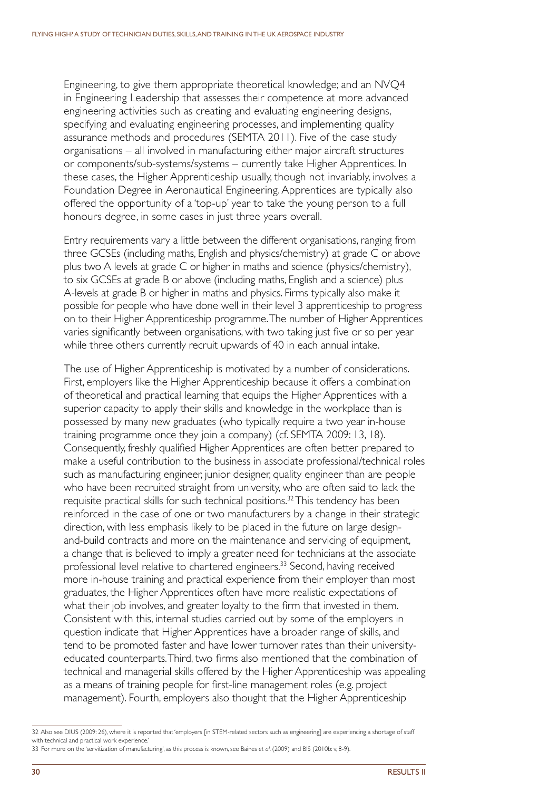Engineering, to give them appropriate theoretical knowledge; and an NVQ4 in Engineering Leadership that assesses their competence at more advanced engineering activities such as creating and evaluating engineering designs, specifying and evaluating engineering processes, and implementing quality assurance methods and procedures (SEMTA 2011). Five of the case study organisations – all involved in manufacturing either major aircraft structures or components/sub-systems/systems – currently take Higher Apprentices. In these cases, the Higher Apprenticeship usually, though not invariably, involves a Foundation Degree in Aeronautical Engineering. Apprentices are typically also offered the opportunity of a 'top-up' year to take the young person to a full honours degree, in some cases in just three years overall.

Entry requirements vary a little between the different organisations, ranging from three GCSEs (including maths, English and physics/chemistry) at grade C or above plus two A levels at grade C or higher in maths and science (physics/chemistry), to six GCSEs at grade B or above (including maths, English and a science) plus A-levels at grade B or higher in maths and physics. Firms typically also make it possible for people who have done well in their level 3 apprenticeship to progress on to their Higher Apprenticeship programme. The number of Higher Apprentices varies significantly between organisations, with two taking just five or so per year while three others currently recruit upwards of 40 in each annual intake.

The use of Higher Apprenticeship is motivated by a number of considerations. First, employers like the Higher Apprenticeship because it offers a combination of theoretical and practical learning that equips the Higher Apprentices with a superior capacity to apply their skills and knowledge in the workplace than is possessed by many new graduates (who typically require a two year in-house training programme once they join a company) (cf. SEMTA 2009: 13, 18). Consequently, freshly qualified Higher Apprentices are often better prepared to make a useful contribution to the business in associate professional/technical roles such as manufacturing engineer, junior designer, quality engineer than are people who have been recruited straight from university, who are often said to lack the requisite practical skills for such technical positions.<sup>32</sup> This tendency has been reinforced in the case of one or two manufacturers by a change in their strategic direction, with less emphasis likely to be placed in the future on large designand-build contracts and more on the maintenance and servicing of equipment, a change that is believed to imply a greater need for technicians at the associate professional level relative to chartered engineers.<sup>33</sup> Second, having received more in-house training and practical experience from their employer than most graduates, the Higher Apprentices often have more realistic expectations of what their job involves, and greater loyalty to the firm that invested in them. Consistent with this, internal studies carried out by some of the employers in question indicate that Higher Apprentices have a broader range of skills, and tend to be promoted faster and have lower turnover rates than their universityeducated counterparts. Third, two firms also mentioned that the combination of technical and managerial skills offered by the Higher Apprenticeship was appealing as a means of training people for first-line management roles (e.g. project management). Fourth, employers also thought that the Higher Apprenticeship

<sup>32</sup> Also see DIUS (2009: 26), where it is reported that 'employers [in STEM-related sectors such as engineering] are experiencing a shortage of staff with technical and practical work experience.'

<sup>33</sup> For more on the 'servitization of manufacturing', as this process is known, see Baines *et al*. (2009) and BIS (2010b: v, 8-9).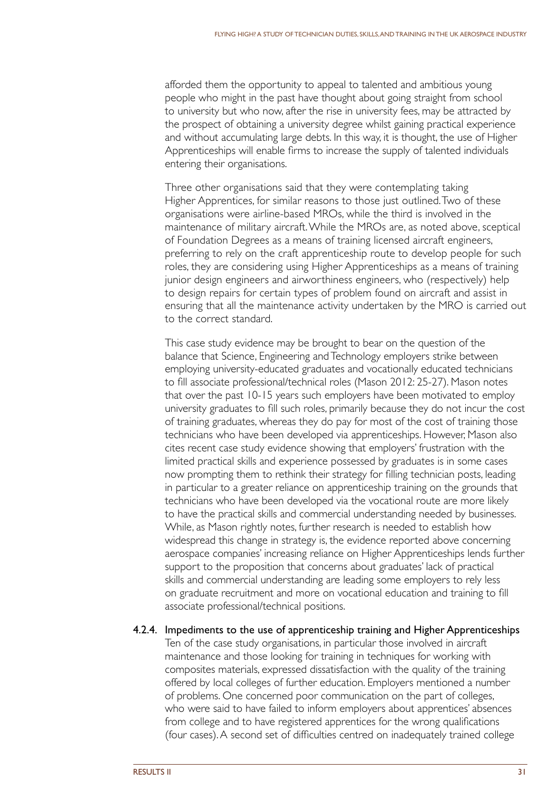afforded them the opportunity to appeal to talented and ambitious young people who might in the past have thought about going straight from school to university but who now, after the rise in university fees, may be attracted by the prospect of obtaining a university degree whilst gaining practical experience and without accumulating large debts. In this way, it is thought, the use of Higher Apprenticeships will enable firms to increase the supply of talented individuals entering their organisations.

Three other organisations said that they were contemplating taking Higher Apprentices, for similar reasons to those just outlined. Two of these organisations were airline-based MROs, while the third is involved in the maintenance of military aircraft. While the MROs are, as noted above, sceptical of Foundation Degrees as a means of training licensed aircraft engineers, preferring to rely on the craft apprenticeship route to develop people for such roles, they are considering using Higher Apprenticeships as a means of training junior design engineers and airworthiness engineers, who (respectively) help to design repairs for certain types of problem found on aircraft and assist in ensuring that all the maintenance activity undertaken by the MRO is carried out to the correct standard.

This case study evidence may be brought to bear on the question of the balance that Science, Engineering and Technology employers strike between employing university-educated graduates and vocationally educated technicians to fill associate professional/technical roles (Mason 2012: 25-27). Mason notes that over the past 10-15 years such employers have been motivated to employ university graduates to fill such roles, primarily because they do not incur the cost of training graduates, whereas they do pay for most of the cost of training those technicians who have been developed via apprenticeships. However, Mason also cites recent case study evidence showing that employers' frustration with the limited practical skills and experience possessed by graduates is in some cases now prompting them to rethink their strategy for filling technician posts, leading in particular to a greater reliance on apprenticeship training on the grounds that technicians who have been developed via the vocational route are more likely to have the practical skills and commercial understanding needed by businesses. While, as Mason rightly notes, further research is needed to establish how widespread this change in strategy is, the evidence reported above concerning aerospace companies' increasing reliance on Higher Apprenticeships lends further support to the proposition that concerns about graduates' lack of practical skills and commercial understanding are leading some employers to rely less on graduate recruitment and more on vocational education and training to fill associate professional/technical positions.

4.2.4. Impediments to the use of apprenticeship training and Higher Apprenticeships Ten of the case study organisations, in particular those involved in aircraft maintenance and those looking for training in techniques for working with composites materials, expressed dissatisfaction with the quality of the training offered by local colleges of further education. Employers mentioned a number of problems. One concerned poor communication on the part of colleges, who were said to have failed to inform employers about apprentices' absences from college and to have registered apprentices for the wrong qualifications (four cases). A second set of difficulties centred on inadequately trained college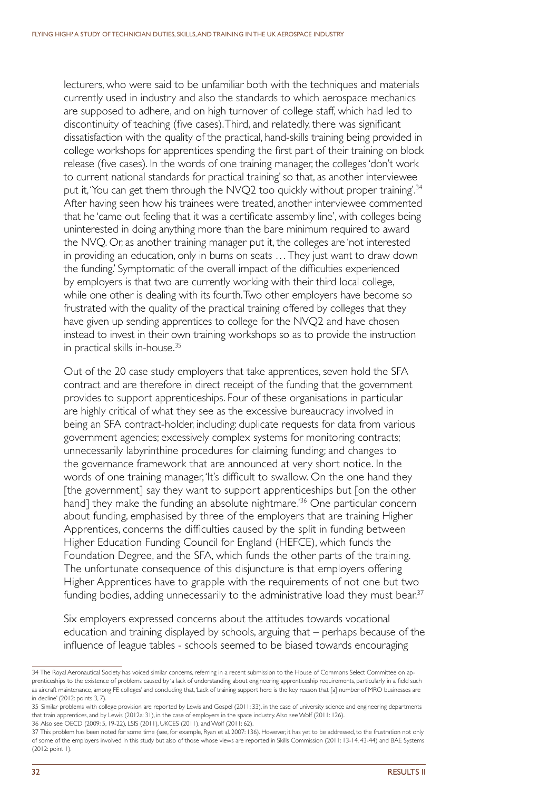lecturers, who were said to be unfamiliar both with the techniques and materials currently used in industry and also the standards to which aerospace mechanics are supposed to adhere, and on high turnover of college staff, which had led to discontinuity of teaching (five cases). Third, and relatedly, there was significant dissatisfaction with the quality of the practical, hand-skills training being provided in college workshops for apprentices spending the first part of their training on block release (five cases). In the words of one training manager, the colleges 'don't work to current national standards for practical training' so that, as another interviewee put it, 'You can get them through the NVQ2 too quickly without proper training'.<sup>34</sup> After having seen how his trainees were treated, another interviewee commented that he 'came out feeling that it was a certificate assembly line', with colleges being uninterested in doing anything more than the bare minimum required to award the NVQ. Or, as another training manager put it, the colleges are 'not interested in providing an education, only in bums on seats … They just want to draw down the funding.' Symptomatic of the overall impact of the difficulties experienced by employers is that two are currently working with their third local college, while one other is dealing with its fourth. Two other employers have become so frustrated with the quality of the practical training offered by colleges that they have given up sending apprentices to college for the NVQ2 and have chosen instead to invest in their own training workshops so as to provide the instruction in practical skills in-house.35

Out of the 20 case study employers that take apprentices, seven hold the SFA contract and are therefore in direct receipt of the funding that the government provides to support apprenticeships. Four of these organisations in particular are highly critical of what they see as the excessive bureaucracy involved in being an SFA contract-holder, including: duplicate requests for data from various government agencies; excessively complex systems for monitoring contracts; unnecessarily labyrinthine procedures for claiming funding; and changes to the governance framework that are announced at very short notice. In the words of one training manager, 'It's difficult to swallow. On the one hand they [the government] say they want to support apprenticeships but [on the other hand] they make the funding an absolute nightmare.<sup>'36</sup> One particular concern about funding, emphasised by three of the employers that are training Higher Apprentices, concerns the difficulties caused by the split in funding between Higher Education Funding Council for England (HEFCE), which funds the Foundation Degree, and the SFA, which funds the other parts of the training. The unfortunate consequence of this disjuncture is that employers offering Higher Apprentices have to grapple with the requirements of not one but two funding bodies, adding unnecessarily to the administrative load they must bear.<sup>37</sup>

Six employers expressed concerns about the attitudes towards vocational education and training displayed by schools, arguing that – perhaps because of the influence of league tables - schools seemed to be biased towards encouraging

36 Also see OECD (2009: 5, 19-22), LSIS (2011), UKCES (2011), and Wolf (2011: 62).

<sup>34</sup> The Royal Aeronautical Society has voiced similar concerns, referring in a recent submission to the House of Commons Select Committee on apprenticeships to the existence of problems caused by 'a lack of understanding about engineering apprenticeship requirements, particularly in a field such as aircraft maintenance, among FE colleges' and concluding that, 'Lack of training support here is the key reason that [a] number of MRO businesses are in decline' (2012: points 3, 7).

<sup>35</sup> Similar problems with college provision are reported by Lewis and Gospel (2011: 33), in the case of university science and engineering departments that train apprentices, and by Lewis (2012a: 31), in the case of employers in the space industry. Also see Wolf (2011: 126).

<sup>37</sup> This problem has been noted for some time (see, for example, Ryan et al. 2007: 136). However, it has yet to be addressed, to the frustration not only of some of the employers involved in this study but also of those whose views are reported in Skills Commission (2011: 13-14, 43-44) and BAE Systems (2012: point 1).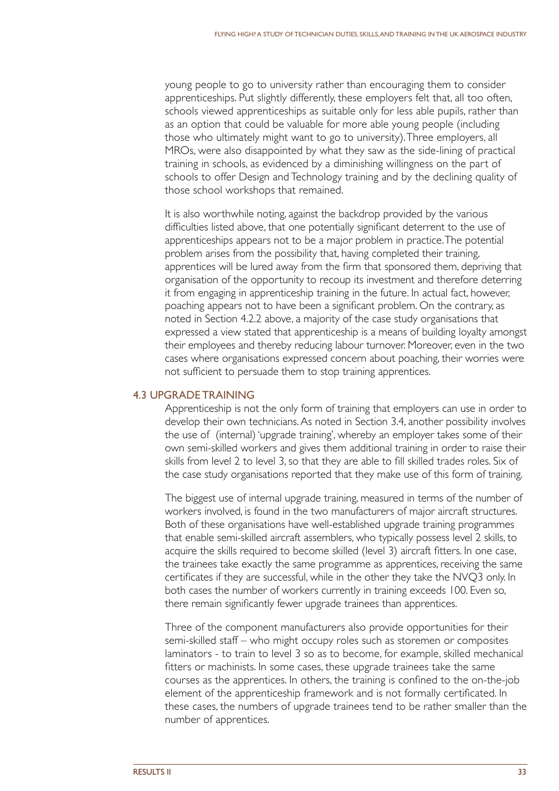young people to go to university rather than encouraging them to consider apprenticeships. Put slightly differently, these employers felt that, all too often, schools viewed apprenticeships as suitable only for less able pupils, rather than as an option that could be valuable for more able young people (including those who ultimately might want to go to university). Three employers, all MROs, were also disappointed by what they saw as the side-lining of practical training in schools, as evidenced by a diminishing willingness on the part of schools to offer Design and Technology training and by the declining quality of those school workshops that remained.

It is also worthwhile noting, against the backdrop provided by the various difficulties listed above, that one potentially significant deterrent to the use of apprenticeships appears not to be a major problem in practice. The potential problem arises from the possibility that, having completed their training, apprentices will be lured away from the firm that sponsored them, depriving that organisation of the opportunity to recoup its investment and therefore deterring it from engaging in apprenticeship training in the future. In actual fact, however, poaching appears not to have been a significant problem. On the contrary, as noted in Section 4.2.2 above, a majority of the case study organisations that expressed a view stated that apprenticeship is a means of building loyalty amongst their employees and thereby reducing labour turnover. Moreover, even in the two cases where organisations expressed concern about poaching, their worries were not sufficient to persuade them to stop training apprentices.

#### 4.3 UPGRADE TRAINING

Apprenticeship is not the only form of training that employers can use in order to develop their own technicians. As noted in Section 3.4, another possibility involves the use of (internal) 'upgrade training', whereby an employer takes some of their own semi-skilled workers and gives them additional training in order to raise their skills from level 2 to level 3, so that they are able to fill skilled trades roles. Six of the case study organisations reported that they make use of this form of training.

The biggest use of internal upgrade training, measured in terms of the number of workers involved, is found in the two manufacturers of major aircraft structures. Both of these organisations have well-established upgrade training programmes that enable semi-skilled aircraft assemblers, who typically possess level 2 skills, to acquire the skills required to become skilled (level 3) aircraft fitters. In one case, the trainees take exactly the same programme as apprentices, receiving the same certificates if they are successful, while in the other they take the NVQ3 only. In both cases the number of workers currently in training exceeds 100. Even so, there remain significantly fewer upgrade trainees than apprentices.

Three of the component manufacturers also provide opportunities for their semi-skilled staff – who might occupy roles such as storemen or composites laminators - to train to level 3 so as to become, for example, skilled mechanical fitters or machinists. In some cases, these upgrade trainees take the same courses as the apprentices. In others, the training is confined to the on-the-job element of the apprenticeship framework and is not formally certificated. In these cases, the numbers of upgrade trainees tend to be rather smaller than the number of apprentices.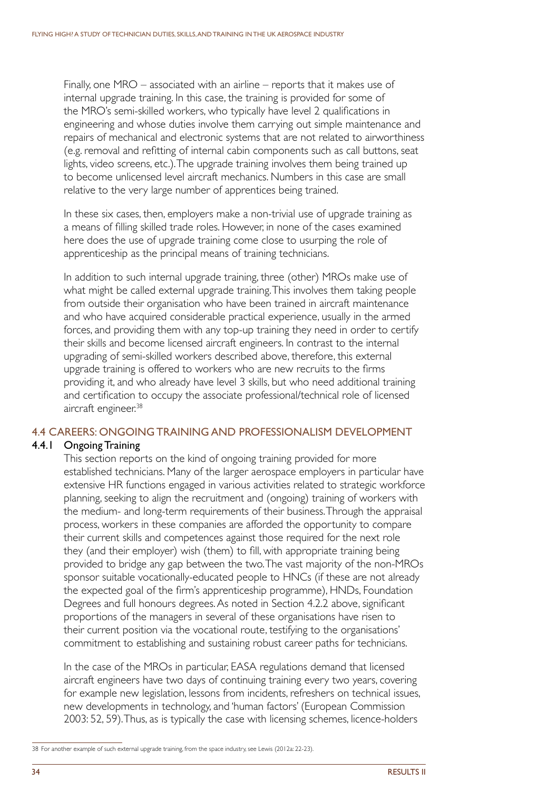Finally, one MRO – associated with an airline – reports that it makes use of internal upgrade training. In this case, the training is provided for some of the MRO's semi-skilled workers, who typically have level 2 qualifications in engineering and whose duties involve them carrying out simple maintenance and repairs of mechanical and electronic systems that are not related to airworthiness (e.g. removal and refitting of internal cabin components such as call buttons, seat lights, video screens, etc.). The upgrade training involves them being trained up to become unlicensed level aircraft mechanics. Numbers in this case are small relative to the very large number of apprentices being trained.

In these six cases, then, employers make a non-trivial use of upgrade training as a means of filling skilled trade roles. However, in none of the cases examined here does the use of upgrade training come close to usurping the role of apprenticeship as the principal means of training technicians.

In addition to such internal upgrade training, three (other) MROs make use of what might be called external upgrade training. This involves them taking people from outside their organisation who have been trained in aircraft maintenance and who have acquired considerable practical experience, usually in the armed forces, and providing them with any top-up training they need in order to certify their skills and become licensed aircraft engineers. In contrast to the internal upgrading of semi-skilled workers described above, therefore, this external upgrade training is offered to workers who are new recruits to the firms providing it, and who already have level 3 skills, but who need additional training and certification to occupy the associate professional/technical role of licensed aircraft engineer.<sup>38</sup>

#### 4.4 CAREERS: ONGOING TRAINING AND PROFESSIONALISM DEVELOPMENT

#### 4.4.1 Ongoing Training

This section reports on the kind of ongoing training provided for more established technicians. Many of the larger aerospace employers in particular have extensive HR functions engaged in various activities related to strategic workforce planning, seeking to align the recruitment and (ongoing) training of workers with the medium- and long-term requirements of their business. Through the appraisal process, workers in these companies are afforded the opportunity to compare their current skills and competences against those required for the next role they (and their employer) wish (them) to fill, with appropriate training being provided to bridge any gap between the two. The vast majority of the non-MROs sponsor suitable vocationally-educated people to HNCs (if these are not already the expected goal of the firm's apprenticeship programme), HNDs, Foundation Degrees and full honours degrees. As noted in Section 4.2.2 above, significant proportions of the managers in several of these organisations have risen to their current position via the vocational route, testifying to the organisations' commitment to establishing and sustaining robust career paths for technicians.

In the case of the MROs in particular, EASA regulations demand that licensed aircraft engineers have two days of continuing training every two years, covering for example new legislation, lessons from incidents, refreshers on technical issues, new developments in technology, and 'human factors' (European Commission 2003: 52, 59). Thus, as is typically the case with licensing schemes, licence-holders

38 For another example of such external upgrade training, from the space industry, see Lewis (2012a: 22-23).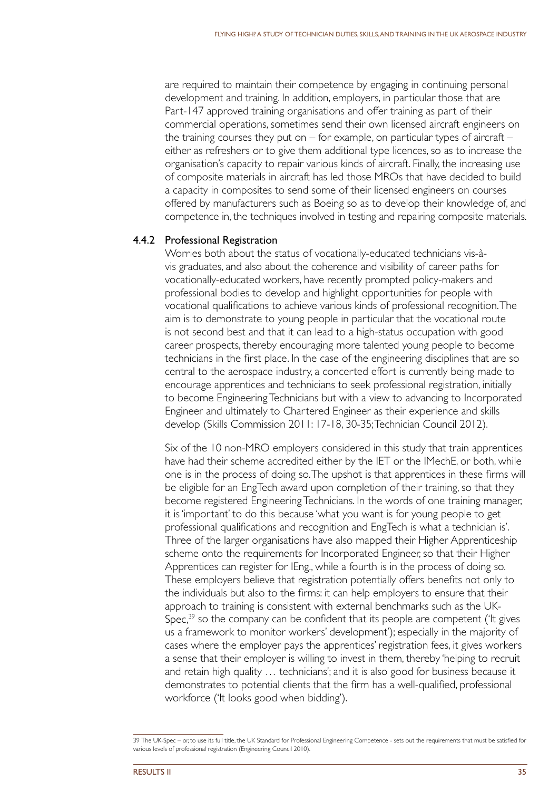are required to maintain their competence by engaging in continuing personal development and training. In addition, employers, in particular those that are Part-147 approved training organisations and offer training as part of their commercial operations, sometimes send their own licensed aircraft engineers on the training courses they put on  $-$  for example, on particular types of aircraft  $$ either as refreshers or to give them additional type licences, so as to increase the organisation's capacity to repair various kinds of aircraft. Finally, the increasing use of composite materials in aircraft has led those MROs that have decided to build a capacity in composites to send some of their licensed engineers on courses offered by manufacturers such as Boeing so as to develop their knowledge of, and competence in, the techniques involved in testing and repairing composite materials.

#### 4.4.2 Professional Registration

Worries both about the status of vocationally-educated technicians vis-àvis graduates, and also about the coherence and visibility of career paths for vocationally-educated workers, have recently prompted policy-makers and professional bodies to develop and highlight opportunities for people with vocational qualifications to achieve various kinds of professional recognition. The aim is to demonstrate to young people in particular that the vocational route is not second best and that it can lead to a high-status occupation with good career prospects, thereby encouraging more talented young people to become technicians in the first place. In the case of the engineering disciplines that are so central to the aerospace industry, a concerted effort is currently being made to encourage apprentices and technicians to seek professional registration, initially to become Engineering Technicians but with a view to advancing to Incorporated Engineer and ultimately to Chartered Engineer as their experience and skills develop (Skills Commission 2011: 17-18, 30-35; Technician Council 2012).

Six of the 10 non-MRO employers considered in this study that train apprentices have had their scheme accredited either by the IET or the IMechE, or both, while one is in the process of doing so. The upshot is that apprentices in these firms will be eligible for an EngTech award upon completion of their training, so that they become registered Engineering Technicians. In the words of one training manager, it is 'important' to do this because 'what you want is for young people to get professional qualifications and recognition and EngTech is what a technician is'. Three of the larger organisations have also mapped their Higher Apprenticeship scheme onto the requirements for Incorporated Engineer, so that their Higher Apprentices can register for IEng., while a fourth is in the process of doing so. These employers believe that registration potentially offers benefits not only to the individuals but also to the firms: it can help employers to ensure that their approach to training is consistent with external benchmarks such as the UK-Spec, $39$  so the company can be confident that its people are competent ( $\dot{\mathcal{L}}$  the gives us a framework to monitor workers' development'); especially in the majority of cases where the employer pays the apprentices' registration fees, it gives workers a sense that their employer is willing to invest in them, thereby 'helping to recruit and retain high quality … technicians'; and it is also good for business because it demonstrates to potential clients that the firm has a well-qualified, professional workforce ('It looks good when bidding').

<sup>39</sup> The UK-Spec – or, to use its full title, the UK Standard for Professional Engineering Competence - sets out the requirements that must be satisfied for various levels of professional registration (Engineering Council 2010).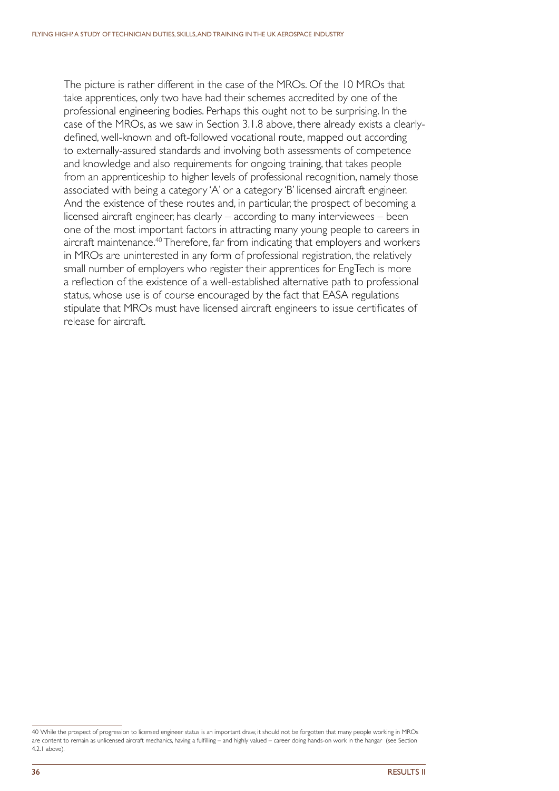The picture is rather different in the case of the MROs. Of the 10 MROs that take apprentices, only two have had their schemes accredited by one of the professional engineering bodies. Perhaps this ought not to be surprising. In the case of the MROs, as we saw in Section 3.1.8 above, there already exists a clearlydefined, well-known and oft-followed vocational route, mapped out according to externally-assured standards and involving both assessments of competence and knowledge and also requirements for ongoing training, that takes people from an apprenticeship to higher levels of professional recognition, namely those associated with being a category 'A' or a category 'B' licensed aircraft engineer. And the existence of these routes and, in particular, the prospect of becoming a licensed aircraft engineer, has clearly – according to many interviewees – been one of the most important factors in attracting many young people to careers in aircraft maintenance.<sup>40</sup> Therefore, far from indicating that employers and workers in MROs are uninterested in any form of professional registration, the relatively small number of employers who register their apprentices for EngTech is more a reflection of the existence of a well-established alternative path to professional status, whose use is of course encouraged by the fact that EASA regulations stipulate that MROs must have licensed aircraft engineers to issue certificates of release for aircraft.

<sup>40</sup> While the prospect of progression to licensed engineer status is an important draw, it should not be forgotten that many people working in MROs are content to remain as unlicensed aircraft mechanics, having a fulfilling – and highly valued – career doing hands-on work in the hangar (see Section 4.2.1 above).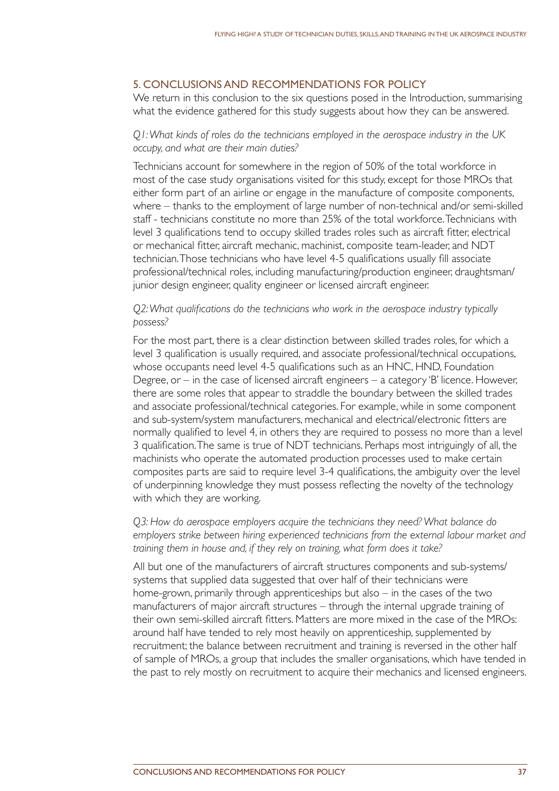#### 5. CONCLUSIONS AND RECOMMENDATIONS FOR POLICY

We return in this conclusion to the six questions posed in the Introduction, summarising what the evidence gathered for this study suggests about how they can be answered.

#### *Q1: What kinds of roles do the technicians employed in the aerospace industry in the UK occupy, and what are their main duties?*

Technicians account for somewhere in the region of 50% of the total workforce in most of the case study organisations visited for this study, except for those MROs that either form part of an airline or engage in the manufacture of composite components, where – thanks to the employment of large number of non-technical and/or semi-skilled staff - technicians constitute no more than 25% of the total workforce. Technicians with level 3 qualifications tend to occupy skilled trades roles such as aircraft fitter, electrical or mechanical fitter, aircraft mechanic, machinist, composite team-leader, and NDT technician. Those technicians who have level 4-5 qualifications usually fill associate professional/technical roles, including manufacturing/production engineer, draughtsman/ junior design engineer, quality engineer or licensed aircraft engineer.

## *Q2: What qualifications do the technicians who work in the aerospace industry typically possess?*

For the most part, there is a clear distinction between skilled trades roles, for which a level 3 qualification is usually required, and associate professional/technical occupations, whose occupants need level 4-5 qualifications such as an HNC, HND, Foundation Degree, or – in the case of licensed aircraft engineers – a category 'B' licence. However, there are some roles that appear to straddle the boundary between the skilled trades and associate professional/technical categories. For example, while in some component and sub-system/system manufacturers, mechanical and electrical/electronic fitters are normally qualified to level 4, in others they are required to possess no more than a level 3 qualification. The same is true of NDT technicians. Perhaps most intriguingly of all, the machinists who operate the automated production processes used to make certain composites parts are said to require level 3-4 qualifications, the ambiguity over the level of underpinning knowledge they must possess reflecting the novelty of the technology with which they are working.

# *Q3: How do aerospace employers acquire the technicians they need? What balance do employers strike between hiring experienced technicians from the external labour market and training them in house and, if they rely on training, what form does it take?*

All but one of the manufacturers of aircraft structures components and sub-systems/ systems that supplied data suggested that over half of their technicians were home-grown, primarily through apprenticeships but also – in the cases of the two manufacturers of major aircraft structures – through the internal upgrade training of their own semi-skilled aircraft fitters. Matters are more mixed in the case of the MROs: around half have tended to rely most heavily on apprenticeship, supplemented by recruitment; the balance between recruitment and training is reversed in the other half of sample of MROs, a group that includes the smaller organisations, which have tended in the past to rely mostly on recruitment to acquire their mechanics and licensed engineers.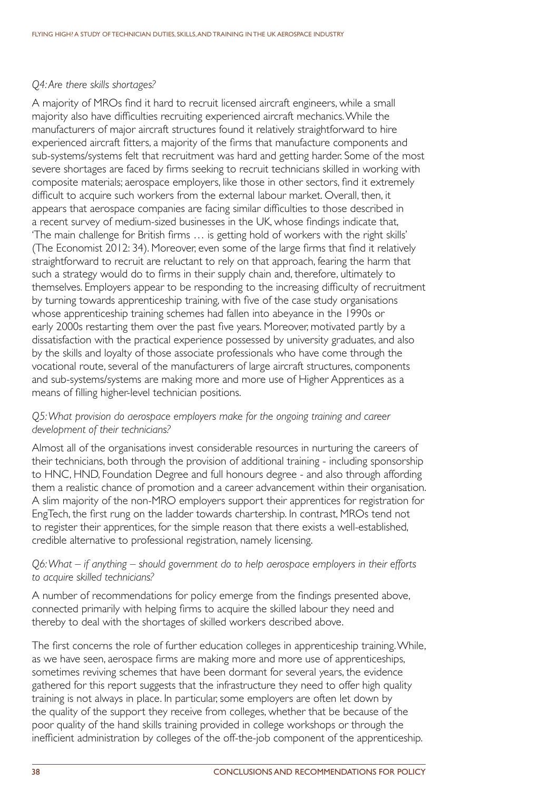# *Q4: Are there skills shortages?*

A majority of MROs find it hard to recruit licensed aircraft engineers, while a small majority also have difficulties recruiting experienced aircraft mechanics. While the manufacturers of major aircraft structures found it relatively straightforward to hire experienced aircraft fitters, a majority of the firms that manufacture components and sub-systems/systems felt that recruitment was hard and getting harder. Some of the most severe shortages are faced by firms seeking to recruit technicians skilled in working with composite materials; aerospace employers, like those in other sectors, find it extremely difficult to acquire such workers from the external labour market. Overall, then, it appears that aerospace companies are facing similar difficulties to those described in a recent survey of medium-sized businesses in the UK, whose findings indicate that, 'The main challenge for British firms … is getting hold of workers with the right skills' (The Economist 2012: 34). Moreover, even some of the large firms that find it relatively straightforward to recruit are reluctant to rely on that approach, fearing the harm that such a strategy would do to firms in their supply chain and, therefore, ultimately to themselves. Employers appear to be responding to the increasing difficulty of recruitment by turning towards apprenticeship training, with five of the case study organisations whose apprenticeship training schemes had fallen into abeyance in the 1990s or early 2000s restarting them over the past five years. Moreover, motivated partly by a dissatisfaction with the practical experience possessed by university graduates, and also by the skills and loyalty of those associate professionals who have come through the vocational route, several of the manufacturers of large aircraft structures, components and sub-systems/systems are making more and more use of Higher Apprentices as a means of filling higher-level technician positions.

# *Q5: What provision do aerospace employers make for the ongoing training and career development of their technicians?*

Almost all of the organisations invest considerable resources in nurturing the careers of their technicians, both through the provision of additional training - including sponsorship to HNC, HND, Foundation Degree and full honours degree - and also through affording them a realistic chance of promotion and a career advancement within their organisation. A slim majority of the non-MRO employers support their apprentices for registration for EngTech, the first rung on the ladder towards chartership. In contrast, MROs tend not to register their apprentices, for the simple reason that there exists a well-established, credible alternative to professional registration, namely licensing.

# *Q6: What – if anything – should government do to help aerospace employers in their efforts to acquire skilled technicians?*

A number of recommendations for policy emerge from the findings presented above, connected primarily with helping firms to acquire the skilled labour they need and thereby to deal with the shortages of skilled workers described above.

The first concerns the role of further education colleges in apprenticeship training. While, as we have seen, aerospace firms are making more and more use of apprenticeships, sometimes reviving schemes that have been dormant for several years, the evidence gathered for this report suggests that the infrastructure they need to offer high quality training is not always in place. In particular, some employers are often let down by the quality of the support they receive from colleges, whether that be because of the poor quality of the hand skills training provided in college workshops or through the inefficient administration by colleges of the off-the-job component of the apprenticeship.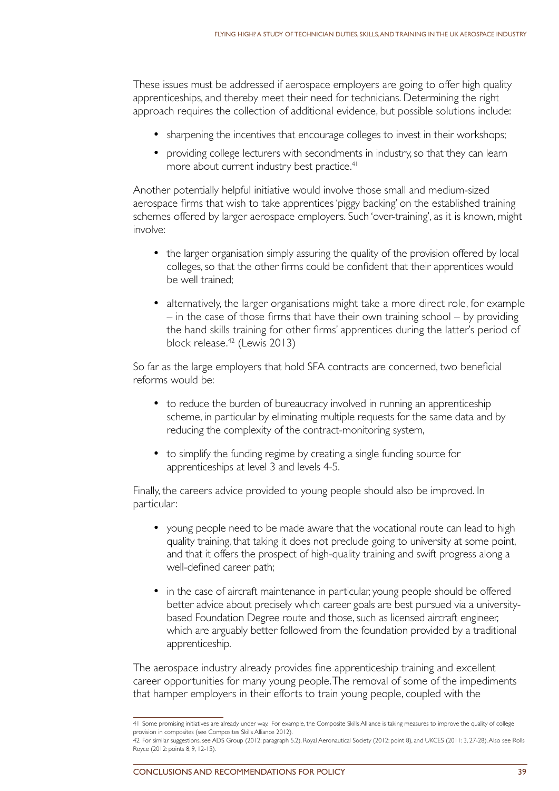These issues must be addressed if aerospace employers are going to offer high quality apprenticeships, and thereby meet their need for technicians. Determining the right approach requires the collection of additional evidence, but possible solutions include:

- sharpening the incentives that encourage colleges to invest in their workshops;
- providing college lecturers with secondments in industry, so that they can learn more about current industry best practice.<sup>41</sup>

Another potentially helpful initiative would involve those small and medium-sized aerospace firms that wish to take apprentices 'piggy backing' on the established training schemes offered by larger aerospace employers. Such 'over-training', as it is known, might involve:

- the larger organisation simply assuring the quality of the provision offered by local colleges, so that the other firms could be confident that their apprentices would be well trained;
- alternatively, the larger organisations might take a more direct role, for example  $-$  in the case of those firms that have their own training school  $-$  by providing the hand skills training for other firms' apprentices during the latter's period of block release.<sup>42</sup> (Lewis 2013)

So far as the large employers that hold SFA contracts are concerned, two beneficial reforms would be:

- to reduce the burden of bureaucracy involved in running an apprenticeship scheme, in particular by eliminating multiple requests for the same data and by reducing the complexity of the contract-monitoring system,
- to simplify the funding regime by creating a single funding source for apprenticeships at level 3 and levels 4-5.

Finally, the careers advice provided to young people should also be improved. In particular:

- young people need to be made aware that the vocational route can lead to high quality training, that taking it does not preclude going to university at some point, and that it offers the prospect of high-quality training and swift progress along a well-defined career path;
- in the case of aircraft maintenance in particular, young people should be offered better advice about precisely which career goals are best pursued via a universitybased Foundation Degree route and those, such as licensed aircraft engineer, which are arguably better followed from the foundation provided by a traditional apprenticeship.

The aerospace industry already provides fine apprenticeship training and excellent career opportunities for many young people. The removal of some of the impediments that hamper employers in their efforts to train young people, coupled with the

<sup>41</sup> Some promising initiatives are already under way. For example, the Composite Skills Alliance is taking measures to improve the quality of college provision in composites (see Composites Skills Alliance 2012).

<sup>42</sup> For similar suggestions, see ADS Group (2012: paragraph 5.2), Royal Aeronautical Society (2012: point 8), and UKCES (2011: 3, 27-28). Also see Rolls Royce (2012: points 8, 9, 12-15).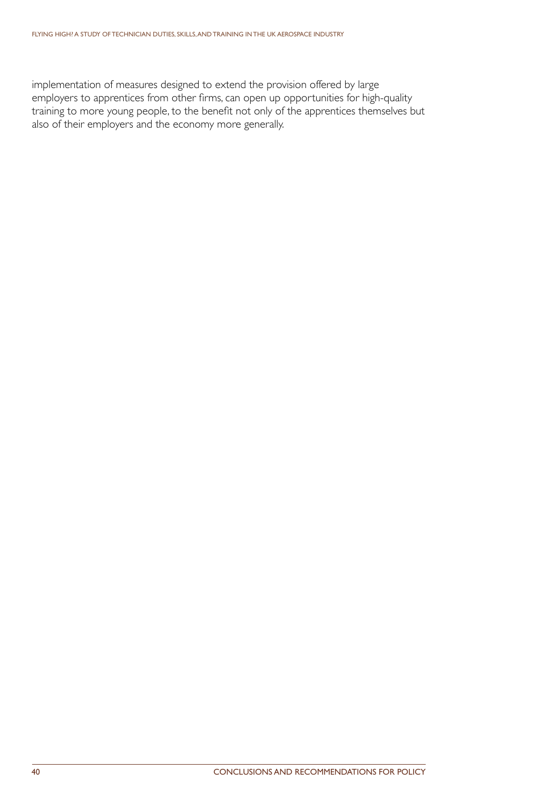implementation of measures designed to extend the provision offered by large employers to apprentices from other firms, can open up opportunities for high-quality training to more young people, to the benefit not only of the apprentices themselves but also of their employers and the economy more generally.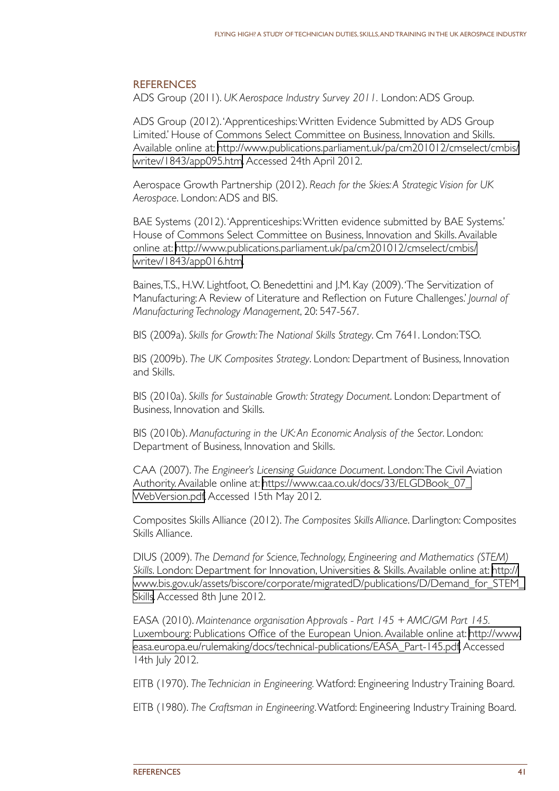## **REFERENCES**

ADS Group (2011). *UK Aerospace Industry Survey 2011.* London: ADS Group.

ADS Group (2012). 'Apprenticeships: Written Evidence Submitted by ADS Group Limited.' House of Commons Select Committee on Business, Innovation and Skills. Available online at: [http://www.publications.parliament.uk/pa/cm201012/cmselect/cmbis/](http://www.publications.parliament.uk/pa/cm201012/cmselect/cmbis/writev/1843/app095.htm) [writev/1843/app095.htm](http://www.publications.parliament.uk/pa/cm201012/cmselect/cmbis/writev/1843/app095.htm). Accessed 24th April 2012.

Aerospace Growth Partnership (2012). *Reach for the Skies: A Strategic Vision for UK Aerospace*. London: ADS and BIS.

BAE Systems (2012). 'Apprenticeships: Written evidence submitted by BAE Systems.' House of Commons Select Committee on Business, Innovation and Skills. Available online at: [http://www.publications.parliament.uk/pa/cm201012/cmselect/cmbis/](http://www.publications.parliament.uk/pa/cm201012/cmselect/cmbis/writev/1843/app016.htm) [writev/1843/app016.htm](http://www.publications.parliament.uk/pa/cm201012/cmselect/cmbis/writev/1843/app016.htm).

Baines, T.S., H.W. Lightfoot, O. Benedettini and J.M. Kay (2009). 'The Servitization of Manufacturing: A Review of Literature and Reflection on Future Challenges.' *Journal of Manufacturing Technology Management*, 20: 547-567.

BIS (2009a). *Skills for Growth: The National Skills Strategy*. Cm 7641. London: TSO.

BIS (2009b). *The UK Composites Strategy*. London: Department of Business, Innovation and Skills.

BIS (2010a). *Skills for Sustainable Growth: Strategy Document*. London: Department of Business, Innovation and Skills.

BIS (2010b). *Manufacturing in the UK: An Economic Analysis of the Sector*. London: Department of Business, Innovation and Skills.

CAA (2007). *The Engineer's Licensing Guidance Document*. London: The Civil Aviation Authority. Available online at: [https://www.caa.co.uk/docs/33/ELGDBook\\_07\\_](https://www.caa.co.uk/docs/33/ELGDBook_07_WebVersion.pdf) [WebVersion.pdf.](https://www.caa.co.uk/docs/33/ELGDBook_07_WebVersion.pdf) Accessed 15th May 2012.

Composites Skills Alliance (2012). *The Composites Skills Alliance*. Darlington: Composites Skills Alliance.

DIUS (2009). *The Demand for Science, Technology, Engineering and Mathematics (STEM) Skills*. London: Department for Innovation, Universities & Skills. Available online at: [http://](http://www.bis.gov.uk/assets/biscore/corporate/migratedD/publications/D/Demand_for_STEM_Skills) [www.bis.gov.uk/assets/biscore/corporate/migratedD/publications/D/Demand\\_for\\_STEM\\_](http://www.bis.gov.uk/assets/biscore/corporate/migratedD/publications/D/Demand_for_STEM_Skills) [Skills](http://www.bis.gov.uk/assets/biscore/corporate/migratedD/publications/D/Demand_for_STEM_Skills). Accessed 8th June 2012.

EASA (2010). *Maintenance organisation Approvals - Part 145 + AMC/GM Part 145.* Luxembourg: Publications Office of the European Union. Available online at: [http://www.](http://www.easa.europa.eu/rulemaking/docs/technical-publications/EASA_Part-145.pdf) [easa.europa.eu/rulemaking/docs/technical-publications/EASA\\_Part-145.pdf](http://www.easa.europa.eu/rulemaking/docs/technical-publications/EASA_Part-145.pdf). Accessed 14th July 2012.

EITB (1970). *The Technician in Engineering.* Watford: Engineering Industry Training Board.

EITB (1980). *The Craftsman in Engineering*. Watford: Engineering Industry Training Board.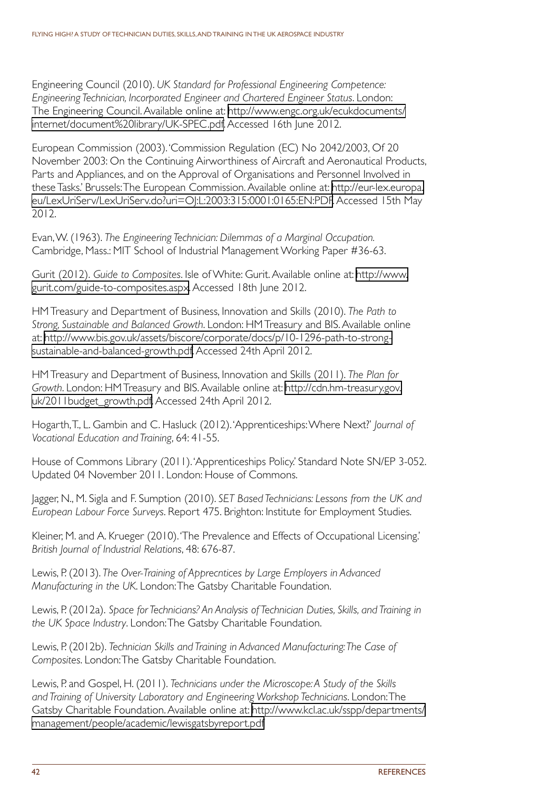Engineering Council (2010). *UK Standard for Professional Engineering Competence: Engineering Technician, Incorporated Engineer and Chartered Engineer Status*. London: The Engineering Council. Available online at: [http://www.engc.org.uk/ecukdocuments/](http://www.engc.org.uk/ecukdocuments/internet/document library/UK-SPEC.pdf) [internet/document%20library/UK-SPEC.pdf](http://www.engc.org.uk/ecukdocuments/internet/document library/UK-SPEC.pdf). Accessed 16th June 2012.

European Commission (2003). 'Commission Regulation (EC) No 2042/2003, Of 20 November 2003: On the Continuing Airworthiness of Aircraft and Aeronautical Products, Parts and Appliances, and on the Approval of Organisations and Personnel Involved in these Tasks.' Brussels: The European Commission. Available online at: [http://eur-lex.europa.](http://eur-	lex.europa.eu/LexUriServ/LexUriServ.do?uri=OJ:L:2003:315:0001:0165:EN:PDF) [eu/LexUriServ/LexUriServ.do?uri=OJ:L:2003:315:0001:0165:EN:PDF](http://eur-	lex.europa.eu/LexUriServ/LexUriServ.do?uri=OJ:L:2003:315:0001:0165:EN:PDF). Accessed 15th May 2012.

Evan, W. (1963). *The Engineering Technician: Dilemmas of a Marginal Occupation.*  Cambridge, Mass.: MIT School of Industrial Management Working Paper #36-63.

Gurit (2012). *Guide to Composites*. Isle of White: Gurit. Available online at: [http://www.](http://www.gurit.com/guide-	to-composites.aspx) [gurit.com/guide-to-composites.aspx](http://www.gurit.com/guide-	to-composites.aspx). Accessed 18th June 2012.

HM Treasury and Department of Business, Innovation and Skills (2010). *The Path to Strong, Sustainable and Balanced Growth*. London: HM Treasury and BIS. Available online at: [http://www.bis.gov.uk/assets/biscore/corporate/docs/p/10-1296-path-to-strong](http://www.bis.gov.uk/assets/biscore/corporate/docs/p/10-1296-path-to-strong-sustainable-and-	balanced-growth.pdf)[sustainable-and-balanced-growth.pdf.](http://www.bis.gov.uk/assets/biscore/corporate/docs/p/10-1296-path-to-strong-sustainable-and-	balanced-growth.pdf) Accessed 24th April 2012.

HM Treasury and Department of Business, Innovation and Skills (2011). *The Plan for Growth*. London: HM Treasury and BIS. Available online at: [http://cdn.hm-treasury.gov.](http://cdn.hm-	treasury.gov.uk/2011budget_growth.pdf) [uk/2011budget\\_growth.pdf.](http://cdn.hm-	treasury.gov.uk/2011budget_growth.pdf) Accessed 24th April 2012.

Hogarth, T., L. Gambin and C. Hasluck (2012). 'Apprenticeships: Where Next?' *Journal of Vocational Education and Training*, 64: 41-55.

House of Commons Library (2011). 'Apprenticeships Policy.' Standard Note SN/EP 3-052. Updated 04 November 2011. London: House of Commons.

Jagger, N., M. Sigla and F. Sumption (2010). *SET Based Technicians: Lessons from the UK and European Labour Force Surveys*. Report 475. Brighton: Institute for Employment Studies.

Kleiner, M. and A. Krueger (2010). 'The Prevalence and Effects of Occupational Licensing.' *British Journal of Industrial Relations*, 48: 676-87.

Lewis, P. (2013). *The Over-Training of Apprecntices by Large Employers in Advanced Manufacturing in the UK*. London: The Gatsby Charitable Foundation.

Lewis, P. (2012a). *Space for Technicians? An Analysis of Technician Duties, Skills, and Training in the UK Space Industry*. London: The Gatsby Charitable Foundation.

Lewis, P. (2012b). *Technician Skills and Training in Advanced Manufacturing: The Case of Composites*. London: The Gatsby Charitable Foundation.

Lewis, P. and Gospel, H. (2011). *Technicians under the Microscope: A Study of the Skills and Training of University Laboratory and Engineering Workshop Technicians*. London: The Gatsby Charitable Foundation. Available online at: [http://www.kcl.ac.uk/sspp/departments/](http://www.kcl.ac.uk/sspp/departments/management/people/academic/lewisgatsbyreport.pdf) [management/people/academic/lewisgatsbyreport.pdf](http://www.kcl.ac.uk/sspp/departments/management/people/academic/lewisgatsbyreport.pdf)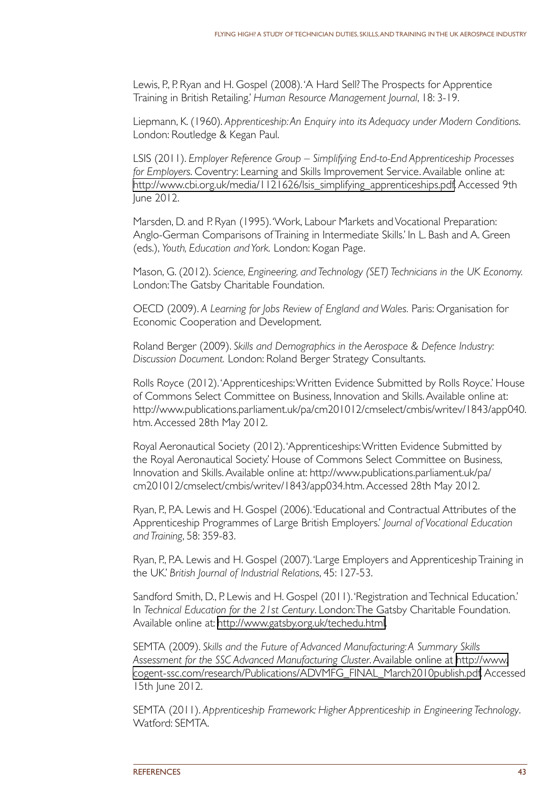Lewis, P., P. Ryan and H. Gospel (2008). 'A Hard Sell? The Prospects for Apprentice Training in British Retailing.' *Human Resource Management Journal*, 18: 3-19.

Liepmann, K. (1960). *Apprenticeship: An Enquiry into its Adequacy under Modern Conditions*. London: Routledge & Kegan Paul.

LSIS (2011). *Employer Reference Group – Simplifying End-to-End Apprenticeship Processes for Employers*. Coventry: Learning and Skills Improvement Service. Available online at: [http://www.cbi.org.uk/media/1121626/lsis\\_simplifying\\_apprenticeships.pdf](http://www.cbi.org.uk/media/1121626/lsis_simplifying_apprenticeships.pdf). Accessed 9th June 2012.

Marsden, D. and P. Ryan (1995). 'Work, Labour Markets and Vocational Preparation: Anglo-German Comparisons of Training in Intermediate Skills.' In L. Bash and A. Green (eds.), *Youth, Education and York.* London: Kogan Page.

Mason, G. (2012). *Science, Engineering, and Technology (SET) Technicians in the UK Economy.*  London: The Gatsby Charitable Foundation.

OECD (2009). *A Learning for Jobs Review of England and Wales.* Paris: Organisation for Economic Cooperation and Development.

Roland Berger (2009). *Skills and Demographics in the Aerospace & Defence Industry: Discussion Document.* London: Roland Berger Strategy Consultants.

Rolls Royce (2012). 'Apprenticeships: Written Evidence Submitted by Rolls Royce.' House of Commons Select Committee on Business, Innovation and Skills. Available online at: http://www.publications.parliament.uk/pa/cm201012/cmselect/cmbis/writev/1843/app040. htm. Accessed 28th May 2012.

Royal Aeronautical Society (2012). 'Apprenticeships: Written Evidence Submitted by the Royal Aeronautical Society.' House of Commons Select Committee on Business, Innovation and Skills. Available online at: http://www.publications.parliament.uk/pa/ cm201012/cmselect/cmbis/writev/1843/app034.htm. Accessed 28th May 2012.

Ryan, P., P.A. Lewis and H. Gospel (2006). 'Educational and Contractual Attributes of the Apprenticeship Programmes of Large British Employers.' *Journal of Vocational Education and Training*, 58: 359-83.

Ryan, P., P.A. Lewis and H. Gospel (2007). 'Large Employers and Apprenticeship Training in the UK.' *British Journal of Industrial Relations*, 45: 127-53.

Sandford Smith, D., P. Lewis and H. Gospel (2011). 'Registration and Technical Education.' In *Technical Education for the 21st Century*. London: The Gatsby Charitable Foundation. Available online at: <http://www.gatsby.org.uk/techedu.html>.

SEMTA (2009). *Skills and the Future of Advanced Manufacturing: A Summary Skills Assessment for the SSC Advanced Manufacturing Cluster*. Available online at [http://www.](http://www.cogent-	ssc.com/research/Publications/ADVMFG_FINAL_March2010publish.pdf) [cogent-ssc.com/research/Publications/ADVMFG\\_FINAL\\_March2010publish.pdf.](http://www.cogent-	ssc.com/research/Publications/ADVMFG_FINAL_March2010publish.pdf) Accessed 15th June 2012.

SEMTA (2011). *Apprenticeship Framework: Higher Apprenticeship in Engineering Technology*. Watford: SEMTA.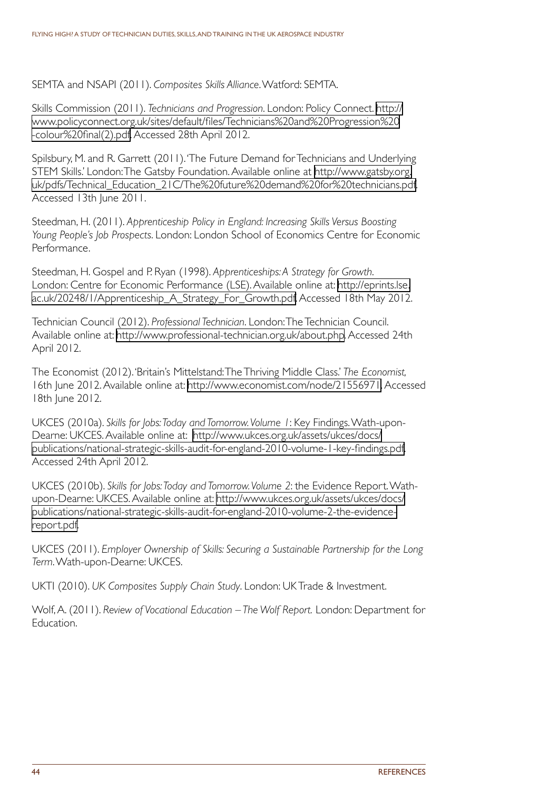SEMTA and NSAPI (2011). *Composites Skills Alliance*. Watford: SEMTA.

Skills Commission (2011). *Technicians and Progression*. London: Policy Connect. [http://](http://www.policyconnect.org.uk/sites/default/files/Technicians%20and%20Progression%20-colour%20final(2).pdf) [www.policyconnect.org.uk/sites/default/files/Technicians%20and%20Progression%20](http://www.policyconnect.org.uk/sites/default/files/Technicians%20and%20Progression%20-colour%20final(2).pdf) [-colour%20final\(2\).pdf.](http://www.policyconnect.org.uk/sites/default/files/Technicians%20and%20Progression%20-colour%20final(2).pdf) Accessed 28th April 2012.

Spilsbury, M. and R. Garrett (2011). 'The Future Demand for Technicians and Underlying STEM Skills.' London: The Gatsby Foundation. Available online at [http://www.gatsby.org.](http://www.gatsby.org.uk/pdfs/Technical_Education_21C/The%20future%20demand%20for%20technicians.pdf) [uk/pdfs/Technical\\_Education\\_21C/The%20future%20demand%20for%20technicians.pdf](http://www.gatsby.org.uk/pdfs/Technical_Education_21C/The%20future%20demand%20for%20technicians.pdf). Accessed 13th June 2011.

Steedman, H. (2011). *Apprenticeship Policy in England: Increasing Skills Versus Boosting Young People's Job Prospects*. London: London School of Economics Centre for Economic Performance.

Steedman, H. Gospel and P. Ryan (1998). *Apprenticeships: A Strategy for Growth*. London: Centre for Economic Performance (LSE). Available online at: [http://eprints.lse.](http://eprints.lse.ac.uk/20248/1/Apprenticeship_A_Strategy_For_Growth.pdf) [ac.uk/20248/1/Apprenticeship\\_A\\_Strategy\\_For\\_Growth.pdf.](http://eprints.lse.ac.uk/20248/1/Apprenticeship_A_Strategy_For_Growth.pdf) Accessed 18th May 2012.

Technician Council (2012). *Professional Technician*. London: The Technician Council. Available online at: [http://www.professional-technician.org.uk/about.php.](http://www.professional-technician.org.uk/about.php) Accessed 24th April 2012.

The Economist (2012). 'Britain's Mittelstand: The Thriving Middle Class.' *The Economist,* 16th June 2012. Available online at: [http://www.economist.com/node/21556971.](http://www.economist.com/node/21556971) Accessed 18th June 2012.

UKCES (2010a). *Skills for Jobs: Today and Tomorrow. Volume 1*: Key Findings. Wath-upon-Dearne: UKCES. Available online at: [http://www.ukces.org.uk/assets/ukces/docs/](http://www.ukces.org.uk/assets/ukces/docs/publications/national-strategic-skills-audit-for-england-2010-volume-1-key-findings.pdf) [publications/national-strategic-skills-audit-for-england-2010-volume-1-key-findings.pdf](http://www.ukces.org.uk/assets/ukces/docs/publications/national-strategic-skills-audit-for-england-2010-volume-1-key-findings.pdf). Accessed 24th April 2012.

UKCES (2010b). *Skills for Jobs: Today and Tomorrow. Volume 2*: the Evidence Report. Wathupon-Dearne: UKCES. Available online at: [http://www.ukces.org.uk/assets/ukces/docs/](http://www.ukces.org.uk/assets/ukces/docs/publications/national-strategic-skills-audit-for-england-2010-volume-1-key-findings.pdf) [publications/national-strategic-skills-audit-for-england-2010-volume-2-the-evidence](http://www.ukces.org.uk/assets/ukces/docs/publications/national-strategic-skills-audit-for-england-2010-volume-1-key-findings.pdf)[report.pdf](http://www.ukces.org.uk/assets/ukces/docs/publications/national-strategic-skills-audit-for-england-2010-volume-1-key-findings.pdf).

UKCES (2011). *Employer Ownership of Skills: Securing a Sustainable Partnership for the Long Term*. Wath-upon-Dearne: UKCES.

UKTI (2010). *UK Composites Supply Chain Study*. London: UK Trade & Investment.

Wolf, A. (2011). *Review of Vocational Education – The Wolf Report.* London: Department for Education.